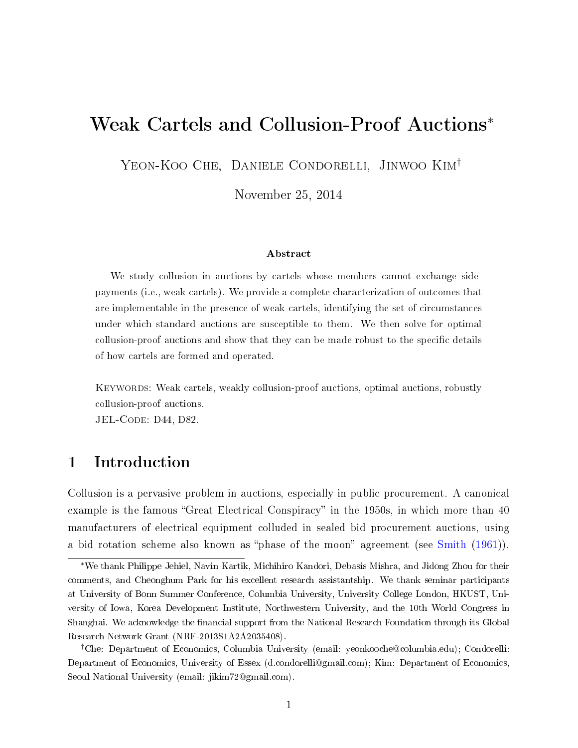# Weak Cartels and Collusion-Proof Auctions<sup>∗</sup>

Yeon-Koo Che, Daniele Condorelli, Jinwoo Kim†

November 25, 2014

#### Abstract

We study collusion in auctions by cartels whose members cannot exchange sidepayments (i.e., weak cartels). We provide a complete characterization of outcomes that are implementable in the presence of weak cartels, identifying the set of circumstances under which standard auctions are susceptible to them. We then solve for optimal collusion-proof auctions and show that they can be made robust to the specific details of how cartels are formed and operated.

Keywords: Weak cartels, weakly collusion-proof auctions, optimal auctions, robustly collusion-proof auctions.

JEL-CODE: D44, D82.

## 1 Introduction

Collusion is a pervasive problem in auctions, especially in public procurement. A canonical example is the famous "Great Electrical Conspiracy" in the 1950s, in which more than 40 manufacturers of electrical equipment colluded in sealed bid procurement auctions, using a bid rotation scheme also known as "phase of the moon" agreement (see [Smith](#page-52-0) [\(1961\)](#page-52-0)).

<sup>∗</sup>We thank Philippe Jehiel, Navin Kartik, Michihiro Kandori, Debasis Mishra, and Jidong Zhou for their comments, and Cheonghum Park for his excellent research assistantship. We thank seminar participants at University of Bonn Summer Conference, Columbia University, University College London, HKUST, University of Iowa, Korea Development Institute, Northwestern University, and the 10th World Congress in Shanghai. We acknowledge the financial support from the National Research Foundation through its Global Research Network Grant (NRF-2013S1A2A2035408).

<sup>†</sup>Che: Department of Economics, Columbia University (email: yeonkooche@columbia.edu); Condorelli: Department of Economics, University of Essex (d.condorelli@gmail.com); Kim: Department of Economics, Seoul National University (email: jikim72@gmail.com).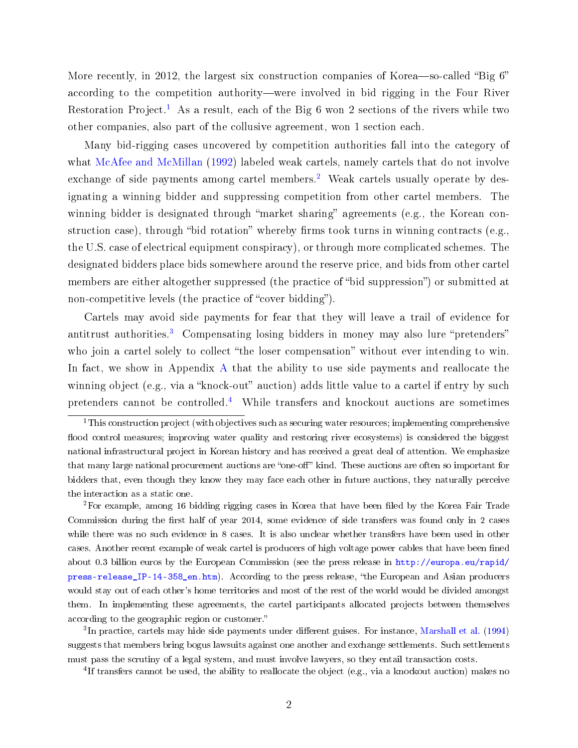More recently, in 2012, the largest six construction companies of Korea—so-called "Big  $6$ " according to the competition authority—were involved in bid rigging in the Four River Restoration Project.<sup>[1](#page-1-0)</sup> As a result, each of the Big 6 won 2 sections of the rivers while two other companies, also part of the collusive agreement, won 1 section each.

Many bid-rigging cases uncovered by competition authorities fall into the category of what [McAfee and McMillan](#page-51-0) [\(1992\)](#page-51-0) labeled weak cartels, namely cartels that do not involve exchange of side payments among cartel members.<sup>[2](#page-1-1)</sup> Weak cartels usually operate by designating a winning bidder and suppressing competition from other cartel members. The winning bidder is designated through "market sharing" agreements (e.g., the Korean construction case), through "bid rotation" whereby firms took turns in winning contracts (e.g., the U.S. case of electrical equipment conspiracy), or through more complicated schemes. The designated bidders place bids somewhere around the reserve price, and bids from other cartel members are either altogether suppressed (the practice of "bid suppression") or submitted at non-competitive levels (the practice of "cover bidding").

Cartels may avoid side payments for fear that they will leave a trail of evidence for antitrust authorities.<sup>[3](#page-1-2)</sup> Compensating losing bidders in money may also lure "pretenders" who join a cartel solely to collect "the loser compensation" without ever intending to win. In fact, we show in [A](#page-32-0)ppendix A that the ability to use side payments and reallocate the winning object (e.g., via a "knock-out" auction) adds little value to a cartel if entry by such pretenders cannot be controlled.[4](#page-1-3) While transfers and knockout auctions are sometimes

<span id="page-1-1"></span><sup>2</sup>For example, among 16 bidding rigging cases in Korea that have been filed by the Korea Fair Trade Commission during the first half of year 2014, some evidence of side transfers was found only in 2 cases while there was no such evidence in 8 cases. It is also unclear whether transfers have been used in other cases. Another recent example of weak cartel is producers of high voltage power cables that have been fined about 0.3 billion euros by the European Commission (see the press release in [http://europa.eu/rapid/](http://europa.eu/rapid/press-release_IP-14-358_en.htm) [press-release\\_IP-14-358\\_en.htm\)](http://europa.eu/rapid/press-release_IP-14-358_en.htm). According to the press release, the European and Asian producers would stay out of each other's home territories and most of the rest of the world would be divided amongst them. In implementing these agreements, the cartel participants allocated projects between themselves according to the geographic region or customer.

<span id="page-1-2"></span> ${}^{3}$ In practice, cartels may hide side payments under different guises. For instance, [Marshall et al.](#page-51-1) [\(1994\)](#page-51-1) suggests that members bring bogus lawsuits against one another and exchange settlements. Such settlements must pass the scrutiny of a legal system, and must involve lawyers, so they entail transaction costs.

<span id="page-1-3"></span><sup>4</sup>If transfers cannot be used, the ability to reallocate the object (e.g., via a knockout auction) makes no

<span id="page-1-0"></span><sup>&</sup>lt;sup>1</sup>This construction project (with objectives such as securing water resources; implementing comprehensive flood control measures; improving water quality and restoring river ecosystems) is considered the biggest national infrastructural project in Korean history and has received a great deal of attention. We emphasize that many large national procurement auctions are "one-off" kind. These auctions are often so important for bidders that, even though they know they may face each other in future auctions, they naturally perceive the interaction as a static one.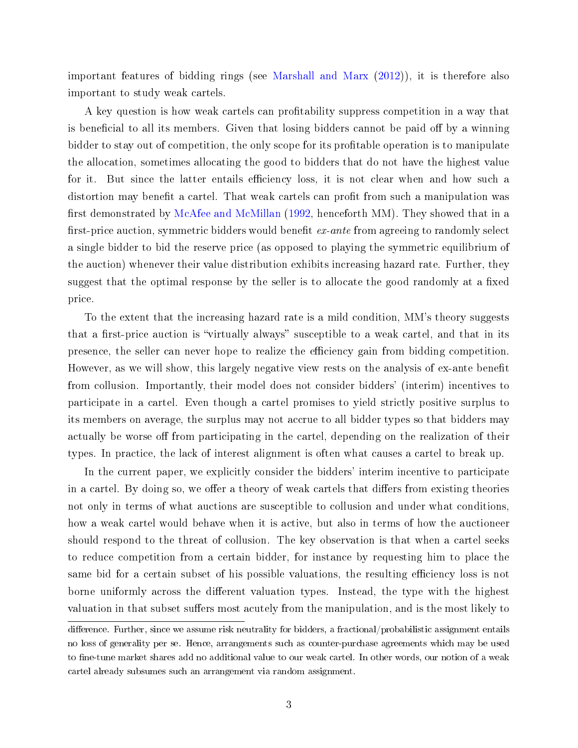important features of bidding rings (see [Marshall and Marx](#page-51-2) [\(2012\)](#page-51-2)), it is therefore also important to study weak cartels.

A key question is how weak cartels can profitability suppress competition in a way that is beneficial to all its members. Given that losing bidders cannot be paid off by a winning bidder to stay out of competition, the only scope for its profitable operation is to manipulate the allocation, sometimes allocating the good to bidders that do not have the highest value for it. But since the latter entails efficiency loss, it is not clear when and how such a distortion may benefit a cartel. That weak cartels can profit from such a manipulation was first demonstrated by [McAfee and McMillan](#page-51-0)  $(1992,$  henceforth MM). They showed that in a first-price auction, symmetric bidders would benefit  $ex$ -ante from agreeing to randomly select a single bidder to bid the reserve price (as opposed to playing the symmetric equilibrium of the auction) whenever their value distribution exhibits increasing hazard rate. Further, they suggest that the optimal response by the seller is to allocate the good randomly at a fixed price.

To the extent that the increasing hazard rate is a mild condition, MM's theory suggests that a first-price auction is "virtually always" susceptible to a weak cartel, and that in its presence, the seller can never hope to realize the efficiency gain from bidding competition. However, as we will show, this largely negative view rests on the analysis of ex-ante benefit from collusion. Importantly, their model does not consider bidders' (interim) incentives to participate in a cartel. Even though a cartel promises to yield strictly positive surplus to its members on average, the surplus may not accrue to all bidder types so that bidders may actually be worse off from participating in the cartel, depending on the realization of their types. In practice, the lack of interest alignment is often what causes a cartel to break up.

In the current paper, we explicitly consider the bidders' interim incentive to participate in a cartel. By doing so, we offer a theory of weak cartels that differs from existing theories not only in terms of what auctions are susceptible to collusion and under what conditions, how a weak cartel would behave when it is active, but also in terms of how the auctioneer should respond to the threat of collusion. The key observation is that when a cartel seeks to reduce competition from a certain bidder, for instance by requesting him to place the same bid for a certain subset of his possible valuations, the resulting efficiency loss is not borne uniformly across the different valuation types. Instead, the type with the highest valuation in that subset suffers most acutely from the manipulation, and is the most likely to

difference. Further, since we assume risk neutrality for bidders, a fractional/probabilistic assignment entails no loss of generality per se. Hence, arrangements such as counter-purchase agreements which may be used to fine-tune market shares add no additional value to our weak cartel. In other words, our notion of a weak cartel already subsumes such an arrangement via random assignment.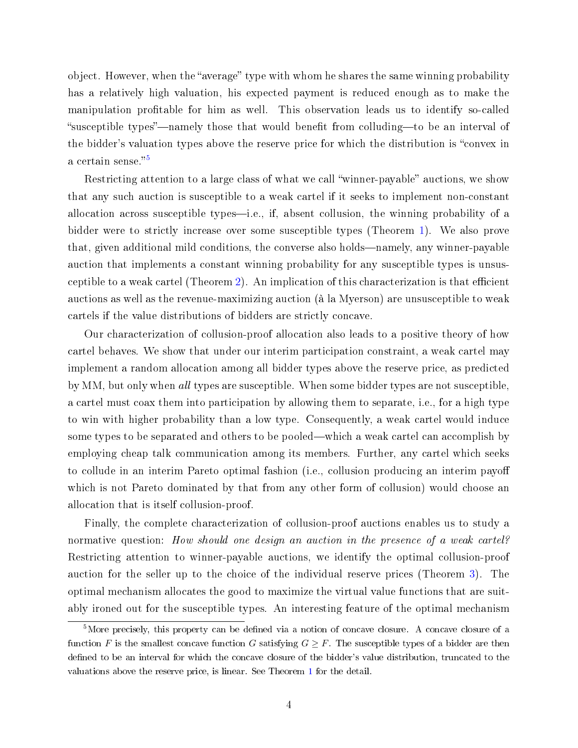object. However, when the "average" type with whom he shares the same winning probability has a relatively high valuation, his expected payment is reduced enough as to make the manipulation profitable for him as well. This observation leads us to identify so-called "susceptible types"—namely those that would benefit from colluding—to be an interval of the bidder's valuation types above the reserve price for which the distribution is "convex in a certain sense."<sup>[5](#page-3-0)</sup>

Restricting attention to a large class of what we call "winner-payable" auctions, we show that any such auction is susceptible to a weak cartel if it seeks to implement non-constant allocation across susceptible types—i.e., if, absent collusion, the winning probability of a bidder were to strictly increase over some susceptible types (Theorem [1\)](#page-17-0). We also prove that, given additional mild conditions, the converse also holds—namely, any winner-payable auction that implements a constant winning probability for any susceptible types is unsus-ceptible to a weak cartel (Theorem [2\)](#page-20-0). An implication of this characterization is that efficient auctions as well as the revenue-maximizing auction (à la Myerson) are unsusceptible to weak cartels if the value distributions of bidders are strictly concave.

Our characterization of collusion-proof allocation also leads to a positive theory of how cartel behaves. We show that under our interim participation constraint, a weak cartel may implement a random allocation among all bidder types above the reserve price, as predicted by MM, but only when all types are susceptible. When some bidder types are not susceptible, a cartel must coax them into participation by allowing them to separate, i.e., for a high type to win with higher probability than a low type. Consequently, a weak cartel would induce some types to be separated and others to be pooled—which a weak cartel can accomplish by employing cheap talk communication among its members. Further, any cartel which seeks to collude in an interim Pareto optimal fashion (i.e., collusion producing an interim payo which is not Pareto dominated by that from any other form of collusion) would choose an allocation that is itself collusion-proof.

Finally, the complete characterization of collusion-proof auctions enables us to study a normative question: How should one design an auction in the presence of a weak cartel? Restricting attention to winner-payable auctions, we identify the optimal collusion-proof auction for the seller up to the choice of the individual reserve prices (Theorem [3\)](#page-23-0). The optimal mechanism allocates the good to maximize the virtual value functions that are suitably ironed out for the susceptible types. An interesting feature of the optimal mechanism

<span id="page-3-0"></span><sup>&</sup>lt;sup>5</sup>More precisely, this property can be defined via a notion of concave closure. A concave closure of a function F is the smallest concave function G satisfying  $G \geq F$ . The susceptible types of a bidder are then defined to be an interval for which the concave closure of the bidder's value distribution, truncated to the valuations above the reserve price, is linear. See Theorem [1](#page-17-0) for the detail.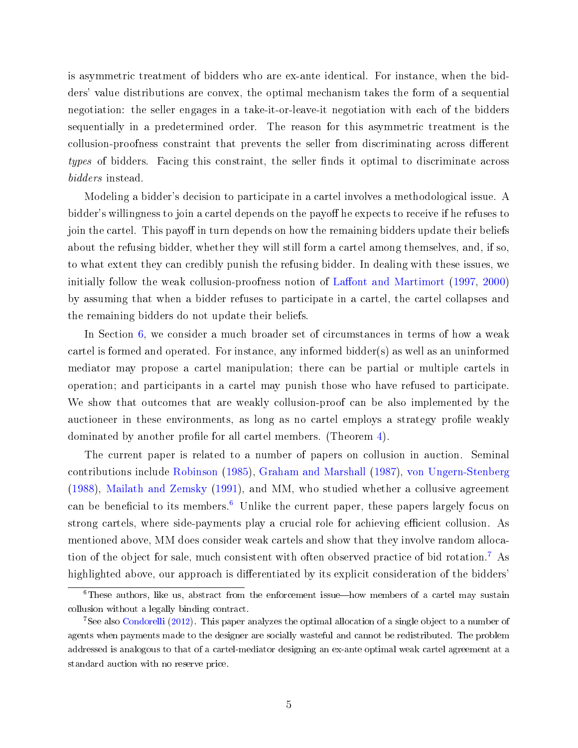is asymmetric treatment of bidders who are ex-ante identical. For instance, when the bidders' value distributions are convex, the optimal mechanism takes the form of a sequential negotiation: the seller engages in a take-it-or-leave-it negotiation with each of the bidders sequentially in a predetermined order. The reason for this asymmetric treatment is the collusion-proofness constraint that prevents the seller from discriminating across different types of bidders. Facing this constraint, the seller finds it optimal to discriminate across bidders instead.

Modeling a bidder's decision to participate in a cartel involves a methodological issue. A bidder's willingness to join a cartel depends on the payoff he expects to receive if he refuses to join the cartel. This payoff in turn depends on how the remaining bidders update their beliefs about the refusing bidder, whether they will still form a cartel among themselves, and, if so, to what extent they can credibly punish the refusing bidder. In dealing with these issues, we initially follow the weak collusion-proofness notion of Laffont and Martimort  $(1997, 2000)$  $(1997, 2000)$  $(1997, 2000)$ by assuming that when a bidder refuses to participate in a cartel, the cartel collapses and the remaining bidders do not update their beliefs.

In Section [6,](#page-28-0) we consider a much broader set of circumstances in terms of how a weak cartel is formed and operated. For instance, any informed bidder(s) as well as an uninformed mediator may propose a cartel manipulation; there can be partial or multiple cartels in operation; and participants in a cartel may punish those who have refused to participate. We show that outcomes that are weakly collusion-proof can be also implemented by the auctioneer in these environments, as long as no cartel employs a strategy profile weakly dominated by another profile for all cartel members. (Theorem [4\)](#page-30-0).

The current paper is related to a number of papers on collusion in auction. Seminal contributions include [Robinson](#page-51-5) [\(1985\)](#page-51-5), [Graham and Marshall](#page-50-0) [\(1987\)](#page-50-0), [von Ungern-Stenberg](#page-52-1) [\(1988\)](#page-52-1), [Mailath and Zemsky](#page-51-6) [\(1991\)](#page-51-6), and MM, who studied whether a collusive agreement can be beneficial to its members.<sup>[6](#page-4-0)</sup> Unlike the current paper, these papers largely focus on strong cartels, where side-payments play a crucial role for achieving efficient collusion. As mentioned above, MM does consider weak cartels and show that they involve random allocation of the object for sale, much consistent with often observed practice of bid rotation.[7](#page-4-1) As highlighted above, our approach is differentiated by its explicit consideration of the bidders'

<span id="page-4-0"></span> $6$ These authors, like us, abstract from the enforcement issue—how members of a cartel may sustain collusion without a legally binding contract.

<span id="page-4-1"></span><sup>7</sup>See also [Condorelli](#page-50-1) [\(2012\)](#page-50-1). This paper analyzes the optimal allocation of a single object to a number of agents when payments made to the designer are socially wasteful and cannot be redistributed. The problem addressed is analogous to that of a cartel-mediator designing an ex-ante optimal weak cartel agreement at a standard auction with no reserve price.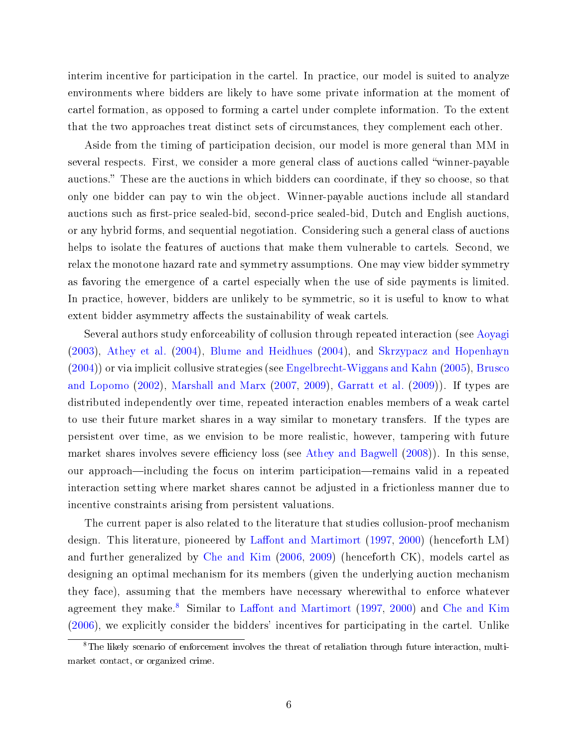interim incentive for participation in the cartel. In practice, our model is suited to analyze environments where bidders are likely to have some private information at the moment of cartel formation, as opposed to forming a cartel under complete information. To the extent that the two approaches treat distinct sets of circumstances, they complement each other.

Aside from the timing of participation decision, our model is more general than MM in several respects. First, we consider a more general class of auctions called winner-payable auctions." These are the auctions in which bidders can coordinate, if they so choose, so that only one bidder can pay to win the object. Winner-payable auctions include all standard auctions such as first-price sealed-bid, second-price sealed-bid, Dutch and English auctions. or any hybrid forms, and sequential negotiation. Considering such a general class of auctions helps to isolate the features of auctions that make them vulnerable to cartels. Second, we relax the monotone hazard rate and symmetry assumptions. One may view bidder symmetry as favoring the emergence of a cartel especially when the use of side payments is limited. In practice, however, bidders are unlikely to be symmetric, so it is useful to know to what extent bidder asymmetry affects the sustainability of weak cartels.

Several authors study enforceability of collusion through repeated interaction (see [Aoyagi](#page-50-2) [\(2003\)](#page-50-2), [Athey et al.](#page-50-3) [\(2004\)](#page-50-3), [Blume and Heidhues](#page-50-4) [\(2004\)](#page-50-4), and [Skrzypacz and Hopenhayn](#page-52-2) [\(2004\)](#page-52-2)) or via implicit collusive strategies (see [Engelbrecht-Wiggans and Kahn](#page-50-5) [\(2005\)](#page-50-5), [Brusco](#page-50-6) [and Lopomo](#page-50-6) [\(2002\)](#page-50-6), [Marshall and Marx](#page-51-7) [\(2007,](#page-51-7) [2009\)](#page-51-8), [Garratt et al.](#page-50-7) [\(2009\)](#page-50-7)). If types are distributed independently over time, repeated interaction enables members of a weak cartel to use their future market shares in a way similar to monetary transfers. If the types are persistent over time, as we envision to be more realistic, however, tampering with future market shares involves severe efficiency loss (see [Athey and Bagwell](#page-50-8)  $(2008)$ ). In this sense, our approach—including the focus on interim participation—remains valid in a repeated interaction setting where market shares cannot be adjusted in a frictionless manner due to incentive constraints arising from persistent valuations.

The current paper is also related to the literature that studies collusion-proof mechanism design. This literature, pioneered by Laffont and Martimort [\(1997,](#page-51-3) [2000\)](#page-51-4) (henceforth LM) and further generalized by [Che and Kim](#page-50-9) [\(2006,](#page-50-9) [2009\)](#page-50-10) (henceforth CK), models cartel as designing an optimal mechanism for its members (given the underlying auction mechanism they face), assuming that the members have necessary wherewithal to enforce whatever agreement they make.<sup>[8](#page-5-0)</sup> Similar to Laffont and Martimort [\(1997,](#page-51-3) [2000\)](#page-51-4) and [Che and Kim](#page-50-9) [\(2006\)](#page-50-9), we explicitly consider the bidders' incentives for participating in the cartel. Unlike

<span id="page-5-0"></span><sup>8</sup>The likely scenario of enforcement involves the threat of retaliation through future interaction, multimarket contact, or organized crime.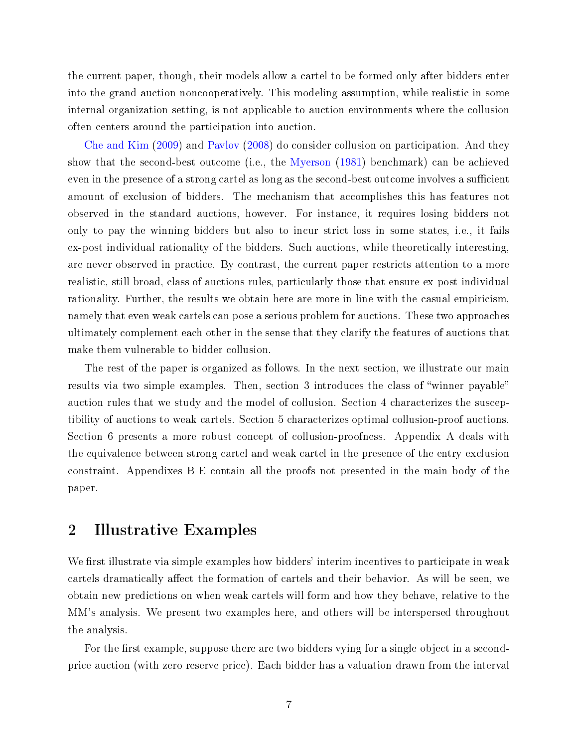the current paper, though, their models allow a cartel to be formed only after bidders enter into the grand auction noncooperatively. This modeling assumption, while realistic in some internal organization setting, is not applicable to auction environments where the collusion often centers around the participation into auction.

[Che and Kim](#page-50-10) [\(2009\)](#page-50-10) and [Pavlov](#page-51-9) [\(2008\)](#page-51-9) do consider collusion on participation. And they show that the second-best outcome (i.e., the [Myerson](#page-51-10) [\(1981\)](#page-51-10) benchmark) can be achieved even in the presence of a strong cartel as long as the second-best outcome involves a sufficient amount of exclusion of bidders. The mechanism that accomplishes this has features not observed in the standard auctions, however. For instance, it requires losing bidders not only to pay the winning bidders but also to incur strict loss in some states, i.e., it fails ex-post individual rationality of the bidders. Such auctions, while theoretically interesting, are never observed in practice. By contrast, the current paper restricts attention to a more realistic, still broad, class of auctions rules, particularly those that ensure ex-post individual rationality. Further, the results we obtain here are more in line with the casual empiricism, namely that even weak cartels can pose a serious problem for auctions. These two approaches ultimately complement each other in the sense that they clarify the features of auctions that make them vulnerable to bidder collusion.

The rest of the paper is organized as follows. In the next section, we illustrate our main results via two simple examples. Then, section 3 introduces the class of "winner payable" auction rules that we study and the model of collusion. Section 4 characterizes the susceptibility of auctions to weak cartels. Section 5 characterizes optimal collusion-proof auctions. Section 6 presents a more robust concept of collusion-proofness. Appendix A deals with the equivalence between strong cartel and weak cartel in the presence of the entry exclusion constraint. Appendixes B-E contain all the proofs not presented in the main body of the paper.

## <span id="page-6-0"></span>2 Illustrative Examples

We first illustrate via simple examples how bidders' interim incentives to participate in weak cartels dramatically affect the formation of cartels and their behavior. As will be seen, we obtain new predictions on when weak cartels will form and how they behave, relative to the MM's analysis. We present two examples here, and others will be interspersed throughout the analysis.

For the first example, suppose there are two bidders vying for a single object in a secondprice auction (with zero reserve price). Each bidder has a valuation drawn from the interval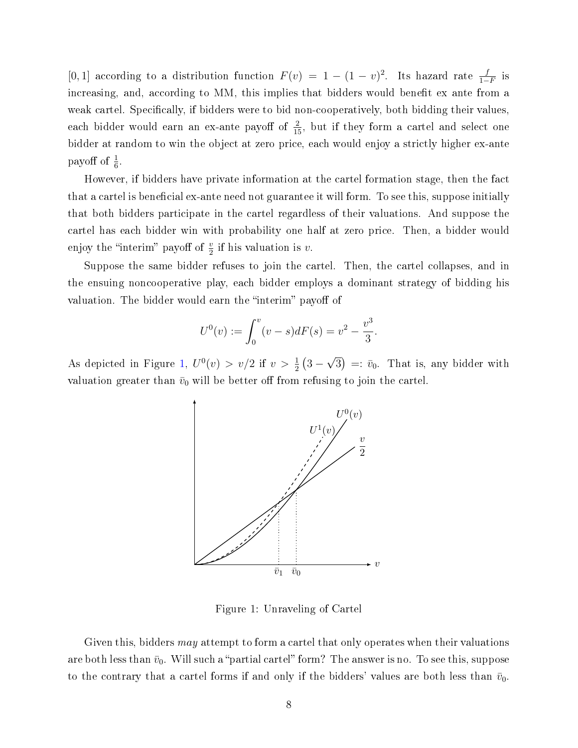[0, 1] according to a distribution function  $F(v) = 1 - (1 - v)^2$ . Its hazard rate  $\frac{f}{1 - F}$  is increasing, and, according to MM, this implies that bidders would benefit ex ante from a weak cartel. Specifically, if bidders were to bid non-cooperatively, both bidding their values, each bidder would earn an ex-ante payoff of  $\frac{2}{15}$ , but if they form a cartel and select one bidder at random to win the object at zero price, each would enjoy a strictly higher ex-ante payoff of  $\frac{1}{6}$ .

However, if bidders have private information at the cartel formation stage, then the fact that a cartel is beneficial ex-ante need not guarantee it will form. To see this, suppose initially that both bidders participate in the cartel regardless of their valuations. And suppose the cartel has each bidder win with probability one half at zero price. Then, a bidder would enjoy the "interim" payoff of  $\frac{v}{2}$  if his valuation is v.

Suppose the same bidder refuses to join the cartel. Then, the cartel collapses, and in the ensuing noncooperative play, each bidder employs a dominant strategy of bidding his valuation. The bidder would earn the "interim" payoff of

$$
U^{0}(v) := \int_{0}^{v} (v - s) dF(s) = v^{2} - \frac{v^{3}}{3}.
$$

<span id="page-7-0"></span>As depicted in Figure [1,](#page-7-0)  $U^0(v) > v/2$  if  $v > \frac{1}{2} (3 -$ √  $\overline{3}$  =:  $\bar{v}_0$ . That is, any bidder with valuation greater than  $\bar{v}_0$  will be better off from refusing to join the cartel.



Figure 1: Unraveling of Cartel

Given this, bidders *may* attempt to form a cartel that only operates when their valuations are both less than  $\bar{v}_0$ . Will such a "partial cartel" form? The answer is no. To see this, suppose to the contrary that a cartel forms if and only if the bidders' values are both less than  $\bar{v}_0$ .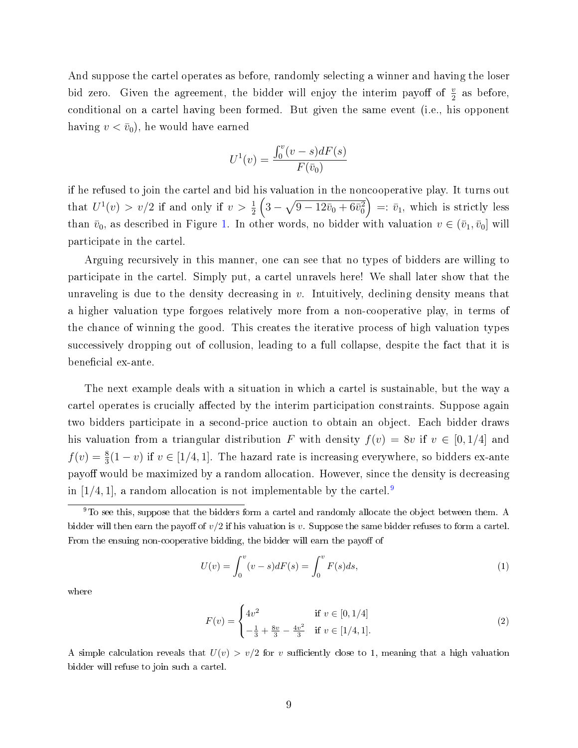And suppose the cartel operates as before, randomly selecting a winner and having the loser bid zero. Given the agreement, the bidder will enjoy the interim payoff of  $\frac{v}{2}$  as before, conditional on a cartel having been formed. But given the same event (i.e., his opponent having  $v < \bar{v}_0$ , he would have earned

$$
U^{1}(v) = \frac{\int_{0}^{v} (v - s) dF(s)}{F(\bar{v}_{0})}
$$

if he refused to join the cartel and bid his valuation in the noncooperative play. It turns out that  $U^1(v) > v/2$  if and only if  $v > \frac{1}{2} \left(3 - \sqrt{9 - 12\bar{v}_0 + 6\bar{v}_0^2}\right) =: \bar{v}_1$ , which is strictly less than  $\bar{v}_0$ , as described in Figure [1.](#page-7-0) In other words, no bidder with valuation  $v \in (\bar{v}_1, \bar{v}_0]$  will participate in the cartel.

Arguing recursively in this manner, one can see that no types of bidders are willing to participate in the cartel. Simply put, a cartel unravels here! We shall later show that the unraveling is due to the density decreasing in  $v$ . Intuitively, declining density means that a higher valuation type forgoes relatively more from a non-cooperative play, in terms of the chance of winning the good. This creates the iterative process of high valuation types successively dropping out of collusion, leading to a full collapse, despite the fact that it is beneficial ex-ante.

The next example deals with a situation in which a cartel is sustainable, but the way a cartel operates is crucially affected by the interim participation constraints. Suppose again two bidders participate in a second-price auction to obtain an object. Each bidder draws his valuation from a triangular distribution F with density  $f(v) = 8v$  if  $v \in [0, 1/4]$  and  $f(v) = \frac{8}{3}(1-v)$  if  $v \in [1/4, 1]$ . The hazard rate is increasing everywhere, so bidders ex-ante payoff would be maximized by a random allocation. However, since the density is decreasing in  $[1/4, 1]$ , a random allocation is not implementable by the cartel.<sup>[9](#page-8-0)</sup>

<span id="page-8-1"></span>
$$
U(v) = \int_0^v (v - s) dF(s) = \int_0^v F(s) ds,
$$
\n(1)

where

$$
F(v) = \begin{cases} 4v^2 & \text{if } v \in [0, 1/4] \\ -\frac{1}{3} + \frac{8v}{3} - \frac{4v^2}{3} & \text{if } v \in [1/4, 1]. \end{cases}
$$
(2)

A simple calculation reveals that  $U(v) > v/2$  for v sufficiently close to 1, meaning that a high valuation bidder will refuse to join such a cartel.

<span id="page-8-0"></span> $9$ To see this, suppose that the bidders form a cartel and randomly allocate the object between them. A bidder will then earn the payoff of  $v/2$  if his valuation is v. Suppose the same bidder refuses to form a cartel. From the ensuing non-cooperative bidding, the bidder will earn the payoff of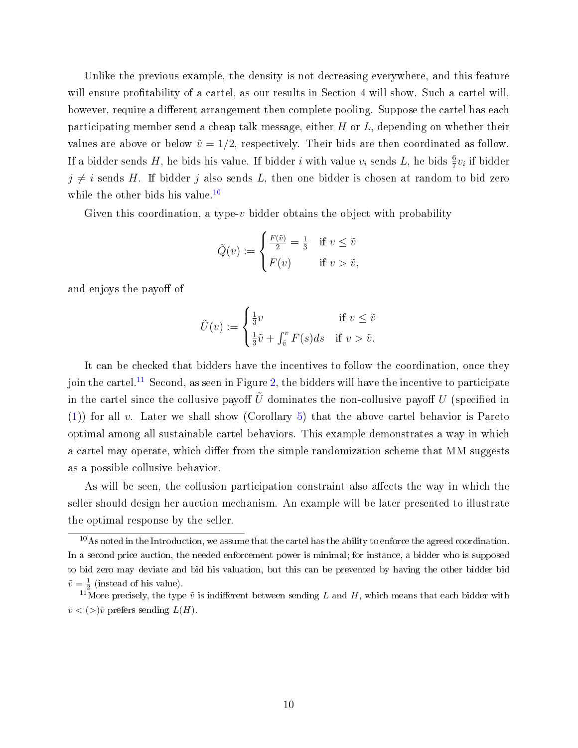Unlike the previous example, the density is not decreasing everywhere, and this feature will ensure profitability of a cartel, as our results in Section 4 will show. Such a cartel will, however, require a different arrangement then complete pooling. Suppose the cartel has each participating member send a cheap talk message, either  $H$  or  $L$ , depending on whether their values are above or below  $\tilde{v} = 1/2$ , respectively. Their bids are then coordinated as follow. If a bidder sends H, he bids his value. If bidder  $i$  with value  $v_i$  sends L, he bids  $\frac{6}{7}v_i$  if bidder  $j \neq i$  sends H. If bidder j also sends L, then one bidder is chosen at random to bid zero while the other bids his value.<sup>[10](#page-9-0)</sup>

Given this coordination, a type- $v$  bidder obtains the object with probability

$$
\tilde{Q}(v) := \begin{cases} \frac{F(\tilde{v})}{2} = \frac{1}{3} & \text{if } v \leq \tilde{v} \\ F(v) & \text{if } v > \tilde{v}, \end{cases}
$$

and enjoys the payoff of

$$
\tilde{U}(v) := \begin{cases} \frac{1}{3}v & \text{if } v \leq \tilde{v} \\ \frac{1}{3}\tilde{v} + \int_{\tilde{v}}^{v} F(s)ds & \text{if } v > \tilde{v}. \end{cases}
$$

It can be checked that bidders have the incentives to follow the coordination, once they join the cartel.<sup>[11](#page-9-1)</sup> Second, as seen in Figure [2,](#page-10-0) the bidders will have the incentive to participate in the cartel since the collusive payoff  $\tilde{U}$  dominates the non-collusive payoff U (specified in [\(1\)](#page-8-1)) for all v. Later we shall show (Corollary [5\)](#page-21-0) that the above cartel behavior is Pareto optimal among all sustainable cartel behaviors. This example demonstrates a way in which a cartel may operate, which differ from the simple randomization scheme that MM suggests as a possible collusive behavior.

As will be seen, the collusion participation constraint also affects the way in which the seller should design her auction mechanism. An example will be later presented to illustrate the optimal response by the seller.

<span id="page-9-0"></span> $10$ As noted in the Introduction, we assume that the cartel has the ability to enforce the agreed coordination. In a second price auction, the needed enforcement power is minimal; for instance, a bidder who is supposed to bid zero may deviate and bid his valuation, but this can be prevented by having the other bidder bid  $\tilde{v} = \frac{1}{2}$  (instead of his value).

<span id="page-9-1"></span><sup>&</sup>lt;sup>11</sup>More precisely, the type  $\tilde{v}$  is indifferent between sending L and H, which means that each bidder with  $v < (>)\tilde{v}$  prefers sending  $L(H)$ .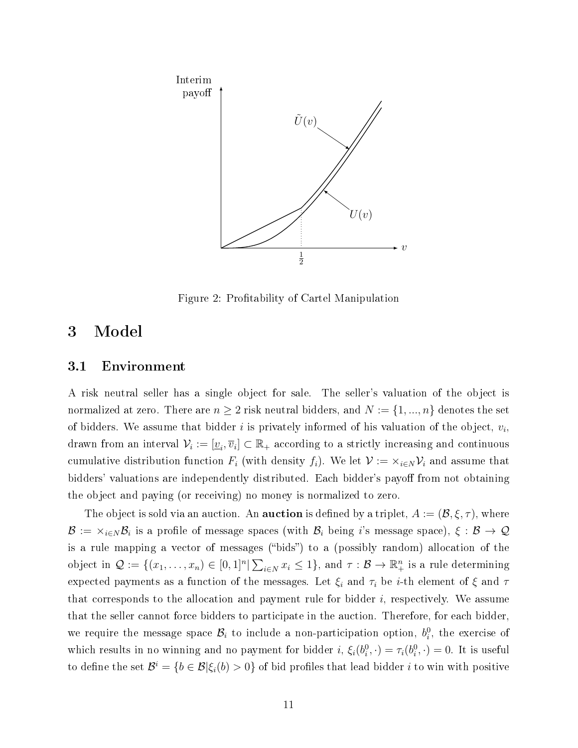<span id="page-10-0"></span>

Figure 2: Profitability of Cartel Manipulation

### <span id="page-10-1"></span>3 Model

#### 3.1 Environment

A risk neutral seller has a single object for sale. The seller's valuation of the object is normalized at zero. There are  $n \geq 2$  risk neutral bidders, and  $N := \{1, ..., n\}$  denotes the set of bidders. We assume that bidder  $i$  is privately informed of his valuation of the object,  $v_i$ , drawn from an interval  $\mathcal{V}_i := [\underline{v}_i, \overline{v}_i] \subset \mathbb{R}_+$  according to a strictly increasing and continuous cumulative distribution function  $F_i$  (with density  $f_i$ ). We let  $\mathcal{V} := \times_{i \in N} \mathcal{V}_i$  and assume that bidders' valuations are independently distributed. Each bidder's payoff from not obtaining the object and paying (or receiving) no money is normalized to zero.

The object is sold via an auction. An  ${\bf a }$ uction is defined by a triplet,  $A := (\mathcal{B},\xi,\tau),$  where  ${\cal B}:=\times_{i\in N}{\cal B}_i$  is a profile of message spaces (with  ${\cal B}_i$  being  $i$ 's message space),  $\xi:{\cal B}\to{\cal Q}$ is a rule mapping a vector of messages ("bids") to a (possibly random) allocation of the object in  $\mathcal{Q} := \{(x_1, \ldots, x_n) \in [0,1]^n | \sum_{i \in N} x_i \leq 1\}$ , and  $\tau : \mathcal{B} \to \mathbb{R}^n_+$  is a rule determining expected payments as a function of the messages. Let  $\xi_i$  and  $\tau_i$  be *i*-th element of  $\xi$  and  $\tau$ that corresponds to the allocation and payment rule for bidder  $i$ , respectively. We assume that the seller cannot force bidders to participate in the auction. Therefore, for each bidder, we require the message space  $\mathcal{B}_i$  to include a non-participation option,  $b_i^0$ , the exercise of which results in no winning and no payment for bidder  $i, \xi_i(b_i^0, \cdot) = \tau_i(b_i^0, \cdot) = 0$ . It is useful to define the set  $\mathcal{B}^i = \{b \in \mathcal{B} | \xi_i(b) > 0\}$  of bid profiles that lead bidder i to win with positive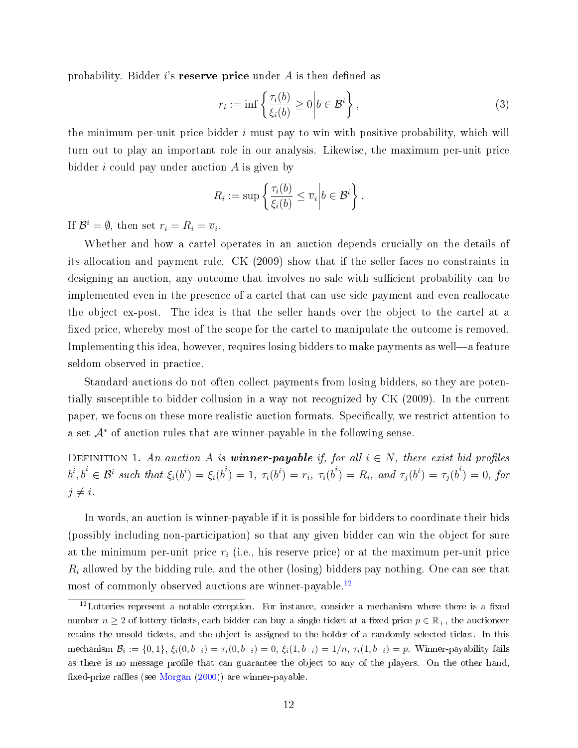probability. Bidder i's reserve price under  $A$  is then defined as

<span id="page-11-1"></span>
$$
r_i := \inf \left\{ \frac{\tau_i(b)}{\xi_i(b)} \ge 0 \middle| b \in \mathcal{B}^i \right\},\tag{3}
$$

the minimum per-unit price bidder  $i$  must pay to win with positive probability, which will turn out to play an important role in our analysis. Likewise, the maximum per-unit price bidder  $i$  could pay under auction  $A$  is given by

$$
R_i := \sup \left\{ \frac{\tau_i(b)}{\xi_i(b)} \leq \overline{v}_i \middle| b \in \mathcal{B}^i \right\}.
$$

If  $\mathcal{B}^i = \emptyset$ , then set  $r_i = R_i = \overline{v}_i$ .

Whether and how a cartel operates in an auction depends crucially on the details of its allocation and payment rule. CK (2009) show that if the seller faces no constraints in designing an auction, any outcome that involves no sale with sufficient probability can be implemented even in the presence of a cartel that can use side payment and even reallocate the object ex-post. The idea is that the seller hands over the object to the cartel at a fixed price, whereby most of the scope for the cartel to manipulate the outcome is removed. Implementing this idea, however, requires losing bidders to make payments as well—a feature seldom observed in practice.

Standard auctions do not often collect payments from losing bidders, so they are potentially susceptible to bidder collusion in a way not recognized by CK (2009). In the current paper, we focus on these more realistic auction formats. Specifically, we restrict attention to a set  $A^*$  of auction rules that are winner-payable in the following sense.

DEFINITION 1. An auction A is **winner-payable** if, for all  $i \in N$ , there exist bid profiles  $\underline{b}^i, \overline{b}^i \in \mathcal{B}^i$  such that  $\xi_i(\underline{b}^i) = \xi_i(\overline{b}^i) = 1$ ,  $\tau_i(\underline{b}^i) = r_i$ ,  $\tau_i(\overline{b}^i) = R_i$ , and  $\tau_j(\underline{b}^i) = \tau_j(\overline{b}^i) = 0$ , for  $j \neq i$ .

In words, an auction is winner-payable if it is possible for bidders to coordinate their bids (possibly including non-participation) so that any given bidder can win the object for sure at the minimum per-unit price  $r_i$  (i.e., his reserve price) or at the maximum per-unit price  $R_i$  allowed by the bidding rule, and the other (losing) bidders pay nothing. One can see that most of commonly observed auctions are winner-payable.[12](#page-11-0)

<span id="page-11-0"></span> $12$ Lotteries represent a notable exception. For instance, consider a mechanism where there is a fixed number  $n \geq 2$  of lottery tickets, each bidder can buy a single ticket at a fixed price  $p \in \mathbb{R}_+$ , the auctioneer retains the unsold tickets, and the object is assigned to the holder of a randomly selected ticket. In this mechanism  $\mathcal{B}_i := \{0,1\}, \, \xi_i(0,b_{-i}) = \tau_i(0,b_{-i}) = 0, \, \xi_i(1,b_{-i}) = 1/n, \, \tau_i(1,b_{-i}) = p.$  Winner-payability fails as there is no message profile that can guarantee the object to any of the players. On the other hand, fixed-prize raffles (see [Morgan](#page-51-11)  $(2000)$ ) are winner-payable.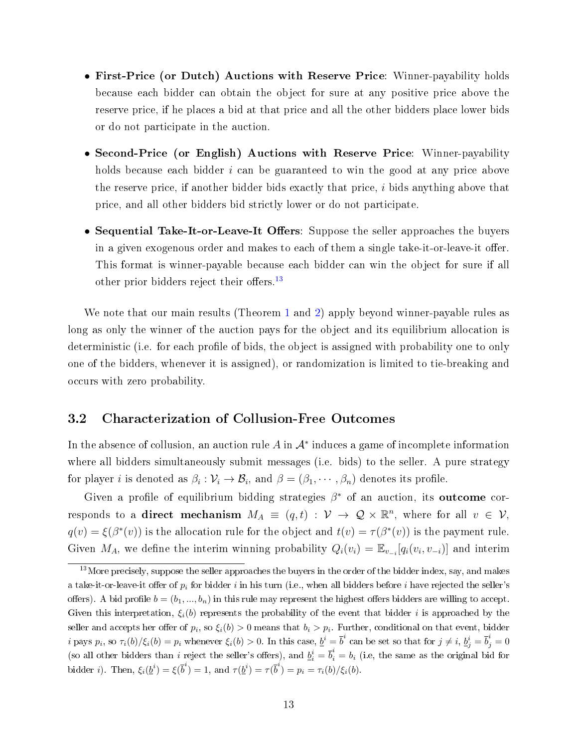- First-Price (or Dutch) Auctions with Reserve Price: Winner-payability holds because each bidder can obtain the object for sure at any positive price above the reserve price, if he places a bid at that price and all the other bidders place lower bids or do not participate in the auction.
- Second-Price (or English) Auctions with Reserve Price: Winner-payability holds because each bidder *i* can be guaranteed to win the good at any price above the reserve price, if another bidder bids exactly that price,  $i$  bids anything above that price, and all other bidders bid strictly lower or do not participate.
- Sequential Take-It-or-Leave-It Offers: Suppose the seller approaches the buyers in a given exogenous order and makes to each of them a single take-it-or-leave-it offer. This format is winner-payable because each bidder can win the object for sure if all other prior bidders reject their offers.<sup>[13](#page-12-0)</sup>

We note that our main results (Theorem [1](#page-17-0) and [2\)](#page-20-0) apply beyond winner-payable rules as long as only the winner of the auction pays for the object and its equilibrium allocation is deterministic (i.e. for each profile of bids, the object is assigned with probability one to only one of the bidders, whenever it is assigned), or randomization is limited to tie-breaking and occurs with zero probability.

#### 3.2 Characterization of Collusion-Free Outcomes

In the absence of collusion, an auction rule A in  $\mathcal{A}^*$  induces a game of incomplete information where all bidders simultaneously submit messages (i.e. bids) to the seller. A pure strategy for player *i* is denoted as  $\beta_i : \mathcal{V}_i \to \mathcal{B}_i$ , and  $\beta = (\beta_1, \cdots, \beta_n)$  denotes its profile.

Given a profile of equilibrium bidding strategies  $\beta^*$  of an auction, its outcome corresponds to a **direct mechanism**  $M_A \equiv (q, t) : \mathcal{V} \to \mathcal{Q} \times \mathbb{R}^n$ , where for all  $v \in \mathcal{V}$ ,  $q(v) = \xi(\beta^*(v))$  is the allocation rule for the object and  $t(v) = \tau(\beta^*(v))$  is the payment rule. Given  $M_A$ , we define the interim winning probability  $Q_i(v_i) = \mathbb{E}_{v_{-i}}[q_i(v_i, v_{-i})]$  and interim

<span id="page-12-0"></span><sup>&</sup>lt;sup>13</sup>More precisely, suppose the seller approaches the buyers in the order of the bidder index, say, and makes a take-it-or-leave-it offer of  $p_i$  for bidder i in his turn (i.e., when all bidders before i have rejected the seller's offers). A bid profile  $b = (b_1, ..., b_n)$  in this rule may represent the highest offers bidders are willing to accept. Given this interpretation,  $\xi_i(b)$  represents the probability of the event that bidder i is approached by the seller and accepts her offer of  $p_i$ , so  $\xi_i(b) > 0$  means that  $b_i > p_i$ . Further, conditional on that event, bidder i pays  $p_i$ , so  $\tau_i(b)/\xi_i(b) = p_i$  whenever  $\xi_i(b) > 0$ . In this case,  $\underline{b}^i = \overline{b}^i$  can be set so that for  $j \neq i$ ,  $\underline{b}_j^i = \overline{b}_j^i = 0$ (so all other bidders than i reject the seller's offers), and  $\underline{b}_i^i = \overline{b}_i^i = b_i$  (i.e, the same as the original bid for bidder *i*). Then,  $\xi_i(\underline{b}^i) = \xi(\overline{b}^i) = 1$ , and  $\tau(\underline{b}^i) = \tau(\overline{b}^i) = p_i = \tau_i(b)/\xi_i(b)$ .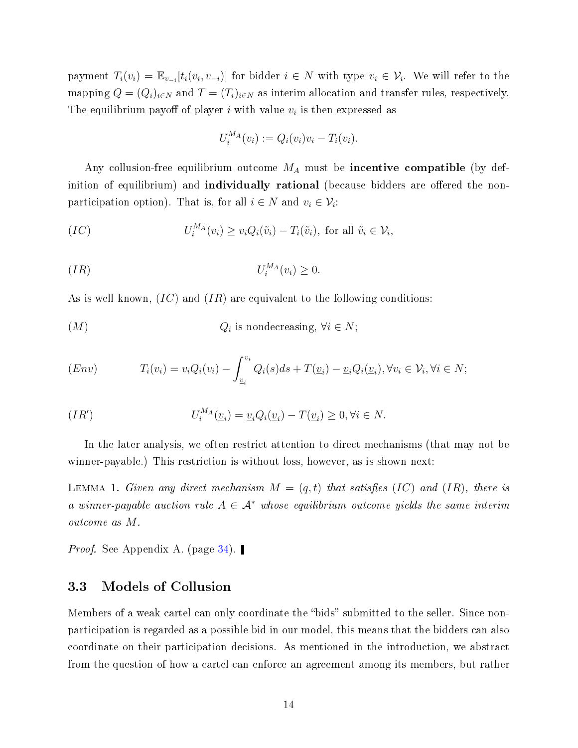payment  $T_i(v_i) = \mathbb{E}_{v_{-i}}[t_i(v_i, v_{-i})]$  for bidder  $i \in N$  with type  $v_i \in \mathcal{V}_i$ . We will refer to the mapping  $Q = (Q_i)_{i \in N}$  and  $T = (T_i)_{i \in N}$  as interim allocation and transfer rules, respectively. The equilibrium payoff of player i with value  $v_i$  is then expressed as

$$
U_i^{MA}(v_i) := Q_i(v_i)v_i - T_i(v_i).
$$

Any collusion-free equilibrium outcome  $M_A$  must be incentive compatible (by definition of equilibrium) and **individually rational** (because bidders are offered the nonparticipation option). That is, for all  $i \in N$  and  $v_i \in V_i$ :

$$
(IC) \tU_i^{M_A}(v_i) \ge v_i Q_i(\tilde{v}_i) - T_i(\tilde{v}_i), \text{ for all } \tilde{v}_i \in \mathcal{V}_i,
$$

$$
(IR) \t\t\t U_i^{M_A}(v_i) \ge 0.
$$

As is well known,  $(IC)$  and  $(IR)$  are equivalent to the following conditions:

$$
(M) \tQi \tis nondecreasing, \forall i \in N;
$$

$$
(Env) \t T_i(v_i) = v_i Q_i(v_i) - \int_{\underline{v}_i}^{v_i} Q_i(s) ds + T(\underline{v}_i) - \underline{v}_i Q_i(\underline{v}_i), \forall v_i \in \mathcal{V}_i, \forall i \in N;
$$

$$
(IR') \tU_i^{M_A}(\underline{v}_i) = \underline{v}_i Q_i(\underline{v}_i) - T(\underline{v}_i) \ge 0, \forall i \in N.
$$

In the later analysis, we often restrict attention to direct mechanisms (that may not be winner-payable.) This restriction is without loss, however, as is shown next:

<span id="page-13-0"></span>LEMMA 1. Given any direct mechanism  $M = (q, t)$  that satisfies (IC) and (IR), there is a winner-payable auction rule  $A \in \mathcal{A}^*$  whose equilibrium outcome yields the same interim outcome as M.

*Proof.* See Appendix A. (page  $34$ ).

#### 3.3 Models of Collusion

Members of a weak cartel can only coordinate the "bids" submitted to the seller. Since nonparticipation is regarded as a possible bid in our model, this means that the bidders can also coordinate on their participation decisions. As mentioned in the introduction, we abstract from the question of how a cartel can enforce an agreement among its members, but rather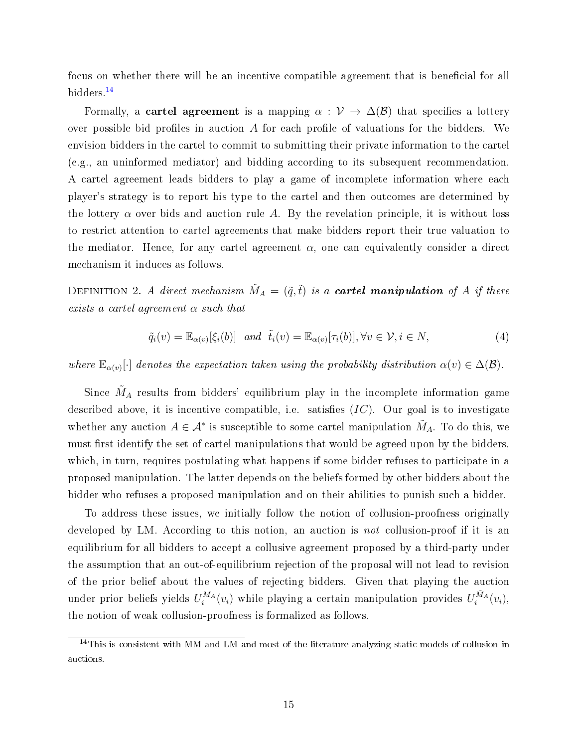focus on whether there will be an incentive compatible agreement that is beneficial for all bidders.[14](#page-14-0)

Formally, a **cartel agreement** is a mapping  $\alpha : \mathcal{V} \to \Delta(\mathcal{B})$  that specifies a lottery over possible bid profiles in auction  $A$  for each profile of valuations for the bidders. We envision bidders in the cartel to commit to submitting their private information to the cartel (e.g., an uninformed mediator) and bidding according to its subsequent recommendation. A cartel agreement leads bidders to play a game of incomplete information where each player's strategy is to report his type to the cartel and then outcomes are determined by the lottery  $\alpha$  over bids and auction rule A. By the revelation principle, it is without loss to restrict attention to cartel agreements that make bidders report their true valuation to the mediator. Hence, for any cartel agreement  $\alpha$ , one can equivalently consider a direct mechanism it induces as follows.

DEFINITION 2. A direct mechanism  $\tilde{M}_A = (\tilde{q}, \tilde{t})$  is a **cartel manipulation** of A if there exists a cartel agreement  $\alpha$  such that

<span id="page-14-1"></span>
$$
\tilde{q}_i(v) = \mathbb{E}_{\alpha(v)}[\xi_i(b)] \quad \text{and} \quad \tilde{t}_i(v) = \mathbb{E}_{\alpha(v)}[\tau_i(b)], \forall v \in \mathcal{V}, i \in N,
$$
\n
$$
\tag{4}
$$

where  $\mathbb{E}_{\alpha(v)}[\cdot]$  denotes the expectation taken using the probability distribution  $\alpha(v) \in \Delta(\mathcal{B})$ .

Since  $\tilde{M}_A$  results from bidders' equilibrium play in the incomplete information game described above, it is incentive compatible, i.e. satisfies  $(IC)$ . Our goal is to investigate whether any auction  $A \in \mathcal{A}^*$  is susceptible to some cartel manipulation  $\tilde{M}_A$ . To do this, we must first identify the set of cartel manipulations that would be agreed upon by the bidders, which, in turn, requires postulating what happens if some bidder refuses to participate in a proposed manipulation. The latter depends on the beliefs formed by other bidders about the bidder who refuses a proposed manipulation and on their abilities to punish such a bidder.

To address these issues, we initially follow the notion of collusion-proofness originally developed by LM. According to this notion, an auction is *not* collusion-proof if it is an equilibrium for all bidders to accept a collusive agreement proposed by a third-party under the assumption that an out-of-equilibrium rejection of the proposal will not lead to revision of the prior belief about the values of rejecting bidders. Given that playing the auction under prior beliefs yields  $U_i^{M_A}(v_i)$  while playing a certain manipulation provides  $U_i^{\tilde{M}_A}(v_i)$ , the notion of weak collusion-proofness is formalized as follows.

<span id="page-14-0"></span><sup>&</sup>lt;sup>14</sup>This is consistent with MM and LM and most of the literature analyzing static models of collusion in auctions.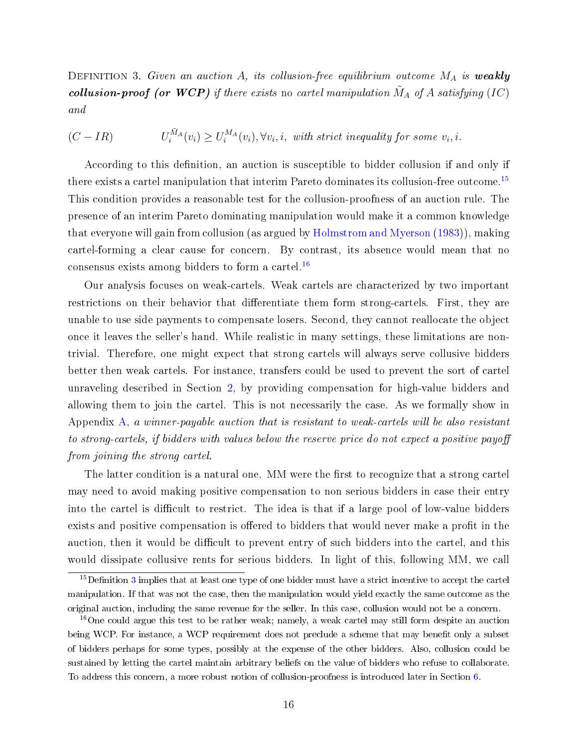<span id="page-15-2"></span>DEFINITION 3. Given an auction A, its collusion-free equilibrium outcome  $M_A$  is weakly collusion-proof (or WCP) if there exists no cartel manipulation  $\tilde{M}_A$  of A satisfying (IC) and

$$
(C - IR) \tU_i^{\tilde{M}_A}(v_i) \ge U_i^{M_A}(v_i), \forall v_i, i, \text{ with strict inequality for some } v_i, i.
$$

According to this definition, an auction is susceptible to bidder collusion if and only if there exists a cartel manipulation that interim Pareto dominates its collusion-free outcome.<sup>[15](#page-15-0)</sup> This condition provides a reasonable test for the collusion-proofness of an auction rule. The presence of an interim Pareto dominating manipulation would make it a common knowledge that everyone will gain from collusion (as argued by [Holmstrom and Myerson](#page-51-12) [\(1983\)](#page-51-12)), making cartel-forming a clear cause for concern. By contrast, its absence would mean that no consensus exists among bidders to form a cartel.<sup>[16](#page-15-1)</sup>

Our analysis focuses on weak-cartels. Weak cartels are characterized by two important restrictions on their behavior that differentiate them form strong-cartels. First, they are unable to use side payments to compensate losers. Second, they cannot reallocate the object once it leaves the seller's hand. While realistic in many settings, these limitations are nontrivial. Therefore, one might expect that strong cartels will always serve collusive bidders better then weak cartels. For instance, transfers could be used to prevent the sort of cartel unraveling described in Section [2,](#page-6-0) by providing compensation for high-value bidders and allowing them to join the cartel. This is not necessarily the case. As we formally show in Appendix [A,](#page-32-0) a winner-payable auction that is resistant to weak-cartels will be also resistant to strong-cartels, if bidders with values below the reserve price do not expect a positive payo from joining the strong cartel.

The latter condition is a natural one. MM were the first to recognize that a strong cartel may need to avoid making positive compensation to non serious bidders in case their entry into the cartel is difficult to restrict. The idea is that if a large pool of low-value bidders exists and positive compensation is offered to bidders that would never make a profit in the auction, then it would be difficult to prevent entry of such bidders into the cartel, and this would dissipate collusive rents for serious bidders. In light of this, following MM, we call

<span id="page-15-0"></span> $15$ Definition [3](#page-15-2) implies that at least one type of one bidder must have a strict incentive to accept the cartel manipulation. If that was not the case, then the manipulation would yield exactly the same outcome as the original auction, including the same revenue for the seller. In this case, collusion would not be a concern.

<span id="page-15-1"></span><sup>16</sup>One could argue this test to be rather weak; namely, a weak cartel may still form despite an auction being WCP. For instance, a WCP requirement does not preclude a scheme that may benefit only a subset of bidders perhaps for some types, possibly at the expense of the other bidders. Also, collusion could be sustained by letting the cartel maintain arbitrary beliefs on the value of bidders who refuse to collaborate. To address this concern, a more robust notion of collusion-proofness is introduced later in Section [6.](#page-28-0)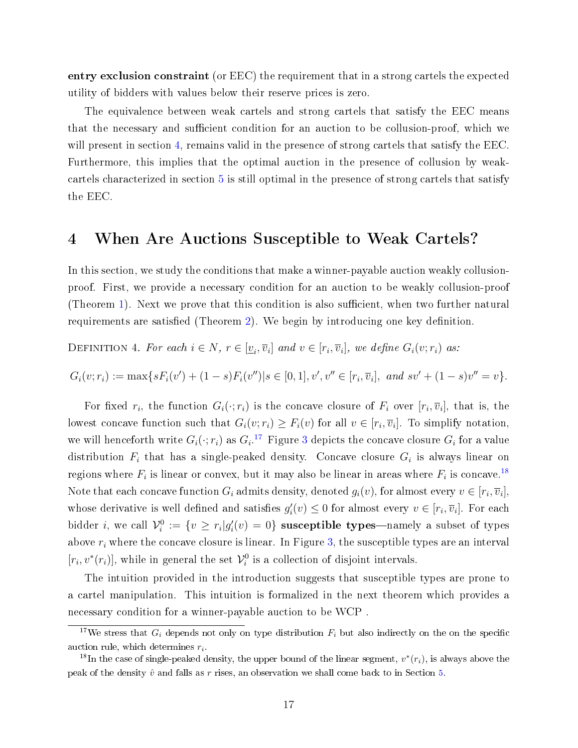entry exclusion constraint (or EEC) the requirement that in a strong cartels the expected utility of bidders with values below their reserve prices is zero.

The equivalence between weak cartels and strong cartels that satisfy the EEC means that the necessary and sufficient condition for an auction to be collusion-proof, which we will present in section [4,](#page-16-0) remains valid in the presence of strong cartels that satisfy the EEC. Furthermore, this implies that the optimal auction in the presence of collusion by weakcartels characterized in section [5](#page-22-0) is still optimal in the presence of strong cartels that satisfy the EEC.

## <span id="page-16-0"></span>4 When Are Auctions Susceptible to Weak Cartels?

In this section, we study the conditions that make a winner-payable auction weakly collusionproof. First, we provide a necessary condition for an auction to be weakly collusion-proof (Theorem [1\)](#page-17-0). Next we prove that this condition is also sufficient, when two further natural requirements are satisfied (Theorem [2\)](#page-20-0). We begin by introducing one key definition.

DEFINITION 4. For each  $i \in N$ ,  $r \in [\underline{v}_i, \overline{v}_i]$  and  $v \in [r_i, \overline{v}_i]$ , we define  $G_i(v; r_i)$  as:

 $G_i(v; r_i) := \max\{sF_i(v') + (1 - s)F_i(v'')|s \in [0, 1], v', v'' \in [r_i, \overline{v}_i], \text{ and } sv' + (1 - s)v'' = v\}.$ 

For fixed  $r_i$ , the function  $G_i(\cdot;r_i)$  is the concave closure of  $F_i$  over  $[r_i,\overline{v}_i]$ , that is, the lowest concave function such that  $G_i(v; r_i) \geq F_i(v)$  for all  $v \in [r_i, \overline{v}_i]$ . To simplify notation, we will henceforth write  $G_i(\cdot;r_i)$  as  $G_i$ .<sup>[17](#page-16-1)</sup> Figure [3](#page-17-1) depicts the concave closure  $G_i$  for a value distribution  $F_i$  that has a single-peaked density. Concave closure  $G_i$  is always linear on regions where  $F_i$  is linear or convex, but it may also be linear in areas where  $F_i$  is concave.<sup>[18](#page-16-2)</sup> Note that each concave function  $G_i$  admits density, denoted  $g_i(v)$ , for almost every  $v\in [r_i,\overline{v}_i],$ whose derivative is well defined and satisfies  $g_i'(v) \leq 0$  for almost every  $v \in [r_i, \overline{v}_i]$ . For each bidder *i*, we call  $\mathcal{V}_i^0 := \{v \geq r_i | g_i'(v) = 0\}$  susceptible types—namely a subset of types above  $r_i$  where the concave closure is linear. In Figure [3,](#page-17-1) the susceptible types are an interval  $[r_i, v^*(r_i)]$ , while in general the set  $\mathcal{V}_i^0$  is a collection of disjoint intervals.

The intuition provided in the introduction suggests that susceptible types are prone to a cartel manipulation. This intuition is formalized in the next theorem which provides a necessary condition for a winner-payable auction to be WCP .

<span id="page-16-1"></span><sup>&</sup>lt;sup>17</sup>We stress that  $G_i$  depends not only on type distribution  $F_i$  but also indirectly on the on the specific auction rule, which determines  $r_i$ .

<span id="page-16-2"></span><sup>&</sup>lt;sup>18</sup>In the case of single-peaked density, the upper bound of the linear segment,  $v^*(r_i)$ , is always above the peak of the density  $\hat{v}$  and falls as r rises, an observation we shall come back to in Section [5.](#page-22-0)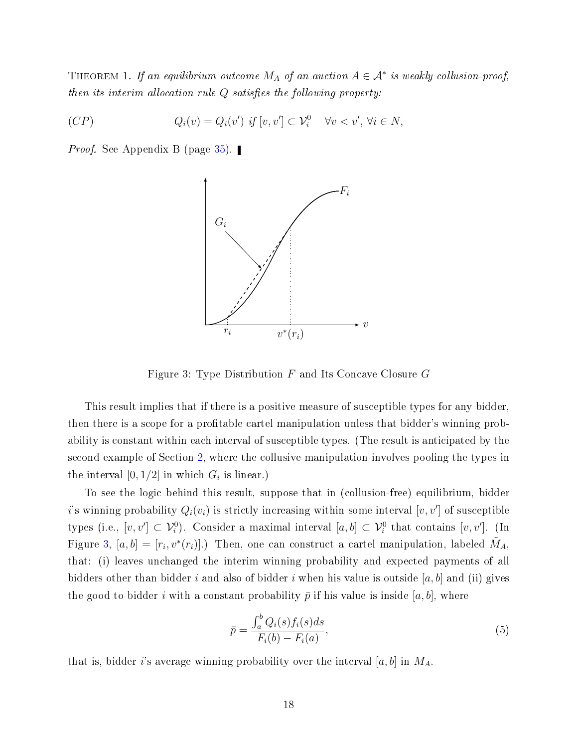<span id="page-17-0"></span>THEOREM 1. If an equilibrium outcome  $M_A$  of an auction  $A \in \mathcal{A}^*$  is weakly collusion-proof, then its interim allocation rule  $Q$  satisfies the following property:

(CP) 
$$
Q_i(v) = Q_i(v') \text{ if } [v, v'] \subset \mathcal{V}_i^0 \quad \forall v < v', \forall i \in N,
$$

<span id="page-17-1"></span>*Proof.* See Appendix B (page [35\)](#page-34-0). ■



Figure 3: Type Distribution  $F$  and Its Concave Closure  $G$ 

This result implies that if there is a positive measure of susceptible types for any bidder, then there is a scope for a profitable cartel manipulation unless that bidder's winning probability is constant within each interval of susceptible types. (The result is anticipated by the second example of Section [2,](#page-6-0) where the collusive manipulation involves pooling the types in the interval  $[0,1/2]$  in which  $G_i$  is linear.)

To see the logic behind this result, suppose that in (collusion-free) equilibrium, bidder i's winning probability  $Q_i(v_i)$  is strictly increasing within some interval  $[v, v']$  of susceptible types (i.e.,  $[v, v'] \subset V_i^0$ ). Consider a maximal interval  $[a, b] \subset V_i^0$  that contains  $[v, v']$ . (In Figure [3,](#page-17-1)  $[a, b] = [r_i, v^*(r_i)]$ .) Then, one can construct a cartel manipulation, labeled  $\tilde{M}_A$ , that: (i) leaves unchanged the interim winning probability and expected payments of all bidders other than bidder i and also of bidder i when his value is outside  $[a, b]$  and (ii) gives the good to bidder i with a constant probability  $\bar{p}$  if his value is inside [a, b], where

<span id="page-17-2"></span>
$$
\bar{p} = \frac{\int_a^b Q_i(s) f_i(s) ds}{F_i(b) - F_i(a)},\tag{5}
$$

that is, bidder i's average winning probability over the interval  $[a, b]$  in  $M_A$ .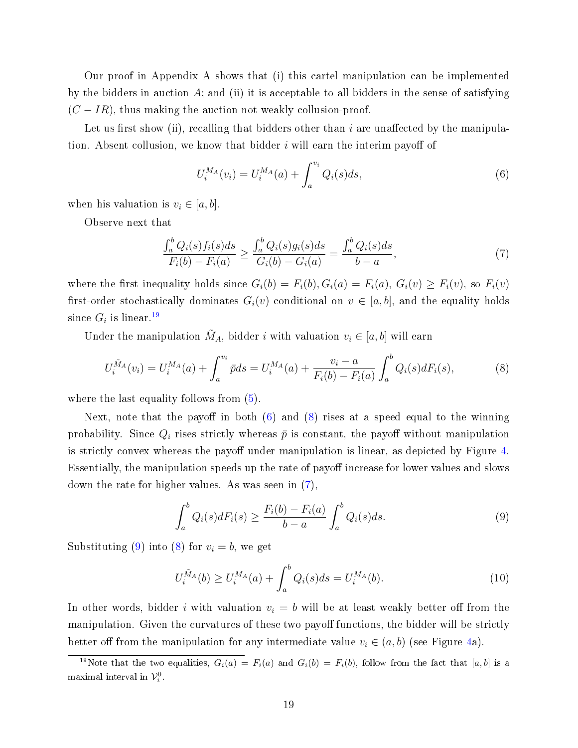Our proof in Appendix A shows that (i) this cartel manipulation can be implemented by the bidders in auction  $A$ ; and (ii) it is acceptable to all bidders in the sense of satisfying  $(C - IR)$ , thus making the auction not weakly collusion-proof.

Let us first show (ii), recalling that bidders other than i are unaffected by the manipulation. Absent collusion, we know that bidder  $i$  will earn the interim payoff of

<span id="page-18-1"></span>
$$
U_i^{MA}(v_i) = U_i^{MA}(a) + \int_a^{v_i} Q_i(s)ds,
$$
\n(6)

when his valuation is  $v_i \in [a, b]$ .

Observe next that

<span id="page-18-3"></span>
$$
\frac{\int_{a}^{b} Q_{i}(s) f_{i}(s) ds}{F_{i}(b) - F_{i}(a)} \ge \frac{\int_{a}^{b} Q_{i}(s) g_{i}(s) ds}{G_{i}(b) - G_{i}(a)} = \frac{\int_{a}^{b} Q_{i}(s) ds}{b - a},
$$
\n(7)

where the first inequality holds since  $G_i(b) = F_i(b), G_i(a) = F_i(a), G_i(v) \geq F_i(v)$ , so  $F_i(v)$ first-order stochastically dominates  $G_i(v)$  conditional on  $v \in [a, b]$ , and the equality holds since  $G_i$  is linear.<sup>[19](#page-18-0)</sup>

Under the manipulation  $\tilde{M}_A$ , bidder *i* with valuation  $v_i \in [a, b]$  will earn

<span id="page-18-2"></span>
$$
U_i^{\tilde{M}_A}(v_i) = U_i^{M_A}(a) + \int_a^{v_i} \bar{p} ds = U_i^{M_A}(a) + \frac{v_i - a}{F_i(b) - F_i(a)} \int_a^b Q_i(s) dF_i(s), \tag{8}
$$

where the last equality follows from  $(5)$ .

Next, note that the payoff in both  $(6)$  and  $(8)$  rises at a speed equal to the winning probability. Since  $Q_i$  rises strictly whereas  $\bar{p}$  is constant, the payoff without manipulation is strictly convex whereas the payoff under manipulation is linear, as depicted by Figure [4.](#page-19-0) Essentially, the manipulation speeds up the rate of payoff increase for lower values and slows down the rate for higher values. As was seen in [\(7\)](#page-18-3),

<span id="page-18-4"></span>
$$
\int_{a}^{b} Q_{i}(s) dF_{i}(s) \ge \frac{F_{i}(b) - F_{i}(a)}{b - a} \int_{a}^{b} Q_{i}(s) ds.
$$
\n(9)

Substituting [\(9\)](#page-18-4) into [\(8\)](#page-18-2) for  $v_i = b$ , we get

$$
U_i^{\tilde{M}_A}(b) \ge U_i^{M_A}(a) + \int_a^b Q_i(s)ds = U_i^{M_A}(b). \tag{10}
$$

In other words, bidder i with valuation  $v_i = b$  will be at least weakly better off from the manipulation. Given the curvatures of these two payoff functions, the bidder will be strictly better off from the manipulation for any intermediate value  $v_i \in (a, b)$  (see Figure [4a](#page-19-0)).

<span id="page-18-0"></span><sup>&</sup>lt;sup>19</sup>Note that the two equalities,  $G_i(a) = F_i(a)$  and  $G_i(b) = F_i(b)$ , follow from the fact that [a, b] is a maximal interval in  $\mathcal{V}_i^0$ .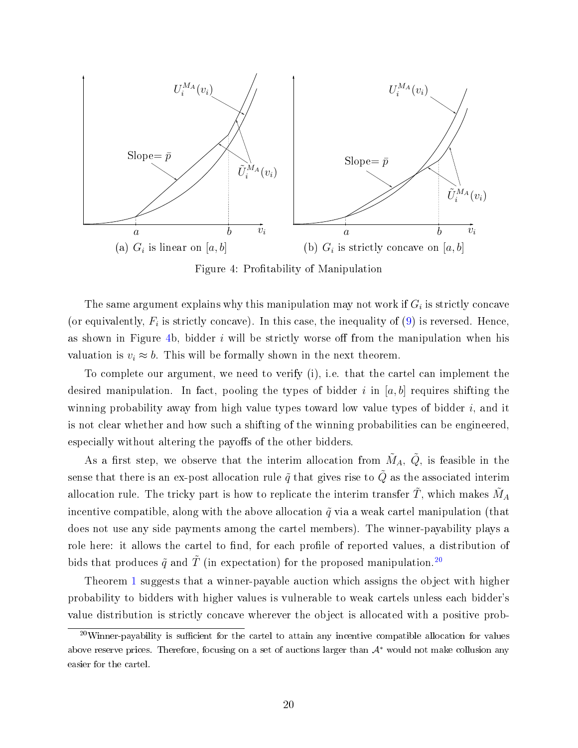<span id="page-19-0"></span>

Figure 4: Profitability of Manipulation

The same argument explains why this manipulation may not work if  $G_i$  is strictly concave (or equivalently,  $F_i$  is strictly concave). In this case, the inequality of  $(9)$  is reversed. Hence, as shown in Figure [4b](#page-19-0), bidder i will be strictly worse off from the manipulation when his valuation is  $v_i \approx b$ . This will be formally shown in the next theorem.

To complete our argument, we need to verify (i), i.e. that the cartel can implement the desired manipulation. In fact, pooling the types of bidder i in [a, b] requires shifting the winning probability away from high value types toward low value types of bidder  $i$ , and it is not clear whether and how such a shifting of the winning probabilities can be engineered, especially without altering the payoffs of the other bidders.

As a first step, we observe that the interim allocation from  $\tilde{M}_A$ ,  $\tilde{Q}$ , is feasible in the sense that there is an ex-post allocation rule  $\tilde{q}$  that gives rise to  $\tilde{Q}$  as the associated interim allocation rule. The tricky part is how to replicate the interim transfer  $\tilde{T},$  which makes  $\tilde{M}_A$ incentive compatible, along with the above allocation  $\tilde{q}$  via a weak cartel manipulation (that does not use any side payments among the cartel members). The winner-payability plays a role here: it allows the cartel to find, for each profile of reported values, a distribution of bids that produces  $\tilde{q}$  and  $\tilde{T}$  (in expectation) for the proposed manipulation.<sup>[20](#page-19-1)</sup>

Theorem [1](#page-17-0) suggests that a winner-payable auction which assigns the object with higher probability to bidders with higher values is vulnerable to weak cartels unless each bidder's value distribution is strictly concave wherever the object is allocated with a positive prob-

<span id="page-19-1"></span> $20$ Winner-payability is sufficient for the cartel to attain any incentive compatible allocation for values above reserve prices. Therefore, focusing on a set of auctions larger than  $A^*$  would not make collusion any easier for the cartel.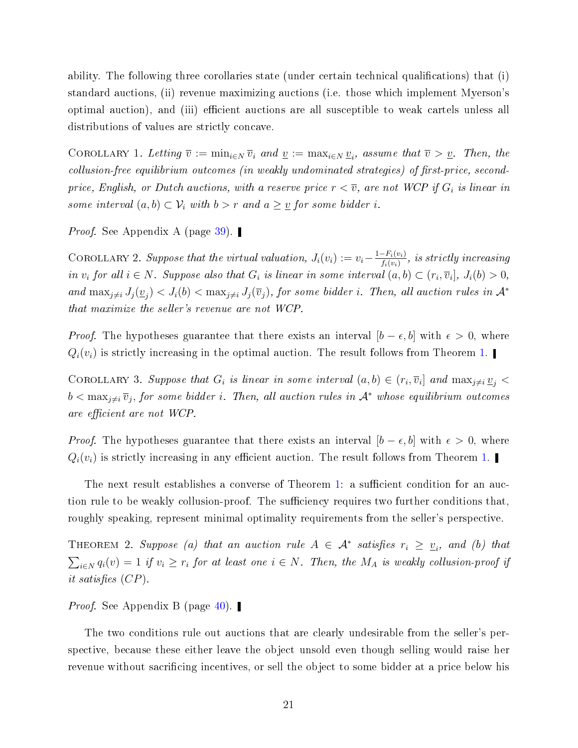ability. The following three corollaries state (under certain technical qualifications) that (i) standard auctions, (ii) revenue maximizing auctions (i.e. those which implement Myerson's optimal auction), and (iii) efficient auctions are all susceptible to weak cartels unless all distributions of values are strictly concave.

<span id="page-20-2"></span>COROLLARY 1. Letting  $\overline{v} := \min_{i \in N} \overline{v}_i$  and  $\underline{v} := \max_{i \in N} \underline{v}_i$ , assume that  $\overline{v} > \underline{v}$ . Then, the  $collusion-free\ equilibrium\ outcomes\ (in\ weakly\ undominated\ strategies) \ of\ first-price,\ second$ price, English, or Dutch auctions, with a reserve price  $r < \overline{v}$ , are not WCP if  $G_i$  is linear in some interval  $(a, b) \subset V_i$  with  $b > r$  and  $a \geq v$  for some bidder i.

*Proof.* See Appendix A (page [39\)](#page-37-0). ■

<span id="page-20-1"></span>COROLLARY 2. Suppose that the virtual valuation,  $J_i(v_i) := v_i - \frac{1-F_i(v_i)}{f_i(v_i)}$  $\frac{-F_i(v_i)}{f_i(v_i)},$  is strictly increasing in  $v_i$  for all  $i \in N$ . Suppose also that  $G_i$  is linear in some interval  $(a, b) \subset (r_i, \overline{v}_i], J_i(b) > 0$ , and  $\max_{j\neq i} J_j(\underline{v}_j) < J_i(b) < \max_{j\neq i} J_j(\overline{v}_j)$ , for some bidder i. Then, all auction rules in  $\mathcal{A}^*$ that maximize the seller's revenue are not WCP.

*Proof.* The hypotheses guarantee that there exists an interval  $[b - \epsilon, b]$  with  $\epsilon > 0$ , where  $Q_i(v_i)$  is strictly increasing in the optimal auction. The result follows from Theorem [1.](#page-17-0)

COROLLARY 3. Suppose that  $G_i$  is linear in some interval  $(a, b) \in (r_i, \overline{v}_i]$  and  $\max_{j \neq i} \underline{v}_j$  $b < \max_{j \neq i} \overline{v}_j$ , for some bidder i. Then, all auction rules in  $\mathcal{A}^*$  whose equilibrium outcomes are efficient are not WCP.

*Proof.* The hypotheses guarantee that there exists an interval  $[b - \epsilon, b]$  with  $\epsilon > 0$ , where  $Q_i(v_i)$  is strictly increasing in any efficient auction. The result follows from Theorem [1.](#page-17-0)

The next result establishes a converse of Theorem [1:](#page-17-0) a sufficient condition for an auction rule to be weakly collusion-proof. The sufficiency requires two further conditions that, roughly speaking, represent minimal optimality requirements from the seller's perspective.

<span id="page-20-0"></span>THEOREM 2. Suppose (a) that an auction rule  $A \in \mathcal{A}^*$  satisfies  $r_i \geq v_i$ , and (b) that  $\sum_{i\in N} q_i(v) = 1$  if  $v_i \geq r_i$  for at least one  $i \in N$ . Then, the  $M_A$  is weakly collusion-proof if it satisfies  $(CP)$ .

*Proof.* See Appendix B (page [40\)](#page-37-0).

The two conditions rule out auctions that are clearly undesirable from the seller's perspective, because these either leave the object unsold even though selling would raise her revenue without sacrificing incentives, or sell the object to some bidder at a price below his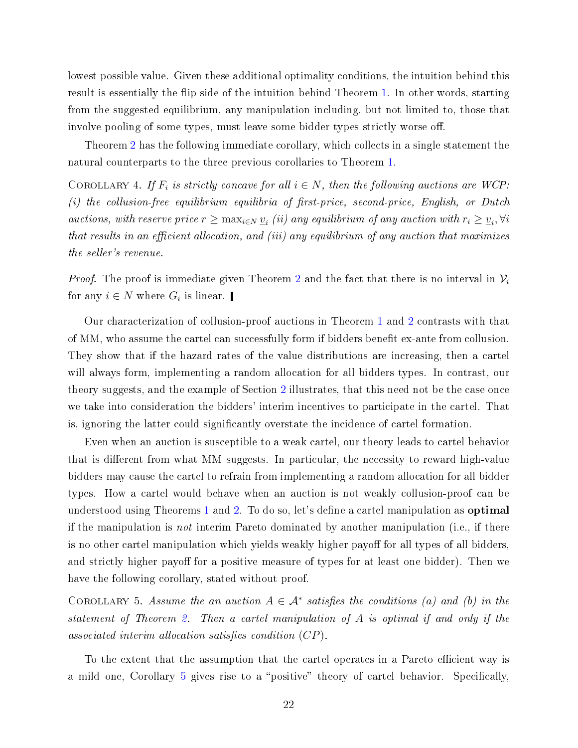lowest possible value. Given these additional optimality conditions, the intuition behind this result is essentially the flip-side of the intuition behind Theorem [1.](#page-17-0) In other words, starting from the suggested equilibrium, any manipulation including, but not limited to, those that involve pooling of some types, must leave some bidder types strictly worse off.

Theorem [2](#page-20-0) has the following immediate corollary, which collects in a single statement the natural counterparts to the three previous corollaries to Theorem [1.](#page-17-0)

<span id="page-21-1"></span>COROLLARY 4. If  $F_i$  is strictly concave for all  $i \in N$ , then the following auctions are WCP:  $(i)$  the collusion-free equilibrium equilibria of first-price, second-price, English, or Dutch auctions, with reserve price  $r \ge \max_{i \in N} \underline{v}_i$  (ii) any equilibrium of any auction with  $r_i \ge \underline{v}_i$ ,  $\forall i$ that results in an efficient allocation, and (iii) any equilibrium of any auction that maximizes the seller's revenue.

*Proof.* The proof is immediate given Theorem [2](#page-20-0) and the fact that there is no interval in  $\mathcal{V}_i$ for any  $i \in N$  where  $G_i$  is linear.

Our characterization of collusion-proof auctions in Theorem [1](#page-17-0) and [2](#page-20-0) contrasts with that of MM, who assume the cartel can successfully form if bidders benefit ex-ante from collusion. They show that if the hazard rates of the value distributions are increasing, then a cartel will always form, implementing a random allocation for all bidders types. In contrast, our theory suggests, and the example of Section [2](#page-6-0) illustrates, that this need not be the case once we take into consideration the bidders' interim incentives to participate in the cartel. That is, ignoring the latter could signicantly overstate the incidence of cartel formation.

Even when an auction is susceptible to a weak cartel, our theory leads to cartel behavior that is different from what MM suggests. In particular, the necessity to reward high-value bidders may cause the cartel to refrain from implementing a random allocation for all bidder types. How a cartel would behave when an auction is not weakly collusion-proof can be understood using Theorems [1](#page-17-0) and [2.](#page-20-0) To do so, let's define a cartel manipulation as **optimal** if the manipulation is not interim Pareto dominated by another manipulation (i.e., if there is no other cartel manipulation which yields weakly higher payoff for all types of all bidders. and strictly higher payoff for a positive measure of types for at least one bidder). Then we have the following corollary, stated without proof.

<span id="page-21-0"></span>COROLLARY 5. Assume the an auction  $A \in \mathcal{A}^*$  satisfies the conditions (a) and (b) in the statement of Theorem [2.](#page-20-0) Then a cartel manipulation of A is optimal if and only if the associated interim allocation satisfies condition  $(CP)$ .

To the extent that the assumption that the cartel operates in a Pareto efficient way is a mild one, Corollary [5](#page-21-0) gives rise to a "positive" theory of cartel behavior. Specifically,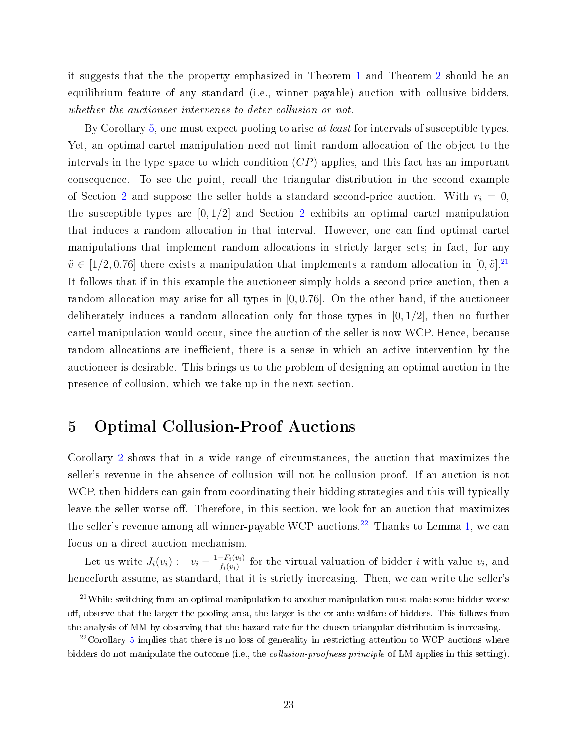it suggests that the the property emphasized in Theorem [1](#page-17-0) and Theorem [2](#page-20-0) should be an equilibrium feature of any standard (i.e., winner payable) auction with collusive bidders, whether the auctioneer intervenes to deter collusion or not.

By Corollary [5,](#page-21-0) one must expect pooling to arise *at least* for intervals of susceptible types. Yet, an optimal cartel manipulation need not limit random allocation of the object to the intervals in the type space to which condition  $(CP)$  applies, and this fact has an important consequence. To see the point, recall the triangular distribution in the second example of Section [2](#page-6-0) and suppose the seller holds a standard second-price auction. With  $r_i = 0$ , the susceptible types are  $[0, 1/2]$  $[0, 1/2]$  $[0, 1/2]$  and Section 2 exhibits an optimal cartel manipulation that induces a random allocation in that interval. However, one can find optimal cartel manipulations that implement random allocations in strictly larger sets; in fact, for any  $\tilde{v} \in [1/2, 0.76]$  there exists a manipulation that implements a random allocation in  $[0, \tilde{v}]$ .<sup>[21](#page-22-1)</sup> It follows that if in this example the auctioneer simply holds a second price auction, then a random allocation may arise for all types in  $[0, 0.76]$ . On the other hand, if the auctioneer deliberately induces a random allocation only for those types in  $[0, 1/2]$ , then no further cartel manipulation would occur, since the auction of the seller is now WCP. Hence, because random allocations are inefficient, there is a sense in which an active intervention by the auctioneer is desirable. This brings us to the problem of designing an optimal auction in the presence of collusion, which we take up in the next section.

## <span id="page-22-0"></span>5 Optimal Collusion-Proof Auctions

Corollary [2](#page-20-1) shows that in a wide range of circumstances, the auction that maximizes the seller's revenue in the absence of collusion will not be collusion-proof. If an auction is not WCP, then bidders can gain from coordinating their bidding strategies and this will typically leave the seller worse off. Therefore, in this section, we look for an auction that maximizes the seller's revenue among all winner-payable WCP auctions.<sup>[22](#page-22-2)</sup> Thanks to Lemma [1,](#page-13-0) we can focus on a direct auction mechanism.

Let us write  $J_i(v_i) := v_i - \frac{1-F_i(v_i)}{f_i(v_i)}$  $\frac{-F_i(v_i)}{f_i(v_i)}$  for the virtual valuation of bidder *i* with value  $v_i$ , and henceforth assume, as standard, that it is strictly increasing. Then, we can write the seller's

<span id="page-22-1"></span> $21$ While switching from an optimal manipulation to another manipulation must make some bidder worse off, observe that the larger the pooling area, the larger is the ex-ante welfare of bidders. This follows from the analysis of MM by observing that the hazard rate for the chosen triangular distribution is increasing.

<span id="page-22-2"></span> $22$ Corollary [5](#page-21-0) implies that there is no loss of generality in restricting attention to WCP auctions where bidders do not manipulate the outcome (i.e., the *collusion-proofness principle* of LM applies in this setting).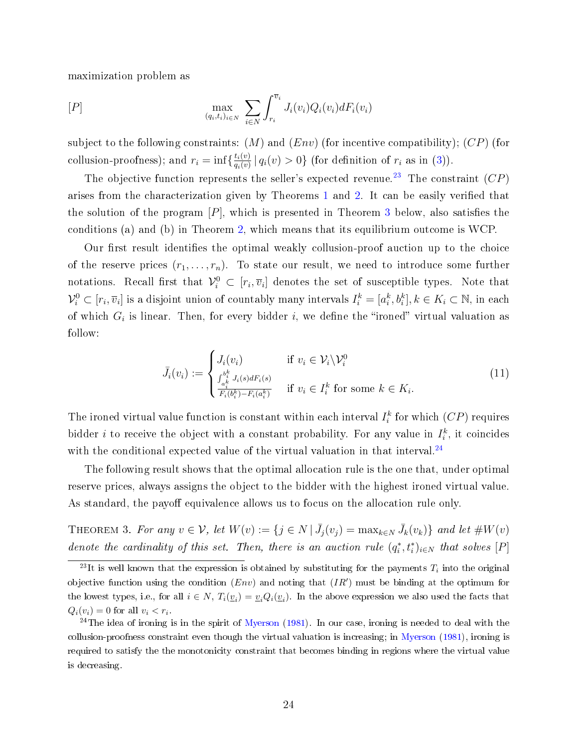maximization problem as

$$
[P] \qquad \qquad \max_{(q_i, t_i)_{i \in N}} \sum_{i \in N} \int_{r_i}^{\overline{v}_i} J_i(v_i) Q_i(v_i) dF_i(v_i)
$$

subject to the following constraints:  $(M)$  and  $(Env)$  (for incentive compatibility);  $(CP)$  (for collusion-proofness); and  $r_i = \inf \{ \frac{t_i(v)}{a_i(v)} \}$  $\frac{t_i(v)}{q_i(v)}\,|\,q_i(v) > 0\}$  (for definition of  $r_i$  as in [\(3\)](#page-11-1)).

The objective function represents the seller's expected revenue.<sup>[23](#page-23-1)</sup> The constraint  $(CP)$ arises from the characterization given by Theorems [1](#page-17-0) and [2.](#page-20-0) It can be easily veried that the solution of the program  $[P]$ , which is presented in Theorem [3](#page-23-0) below, also satisfies the conditions (a) and (b) in Theorem [2,](#page-20-0) which means that its equilibrium outcome is WCP.

Our first result identifies the optimal weakly collusion-proof auction up to the choice of the reserve prices  $(r_1, \ldots, r_n)$ . To state our result, we need to introduce some further notations. Recall first that  $\mathcal{V}_i^0 \subset [r_i, \overline{v}_i]$  denotes the set of susceptible types. Note that  $\mathcal{V}_i^0\subset[r_i,\overline{v}_i]$  is a disjoint union of countably many intervals  $I_i^k=[a_i^k,b_i^k], k\in K_i\subset\mathbb{N}$ , in each of which  $G_i$  is linear. Then, for every bidder i, we define the "ironed" virtual valuation as follow:

<span id="page-23-3"></span>
$$
\bar{J}_i(v_i) := \begin{cases}\nJ_i(v_i) & \text{if } v_i \in \mathcal{V}_i \backslash \mathcal{V}_i^0 \\
\frac{\int_{a_i^k}^{b_i^k} J_i(s) dF_i(s)}{F_i(b_i^k) - F_i(a_i^k)} & \text{if } v_i \in I_i^k \text{ for some } k \in K_i.\n\end{cases}
$$
\n(11)

The ironed virtual value function is constant within each interval  $I_i^k$  for which  $(CP)$  requires bidder *i* to receive the object with a constant probability. For any value in  $I_i^k$ , it coincides with the conditional expected value of the virtual valuation in that interval.<sup>[24](#page-23-2)</sup>

The following result shows that the optimal allocation rule is the one that, under optimal reserve prices, always assigns the object to the bidder with the highest ironed virtual value. As standard, the payoff equivalence allows us to focus on the allocation rule only.

<span id="page-23-0"></span>THEOREM 3. For any  $v \in \mathcal{V}$ , let  $W(v) := \{j \in N \mid \bar{J}_j(v_j) = \max_{k \in N} \bar{J}_k(v_k)\}\$  and let  $\#W(v)$ denote the cardinality of this set. Then, there is an auction rule  $(q_i^*, t_i^*)_{i \in N}$  that solves  $[P]$ 

<span id="page-23-1"></span><sup>&</sup>lt;sup>23</sup>It is well known that the expression is obtained by substituting for the payments  $T_i$  into the original objective function using the condition  $(Env)$  and noting that  $(IR')$  must be binding at the optimum for the lowest types, i.e., for all  $i \in N$ ,  $T_i(\underline{v}_i) = \underline{v}_i Q_i(\underline{v}_i)$ . In the above expression we also used the facts that  $Q_i(v_i) = 0$  for all  $v_i < r_i$ .

<span id="page-23-2"></span> $24$ The idea of ironing is in the spirit of [Myerson](#page-51-10) [\(1981\)](#page-51-10). In our case, ironing is needed to deal with the collusion-proofness constraint even though the virtual valuation is increasing; in [Myerson](#page-51-10) [\(1981\)](#page-51-10), ironing is required to satisfy the the monotonicity constraint that becomes binding in regions where the virtual value is decreasing.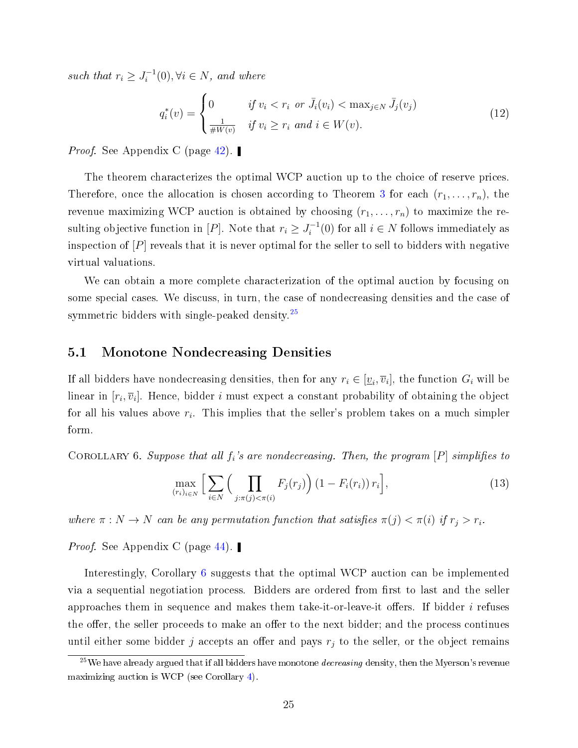such that  $r_i \geq J_i^{-1}$  $i_i^{-1}(0), \forall i \in N, \text{ and where}$ 

<span id="page-24-2"></span>
$$
q_i^*(v) = \begin{cases} 0 & \text{if } v_i < r_i \text{ or } \bar{J}_i(v_i) < \max_{j \in N} \bar{J}_j(v_j) \\ \frac{1}{\# W(v)} & \text{if } v_i \ge r_i \text{ and } i \in W(v). \end{cases}
$$
(12)

*Proof.* See Appendix C (page [42\)](#page-41-0). ■

The theorem characterizes the optimal WCP auction up to the choice of reserve prices. Therefore, once the allocation is chosen according to Theorem [3](#page-23-0) for each  $(r_1, \ldots, r_n)$ , the revenue maximizing WCP auction is obtained by choosing  $(r_1, \ldots, r_n)$  to maximize the resulting objective function in [P]. Note that  $r_i \geq J_i^{-1}$  $i_i^{-1}(0)$  for all  $i \in N$  follows immediately as inspection of  $[P]$  reveals that it is never optimal for the seller to sell to bidders with negative virtual valuations.

We can obtain a more complete characterization of the optimal auction by focusing on some special cases. We discuss, in turn, the case of nondecreasing densities and the case of symmetric bidders with single-peaked density.<sup>[25](#page-24-0)</sup>

#### 5.1 Monotone Nondecreasing Densities

If all bidders have nondecreasing densities, then for any  $r_i \in [\underline{v}_i,\overline{v}_i],$  the function  $G_i$  will be linear in  $[r_i,\overline{v}_i]$ . Hence, bidder  $i$  must expect a constant probability of obtaining the object for all his values above  $r_i$ . This implies that the seller's problem takes on a much simpler form.

<span id="page-24-1"></span>COROLLARY 6. Suppose that all  $f_i$ 's are nondecreasing. Then, the program  $[P]$  simplifies to

<span id="page-24-3"></span>
$$
\max_{(r_i)_{i \in N}} \Big[ \sum_{i \in N} \Big( \prod_{j: \pi(j) < \pi(i)} F_j(r_j) \Big) \left( 1 - F_i(r_i) \right) r_i \Big],\tag{13}
$$

where  $\pi : N \to N$  can be any permutation function that satisfies  $\pi(j) < \pi(i)$  if  $r_j > r_i$ .

*Proof.* See Appendix C (page [44\)](#page-42-0).

Interestingly, Corollary [6](#page-24-1) suggests that the optimal WCP auction can be implemented via a sequential negotiation process. Bidders are ordered from first to last and the seller approaches them in sequence and makes them take-it-or-leave-it offers. If bidder  $i$  refuses the offer, the seller proceeds to make an offer to the next bidder; and the process continues until either some bidder j accepts an offer and pays  $r_j$  to the seller, or the object remains

<span id="page-24-0"></span> $25$ We have already argued that if all bidders have monotone *decreasing* density, then the Myerson's revenue maximizing auction is WCP (see Corollary [4\)](#page-21-1).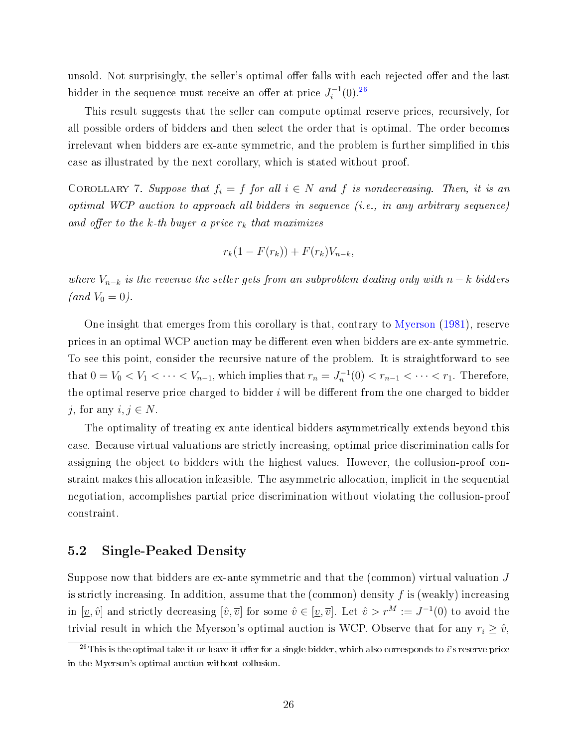unsold. Not surprisingly, the seller's optimal offer falls with each rejected offer and the last bidder in the sequence must receive an offer at price  $J_i^{-1}$  $i^{-1}(0).^{26}$  $i^{-1}(0).^{26}$  $i^{-1}(0).^{26}$ 

This result suggests that the seller can compute optimal reserve prices, recursively, for all possible orders of bidders and then select the order that is optimal. The order becomes irrelevant when bidders are ex-ante symmetric, and the problem is further simplied in this case as illustrated by the next corollary, which is stated without proof.

COROLLARY 7. Suppose that  $f_i = f$  for all  $i \in N$  and f is nondecreasing. Then, it is an optimal WCP auction to approach all bidders in sequence (i.e., in any arbitrary sequence) and offer to the  $k$ -th buyer a price  $r_k$  that maximizes

$$
r_k(1 - F(r_k)) + F(r_k)V_{n-k},
$$

where  $V_{n-k}$  is the revenue the seller gets from an subproblem dealing only with  $n-k$  bidders (*and*  $V_0 = 0$ ).

One insight that emerges from this corollary is that, contrary to [Myerson](#page-51-10) [\(1981\)](#page-51-10), reserve prices in an optimal WCP auction may be different even when bidders are ex-ante symmetric. To see this point, consider the recursive nature of the problem. It is straightforward to see that  $0 = V_0 < V_1 < \cdots < V_{n-1}$ , which implies that  $r_n = J_n^{-1}(0) < r_{n-1} < \cdots < r_1$ . Therefore, the optimal reserve price charged to bidder  $i$  will be different from the one charged to bidder j, for any  $i, j \in N$ .

The optimality of treating ex ante identical bidders asymmetrically extends beyond this case. Because virtual valuations are strictly increasing, optimal price discrimination calls for assigning the object to bidders with the highest values. However, the collusion-proof constraint makes this allocation infeasible. The asymmetric allocation, implicit in the sequential negotiation, accomplishes partial price discrimination without violating the collusion-proof constraint.

#### 5.2 Single-Peaked Density

Suppose now that bidders are ex-ante symmetric and that the (common) virtual valuation J is strictly increasing. In addition, assume that the (common) density  $f$  is (weakly) increasing in  $[\underline{v}, \hat{v}]$  and strictly decreasing  $[\hat{v}, \overline{v}]$  for some  $\hat{v} \in [\underline{v}, \overline{v}]$ . Let  $\hat{v} > r^M := J^{-1}(0)$  to avoid the trivial result in which the Myerson's optimal auction is WCP. Observe that for any  $r_i \geq \hat{v}$ ,

<span id="page-25-0"></span> $^{26}$ This is the optimal take-it-or-leave-it offer for a single bidder, which also corresponds to i's reserve price in the Myerson's optimal auction without collusion.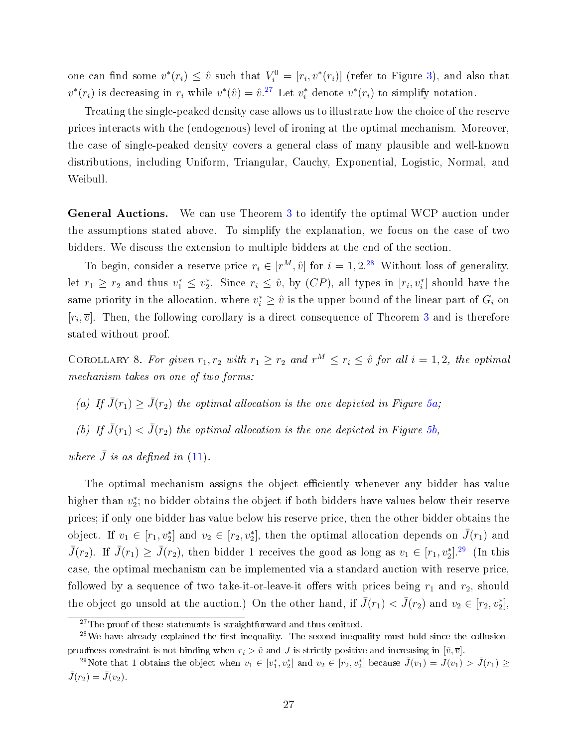one can find some  $v^*(r_i) \leq \hat{v}$  such that  $V_i^0 = [r_i, v^*(r_i)]$  (refer to Figure [3\)](#page-17-1), and also that  $v^*(r_i)$  is decreasing in  $r_i$  while  $v^*(\hat{v}) = \hat{v}^{27}$  $v^*(\hat{v}) = \hat{v}^{27}$  $v^*(\hat{v}) = \hat{v}^{27}$ . Let  $v_i^*$  denote  $v^*(r_i)$  to simplify notation.

Treating the single-peaked density case allows us to illustrate how the choice of the reserve prices interacts with the (endogenous) level of ironing at the optimal mechanism. Moreover, the case of single-peaked density covers a general class of many plausible and well-known distributions, including Uniform, Triangular, Cauchy, Exponential, Logistic, Normal, and Weibull.

General Auctions. We can use Theorem [3](#page-23-0) to identify the optimal WCP auction under the assumptions stated above. To simplify the explanation, we focus on the case of two bidders. We discuss the extension to multiple bidders at the end of the section.

To begin, consider a reserve price  $r_i \in [r^M, \hat{v}]$  for  $i = 1, 2^{28}$  $i = 1, 2^{28}$  $i = 1, 2^{28}$  Without loss of generality, let  $r_1 \geq r_2$  and thus  $v_1^* \leq v_2^*$ . Since  $r_i \leq \hat{v}$ , by  $(CP)$ , all types in  $[r_i, v_i^*]$  should have the same priority in the allocation, where  $v_i^* \geq \hat{v}$  is the upper bound of the linear part of  $G_i$  on  $[r_i, \overline{v}]$ . Then, the following corollary is a direct consequence of Theorem [3](#page-23-0) and is therefore stated without proof.

COROLLARY 8. For given  $r_1, r_2$  with  $r_1 \geq r_2$  and  $r^M \leq r_i \leq \hat{v}$  for all  $i = 1, 2$ , the optimal mechanism takes on one of two forms:

- (a) If  $\bar{J}(r_1) \geq \bar{J}(r_2)$  the optimal allocation is the one depicted in Figure [5a;](#page-27-0)
- (b) If  $\bar{J}(r_1) < \bar{J}(r_2)$  the optimal allocation is the one depicted in Figure [5b,](#page-27-0)

where  $\bar{J}$  is as defined in [\(11\)](#page-23-3).

The optimal mechanism assigns the object efficiently whenever any bidder has value higher than  $v_2^*$ ; no bidder obtains the object if both bidders have values below their reserve prices; if only one bidder has value below his reserve price, then the other bidder obtains the object. If  $v_1 \in [r_1, v_2^*]$  and  $v_2 \in [r_2, v_2^*]$ , then the optimal allocation depends on  $\bar{J}(r_1)$  and  $\bar{J}(r_2)$ . If  $\bar{J}(r_1) \geq \bar{J}(r_2)$ , then bidder 1 receives the good as long as  $v_1 \in [r_1, v_2^*]$ .<sup>[29](#page-26-2)</sup> (In this case, the optimal mechanism can be implemented via a standard auction with reserve price, followed by a sequence of two take-it-or-leave-it offers with prices being  $r_1$  and  $r_2$ , should the object go unsold at the auction.) On the other hand, if  $\bar{J}(r_1) < \bar{J}(r_2)$  and  $v_2 \in [r_2, v_2^*]$ ,

<span id="page-26-1"></span><span id="page-26-0"></span> $27$ The proof of these statements is straightforward and thus omitted.

 $^{28}$ We have already explained the first inequality. The second inequality must hold since the collusionproofness constraint is not binding when  $r_i > \hat{v}$  and J is strictly positive and increasing in  $[\hat{v}, \overline{v}]$ .

<span id="page-26-2"></span><sup>&</sup>lt;sup>29</sup>Note that 1 obtains the object when  $v_1 \in [v_1^*, v_2^*]$  and  $v_2 \in [r_2, v_2^*]$  because  $\bar{J}(v_1) = \bar{J}(v_1) > \bar{J}(r_1) \geq$  $\bar{J}(r_2) = \bar{J}(v_2).$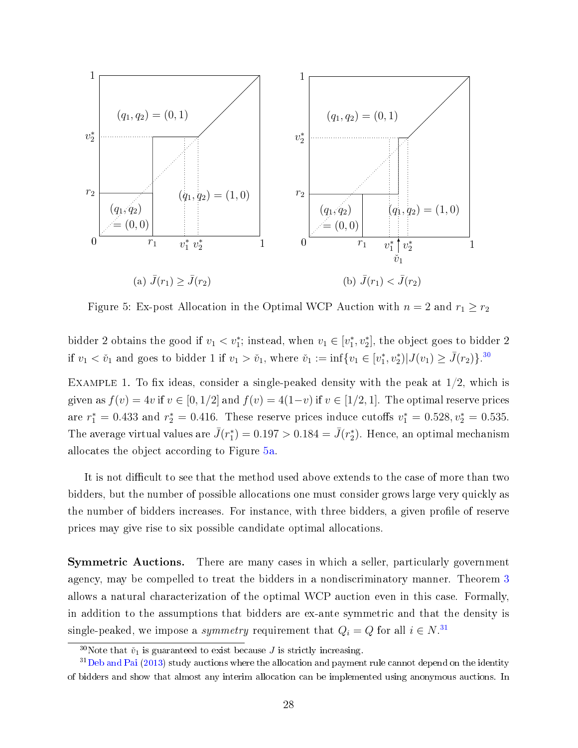<span id="page-27-0"></span>

Figure 5: Ex-post Allocation in the Optimal WCP Auction with  $n = 2$  and  $r_1 \ge r_2$ 

bidder 2 obtains the good if  $v_1 < v_1^*$ ; instead, when  $v_1 \in [v_1^*, v_2^*]$ , the object goes to bidder 2 if  $v_1 < \tilde{v}_1$  and goes to bidder 1 if  $v_1 > \tilde{v}_1$ , where  $\tilde{v}_1 := \inf\{v_1 \in [v_1^*, v_2^*) | J(v_1) \ge \bar{J}(r_2) \}$ .<sup>[30](#page-27-1)</sup>

EXAMPLE 1. To fix ideas, consider a single-peaked density with the peak at  $1/2$ , which is given as  $f(v) = 4v$  if  $v \in [0, 1/2]$  and  $f(v) = 4(1-v)$  if  $v \in [1/2, 1]$ . The optimal reserve prices are  $r_1^* = 0.433$  and  $r_2^* = 0.416$ . These reserve prices induce cutoffs  $v_1^* = 0.528, v_2^* = 0.535$ . The average virtual values are  $\bar{J}(r_{1}^{*}) = 0.197 > 0.184 = \bar{J}(r_{2}^{*})$ . Hence, an optimal mechanism allocates the object according to Figure [5a.](#page-27-0)

It is not difficult to see that the method used above extends to the case of more than two bidders, but the number of possible allocations one must consider grows large very quickly as the number of bidders increases. For instance, with three bidders, a given profile of reserve prices may give rise to six possible candidate optimal allocations.

Symmetric Auctions. There are many cases in which a seller, particularly government agency, may be compelled to treat the bidders in a nondiscriminatory manner. Theorem [3](#page-23-0) allows a natural characterization of the optimal WCP auction even in this case. Formally, in addition to the assumptions that bidders are ex-ante symmetric and that the density is single-peaked, we impose a *symmetry* requirement that  $Q_i = Q$  for all  $i \in N$ .<sup>[31](#page-27-2)</sup>

<span id="page-27-2"></span><span id="page-27-1"></span><sup>&</sup>lt;sup>30</sup>Note that  $\check{v}_1$  is guaranteed to exist because J is strictly increasing.

<sup>&</sup>lt;sup>31</sup>[Deb and Pai](#page-50-11) [\(2013\)](#page-50-11) study auctions where the allocation and payment rule cannot depend on the identity of bidders and show that almost any interim allocation can be implemented using anonymous auctions. In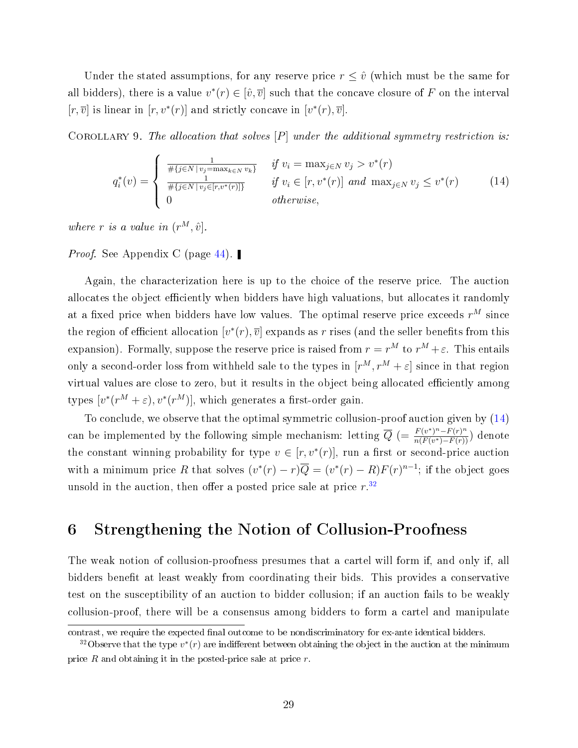Under the stated assumptions, for any reserve price  $r \leq \hat{v}$  (which must be the same for all bidders), there is a value  $v^*(r) \in [\hat{v}, \overline{v}]$  such that the concave closure of F on the interval  $[r, \overline{v}]$  is linear in  $[r, v^*(r)]$  and strictly concave in  $[v^*(r), \overline{v}]$ .

<span id="page-28-3"></span>COROLLARY 9. The allocation that solves  $[P]$  under the additional symmetry restriction is:

<span id="page-28-1"></span>
$$
q_i^*(v) = \begin{cases} \frac{1}{\# \{j \in N \mid v_j = \max_{k \in N} v_k\}} & \text{if } v_i = \max_{j \in N} v_j > v^*(r) \\ \frac{1}{\# \{j \in N \mid v_j \in [r, v^*(r)]\}} & \text{if } v_i \in [r, v^*(r)] \text{ and } \max_{j \in N} v_j \le v^*(r) \\ 0 & \text{otherwise,} \end{cases} \tag{14}
$$

where r is a value in  $(r^M, \hat{v})$ .

*Proof.* See Appendix C (page [44\)](#page-42-0). ■

Again, the characterization here is up to the choice of the reserve price. The auction allocates the object efficiently when bidders have high valuations, but allocates it randomly at a fixed price when bidders have low values. The optimal reserve price exceeds  $r^M$  since the region of efficient allocation  $[v^*(r), \overline{v}]$  expands as r rises (and the seller benefits from this expansion). Formally, suppose the reserve price is raised from  $r = r^M$  to  $r^M + \varepsilon$ . This entails only a second-order loss from withheld sale to the types in  $[r^M, r^M + \varepsilon]$  since in that region virtual values are close to zero, but it results in the object being allocated efficiently among types  $[v^*(r^M + \varepsilon), v^*(r^M)],$  which generates a first-order gain.

To conclude, we observe that the optimal symmetric collusion-proof auction given by [\(14\)](#page-28-1) can be implemented by the following simple mechanism: letting  $\overline{Q} = \frac{F(v^*)^n - F(r)^n}{n(F(v^*) - F(r))}$  $\frac{F(v^{\prime})^n-F(r)^n}{n(F(v^*)-F(r))}$  denote the constant winning probability for type  $v \in [r, v^*(r)]$ , run a first or second-price auction with a minimum price R that solves  $(v^*(r) - r)\overline{Q} = (v^*(r) - R)F(r)^{n-1}$ ; if the object goes unsold in the auction, then offer a posted price sale at price  $r^{32}$  $r^{32}$  $r^{32}$ 

## <span id="page-28-0"></span>6 Strengthening the Notion of Collusion-Proofness

The weak notion of collusion-proofness presumes that a cartel will form if, and only if, all bidders benefit at least weakly from coordinating their bids. This provides a conservative test on the susceptibility of an auction to bidder collusion; if an auction fails to be weakly collusion-proof, there will be a consensus among bidders to form a cartel and manipulate

contrast, we require the expected final outcome to be nondiscriminatory for ex-ante identical bidders.

<span id="page-28-2"></span><sup>&</sup>lt;sup>32</sup>Observe that the type  $v^*(r)$  are indifferent between obtaining the object in the auction at the minimum price  $R$  and obtaining it in the posted-price sale at price  $r$ .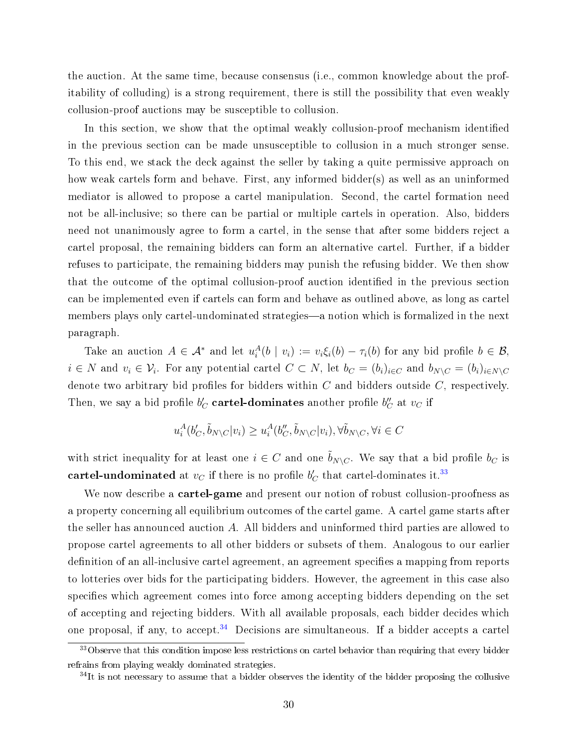the auction. At the same time, because consensus (i.e., common knowledge about the profitability of colluding) is a strong requirement, there is still the possibility that even weakly collusion-proof auctions may be susceptible to collusion.

In this section, we show that the optimal weakly collusion-proof mechanism identified in the previous section can be made unsusceptible to collusion in a much stronger sense. To this end, we stack the deck against the seller by taking a quite permissive approach on how weak cartels form and behave. First, any informed bidder(s) as well as an uninformed mediator is allowed to propose a cartel manipulation. Second, the cartel formation need not be all-inclusive; so there can be partial or multiple cartels in operation. Also, bidders need not unanimously agree to form a cartel, in the sense that after some bidders reject a cartel proposal, the remaining bidders can form an alternative cartel. Further, if a bidder refuses to participate, the remaining bidders may punish the refusing bidder. We then show that the outcome of the optimal collusion-proof auction identified in the previous section can be implemented even if cartels can form and behave as outlined above, as long as cartel members plays only cartel-undominated strategies—a notion which is formalized in the next paragraph.

Take an auction  $A \in \mathcal{A}^*$  and let  $u_i^A(b \mid v_i) := v_i \xi_i(b) - \tau_i(b)$  for any bid profile  $b \in \mathcal{B}$ ,  $i \in N$  and  $v_i \in V_i$ . For any potential cartel  $C \subset N$ , let  $b_C = (b_i)_{i \in C}$  and  $b_{N \setminus C} = (b_i)_{i \in N \setminus C}$ denote two arbitrary bid profiles for bidders within  $C$  and bidders outside  $C$ , respectively. Then, we say a bid profile  $b_C'$  cartel-dominates another profile  $b_C''$  at  $v_C$  if

$$
u_i^A(b'_C,\tilde{b}_{N\backslash C}|v_i)\geq u_i^A(b''_C,\tilde{b}_{N\backslash C}|v_i), \forall \tilde{b}_{N\backslash C}, \forall i\in C
$$

with strict inequality for at least one  $i \in C$  and one  $\tilde{b}_{N\setminus C}$ . We say that a bid profile  $b_C$  is  $\textbf{cartel-undominated} \, \, \text{at} \, \, v_C \, \, \text{if there is no profile} \, \, b_C' \, \, \text{that} \, \, \text{cartel-dominates it.}^{33}$  $\textbf{cartel-undominated} \, \, \text{at} \, \, v_C \, \, \text{if there is no profile} \, \, b_C' \, \, \text{that} \, \, \text{cartel-dominates it.}^{33}$  $\textbf{cartel-undominated} \, \, \text{at} \, \, v_C \, \, \text{if there is no profile} \, \, b_C' \, \, \text{that} \, \, \text{cartel-dominates it.}^{33}$ 

We now describe a **cartel-game** and present our notion of robust collusion-proofness as a property concerning all equilibrium outcomes of the cartel game. A cartel game starts after the seller has announced auction A. All bidders and uninformed third parties are allowed to propose cartel agreements to all other bidders or subsets of them. Analogous to our earlier definition of an all-inclusive cartel agreement, an agreement specifies a mapping from reports to lotteries over bids for the participating bidders. However, the agreement in this case also specifies which agreement comes into force among accepting bidders depending on the set of accepting and rejecting bidders. With all available proposals, each bidder decides which one proposal, if any, to accept.<sup>[34](#page-29-1)</sup> Decisions are simultaneous. If a bidder accepts a cartel

<span id="page-29-0"></span><sup>&</sup>lt;sup>33</sup>Observe that this condition impose less restrictions on cartel behavior than requiring that every bidder refrains from playing weakly dominated strategies.

<span id="page-29-1"></span> $34$ It is not necessary to assume that a bidder observes the identity of the bidder proposing the collusive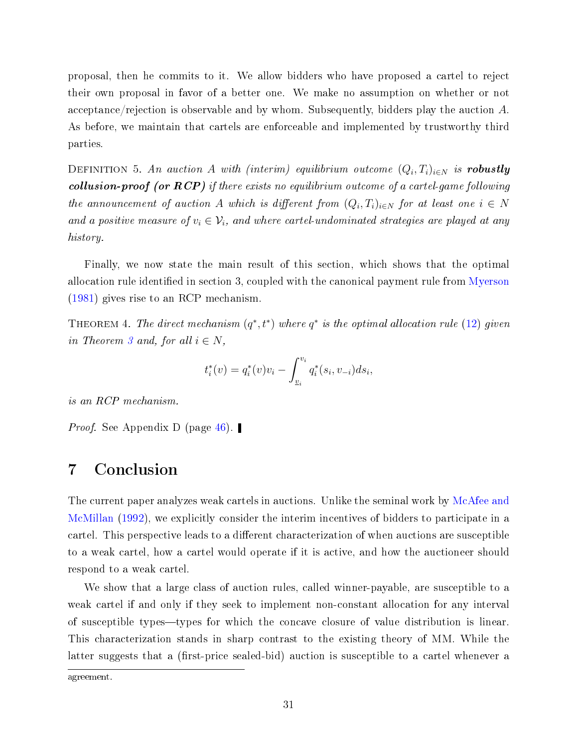proposal, then he commits to it. We allow bidders who have proposed a cartel to reject their own proposal in favor of a better one. We make no assumption on whether or not acceptance/rejection is observable and by whom. Subsequently, bidders play the auction A. As before, we maintain that cartels are enforceable and implemented by trustworthy third parties.

DEFINITION 5. An auction A with (interim) equilibrium outcome  $(Q_i, T_i)_{i \in N}$  is robustly collusion-proof (or  $RCP$ ) if there exists no equilibrium outcome of a cartel-game following the announcement of auction A which is different from  $(Q_i, T_i)_{i \in N}$  for at least one  $i \in N$ and a positive measure of  $v_i \in V_i$ , and where cartel-undominated strategies are played at any history.

Finally, we now state the main result of this section, which shows that the optimal allocation rule identified in section 3, coupled with the canonical payment rule from [Myerson](#page-51-10) [\(1981\)](#page-51-10) gives rise to an RCP mechanism.

<span id="page-30-0"></span>THEOREM 4. The direct mechanism  $(q^*, t^*)$  where  $q^*$  is the optimal allocation rule [\(12\)](#page-24-2) given in Theorem [3](#page-23-0) and, for all  $i \in N$ ,

$$
t_i^*(v) = q_i^*(v)v_i - \int_{\underline{v}_i}^{v_i} q_i^*(s_i, v_{-i}) ds_i,
$$

is an RCP mechanism.

*Proof.* See Appendix D (page [46\)](#page-45-0).

## 7 Conclusion

The current paper analyzes weak cartels in auctions. Unlike the seminal work by [McAfee and](#page-51-0) [McMillan](#page-51-0) [\(1992\)](#page-51-0), we explicitly consider the interim incentives of bidders to participate in a cartel. This perspective leads to a different characterization of when auctions are susceptible to a weak cartel, how a cartel would operate if it is active, and how the auctioneer should respond to a weak cartel.

We show that a large class of auction rules, called winner-payable, are susceptible to a weak cartel if and only if they seek to implement non-constant allocation for any interval of susceptible types—types for which the concave closure of value distribution is linear. This characterization stands in sharp contrast to the existing theory of MM. While the latter suggests that a (first-price sealed-bid) auction is susceptible to a cartel whenever a

agreement.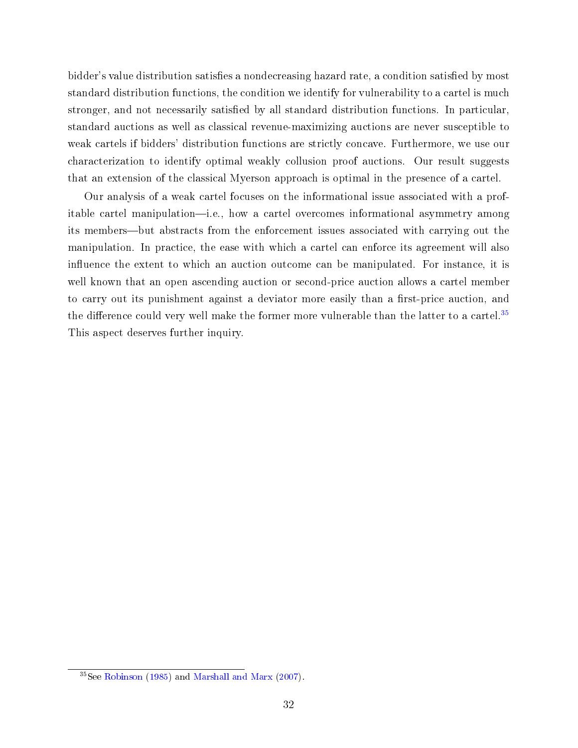bidder's value distribution satisfies a nondecreasing hazard rate, a condition satisfied by most standard distribution functions, the condition we identify for vulnerability to a cartel is much stronger, and not necessarily satisfied by all standard distribution functions. In particular, standard auctions as well as classical revenue-maximizing auctions are never susceptible to weak cartels if bidders' distribution functions are strictly concave. Furthermore, we use our characterization to identify optimal weakly collusion proof auctions. Our result suggests that an extension of the classical Myerson approach is optimal in the presence of a cartel.

Our analysis of a weak cartel focuses on the informational issue associated with a profitable cartel manipulation—i.e., how a cartel overcomes informational asymmetry among its members—but abstracts from the enforcement issues associated with carrying out the manipulation. In practice, the ease with which a cartel can enforce its agreement will also influence the extent to which an auction outcome can be manipulated. For instance, it is well known that an open ascending auction or second-price auction allows a cartel member to carry out its punishment against a deviator more easily than a first-price auction, and the difference could very well make the former more vulnerable than the latter to a cartel.<sup>[35](#page-31-0)</sup> This aspect deserves further inquiry.

<span id="page-31-0"></span> $35$ See [Robinson](#page-51-5) [\(1985\)](#page-51-5) and [Marshall and Marx](#page-51-7) [\(2007\)](#page-51-7).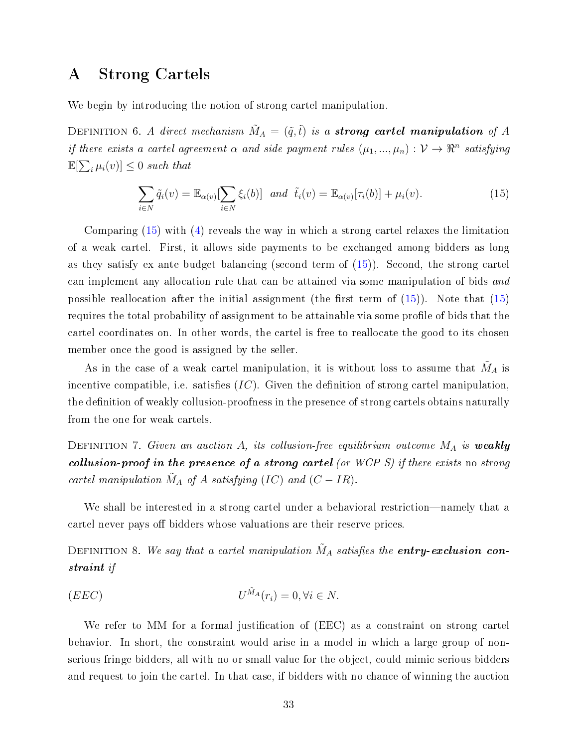### <span id="page-32-0"></span>A Strong Cartels

We begin by introducing the notion of strong cartel manipulation.

DEFINITION 6. A direct mechanism  $\tilde{M}_A = (\tilde{q}, \tilde{t})$  is a strong cartel manipulation of A if there exists a cartel agreement  $\alpha$  and side payment rules  $(\mu_1, ..., \mu_n) : \mathcal{V} \to \mathbb{R}^n$  satisfying  $\mathbb{E}[\sum_i \mu_i(v)] \leq 0$  such that

<span id="page-32-1"></span>
$$
\sum_{i\in N}\tilde{q}_i(v)=\mathbb{E}_{\alpha(v)}\left[\sum_{i\in N}\xi_i(b)\right] \text{ and } \tilde{t}_i(v)=\mathbb{E}_{\alpha(v)}[\tau_i(b)]+\mu_i(v). \tag{15}
$$

Comparing [\(15\)](#page-32-1) with [\(4\)](#page-14-1) reveals the way in which a strong cartel relaxes the limitation of a weak cartel. First, it allows side payments to be exchanged among bidders as long as they satisfy ex ante budget balancing (second term of [\(15\)](#page-32-1)). Second, the strong cartel can implement any allocation rule that can be attained via some manipulation of bids and possible reallocation after the initial assignment (the first term of  $(15)$ ). Note that  $(15)$ requires the total probability of assignment to be attainable via some profile of bids that the cartel coordinates on. In other words, the cartel is free to reallocate the good to its chosen member once the good is assigned by the seller.

As in the case of a weak cartel manipulation, it is without loss to assume that  $\tilde{M}_A$  is incentive compatible, i.e. satisfies  $(IC)$ . Given the definition of strong cartel manipulation, the definition of weakly collusion-proofness in the presence of strong cartels obtains naturally from the one for weak cartels.

DEFINITION 7. Given an auction A, its collusion-free equilibrium outcome  $M_A$  is weakly collusion-proof in the presence of a strong cartel (or WCP-S) if there exists no strong cartel manipulation  $\tilde{M}_A$  of A satisfying (IC) and  $(C - IR)$ .

We shall be interested in a strong cartel under a behavioral restriction—namely that a cartel never pays off bidders whose valuations are their reserve prices.

DEFINITION 8. We say that a cartel manipulation  $\tilde{M}_A$  satisfies the entry-exclusion constraint if

(EEC) U <sup>M</sup>˜<sup>A</sup> (ri) = 0, ∀i ∈ N.

We refer to MM for a formal justification of (EEC) as a constraint on strong cartel behavior. In short, the constraint would arise in a model in which a large group of nonserious fringe bidders, all with no or small value for the object, could mimic serious bidders and request to join the cartel. In that case, if bidders with no chance of winning the auction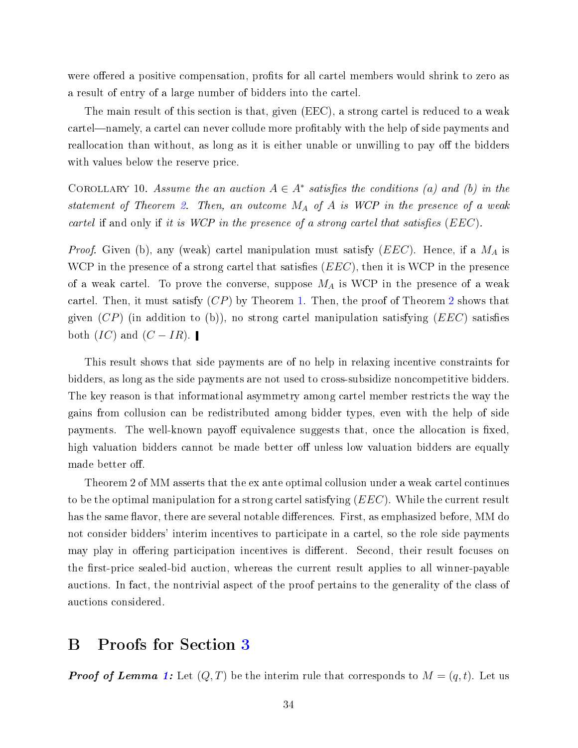were offered a positive compensation, profits for all cartel members would shrink to zero as a result of entry of a large number of bidders into the cartel.

The main result of this section is that, given (EEC), a strong cartel is reduced to a weak cartel—namely, a cartel can never collude more profitably with the help of side payments and reallocation than without, as long as it is either unable or unwilling to pay off the bidders with values below the reserve price.

COROLLARY 10. Assume the an auction  $A \in A^*$  satisfies the conditions (a) and (b) in the statement of Theorem [2.](#page-20-0) Then, an outcome  $M_A$  of A is WCP in the presence of a weak cartel if and only if it is WCP in the presence of a strong cartel that satisfies  $(EEC)$ .

*Proof.* Given (b), any (weak) cartel manipulation must satisfy  $(EEC)$ . Hence, if a  $M_A$  is WCP in the presence of a strong cartel that satisfies  $(EEC)$ , then it is WCP in the presence of a weak cartel. To prove the converse, suppose  $M_A$  is WCP in the presence of a weak cartel. Then, it must satisfy  $(CP)$  by Theorem [1.](#page-17-0) Then, the proof of Theorem [2](#page-20-0) shows that given  $(CP)$  (in addition to (b)), no strong cartel manipulation satisfying  $(EEC)$  satisfies both  $(IC)$  and  $(C - IR)$ .

This result shows that side payments are of no help in relaxing incentive constraints for bidders, as long as the side payments are not used to cross-subsidize noncompetitive bidders. The key reason is that informational asymmetry among cartel member restricts the way the gains from collusion can be redistributed among bidder types, even with the help of side payments. The well-known payoff equivalence suggests that, once the allocation is fixed. high valuation bidders cannot be made better off unless low valuation bidders are equally made better off.

Theorem 2 of MM asserts that the ex ante optimal collusion under a weak cartel continues to be the optimal manipulation for a strong cartel satisfying  $(EEC)$ . While the current result has the same flavor, there are several notable differences. First, as emphasized before, MM do not consider bidders' interim incentives to participate in a cartel, so the role side payments may play in offering participation incentives is different. Second, their result focuses on the first-price sealed-bid auction, whereas the current result applies to all winner-payable auctions. In fact, the nontrivial aspect of the proof pertains to the generality of the class of auctions considered.

## <span id="page-33-0"></span>B Proofs for Section [3](#page-10-1)

**Proof of Lemma [1:](#page-13-0)** Let  $(Q, T)$  be the interim rule that corresponds to  $M = (q, t)$ . Let us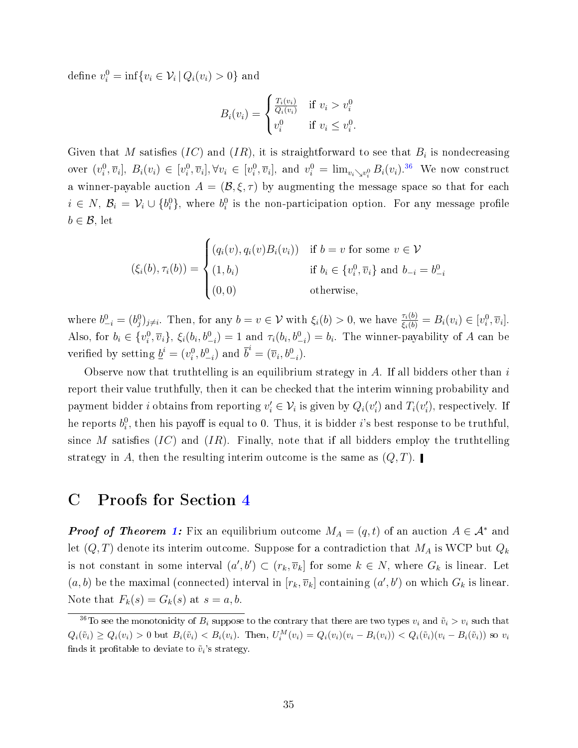define  $v_i^0 = \inf \{ v_i \in \mathcal{V}_i \, | \, Q_i(v_i) > 0 \}$  and

$$
B_i(v_i) = \begin{cases} \frac{T_i(v_i)}{Q_i(v_i)} & \text{if } v_i > v_i^0\\ v_i^0 & \text{if } v_i \le v_i^0. \end{cases}
$$

Given that  $M$  satisfies  $(IC)$  and  $(IR)$ , it is straightforward to see that  $B_i$  is nondecreasing over  $(v_i^0, \overline{v}_i], B_i(v_i) \in [v_i^0, \overline{v}_i], \forall v_i \in [v_i^0, \overline{v}_i],$  and  $v_i^0 = \lim_{v_i \searrow v_i^0} B_i(v_i).^{36}$  $v_i^0 = \lim_{v_i \searrow v_i^0} B_i(v_i).^{36}$  $v_i^0 = \lim_{v_i \searrow v_i^0} B_i(v_i).^{36}$  We now construct a winner-payable auction  $A = (\mathcal{B}, \xi, \tau)$  by augmenting the message space so that for each  $i \in N$ ,  $\mathcal{B}_i = \mathcal{V}_i \cup \{b_i^0\}$ , where  $b_i^0$  is the non-participation option. For any message profile  $b \in \mathcal{B}$ , let

$$
(\xi_i(b), \tau_i(b)) = \begin{cases} (q_i(v), q_i(v)B_i(v_i)) & \text{if } b = v \text{ for some } v \in \mathcal{V} \\ (1, b_i) & \text{if } b_i \in \{v_i^0, \overline{v}_i\} \text{ and } b_{-i} = b_{-i}^0 \\ (0, 0) & \text{otherwise,} \end{cases}
$$

where  $b_{-i}^0 = (b_j^0)_{j \neq i}$ . Then, for any  $b = v \in \mathcal{V}$  with  $\xi_i(b) > 0$ , we have  $\frac{\tau_i(b)}{\xi_i(b)} = B_i(v_i) \in [v_i^0, \overline{v}_i]$ . Also, for  $b_i \in \{v_i^0, \overline{v}_i\}$ ,  $\xi_i(b_i, b_{-i}^0) = 1$  and  $\tau_i(b_i, b_{-i}^0) = b_i$ . The winner-payability of A can be verified by setting  $\underline{b}^i = (v_i^0, b_{-i}^0)$  and  $\overline{b}^i = (\overline{v}_i, b_{-i}^0)$ .

Observe now that truthtelling is an equilibrium strategy in  $A$ . If all bidders other than  $i$ report their value truthfully, then it can be checked that the interim winning probability and payment bidder *i* obtains from reporting  $v'_i \in \mathcal{V}_i$  is given by  $Q_i(v'_i)$  and  $T_i(v'_i)$ , respectively. If he reports  $b_i^0$ , then his payoff is equal to 0. Thus, it is bidder *i*'s best response to be truthful, since M satisfies  $(IC)$  and  $(IR)$ . Finally, note that if all bidders employ the truthtelling strategy in A, then the resulting interim outcome is the same as  $(Q, T)$ .

## <span id="page-34-0"></span>C Proofs for Section [4](#page-16-0)

**Proof of Theorem [1:](#page-17-0)** Fix an equilibrium outcome  $M_A = (q, t)$  of an auction  $A \in \mathcal{A}^*$  and let  $(Q, T)$  denote its interim outcome. Suppose for a contradiction that  $M_A$  is WCP but  $Q_k$ is not constant in some interval  $(a',b')\subset (r_k,\overline{v}_k]$  for some  $k\in N$ , where  $G_k$  is linear. Let  $(a, b)$  be the maximal (connected) interval in  $[r_k, \overline{v}_k]$  containing  $(a', b')$  on which  $G_k$  is linear. Note that  $F_k(s) = G_k(s)$  at  $s = a, b$ .

<span id="page-34-1"></span><sup>&</sup>lt;sup>36</sup>To see the monotonicity of  $B_i$  suppose to the contrary that there are two types  $v_i$  and  $\tilde{v}_i > v_i$  such that  $Q_i(\tilde{v}_i) \ge Q_i(v_i) > 0$  but  $B_i(\tilde{v}_i) < B_i(v_i)$ . Then,  $U_i^M(v_i) = Q_i(v_i)(v_i - B_i(v_i)) < Q_i(\tilde{v}_i)(v_i - B_i(\tilde{v}_i))$  so  $v_i$ finds it profitable to deviate to  $\tilde{v}_i$ 's strategy.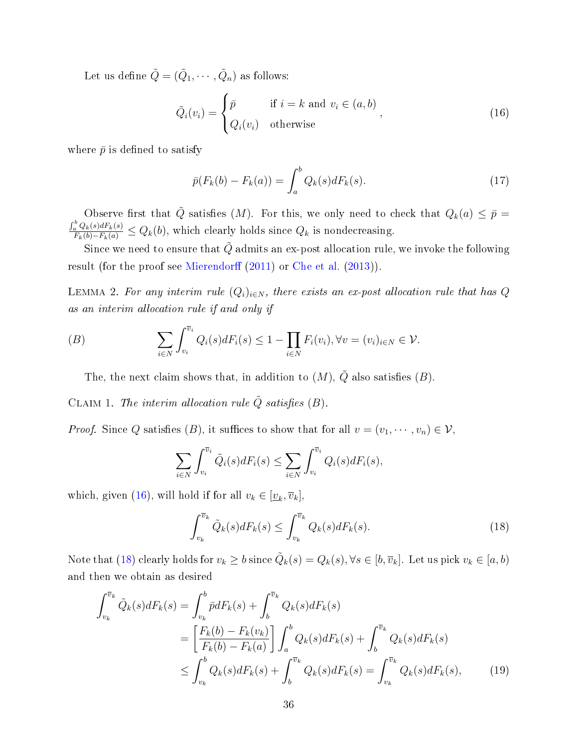Let us define  $\tilde{Q} = (\tilde{Q}_1, \cdots, \tilde{Q}_n)$  as follows:

<span id="page-35-0"></span>
$$
\tilde{Q}_i(v_i) = \begin{cases} \bar{p} & \text{if } i = k \text{ and } v_i \in (a, b) \\ Q_i(v_i) & \text{otherwise} \end{cases}
$$
\n(16)

where  $\bar{p}$  is defined to satisfy

$$
\bar{p}(F_k(b) - F_k(a)) = \int_a^b Q_k(s) dF_k(s).
$$
\n(17)

Observe first that  $\tilde{Q}$  satisfies  $(M)$ . For this, we only need to check that  $Q_k(a) \leq \bar{p} =$  $\frac{\int_a^b Q_k(s) dF_k(s)}{F_k(b) - F_k(a)} \leq Q_k(b)$ , which clearly holds since  $Q_k$  is nondecreasing.

Since we need to ensure that  $\tilde{Q}$  admits an ex-post allocation rule, we invoke the following result (for the proof see [Mierendor](#page-51-13)ff  $(2011)$  or [Che et al.](#page-50-12)  $(2013)$ ).

<span id="page-35-4"></span>LEMMA 2. For any interim rule  $(Q_i)_{i\in N}$ , there exists an ex-post allocation rule that has Q as an interim allocation rule if and only if

(B) 
$$
\sum_{i \in N} \int_{v_i}^{\overline{v}_i} Q_i(s) dF_i(s) \leq 1 - \prod_{i \in N} F_i(v_i), \forall v = (v_i)_{i \in N} \in \mathcal{V}.
$$

The, the next claim shows that, in addition to  $(M)$ ,  $\tilde{Q}$  also satisfies  $(B)$ .

<span id="page-35-3"></span>CLAIM 1. The interim allocation rule  $\tilde{Q}$  satisfies (B).

*Proof.* Since Q satisfies (B), it suffices to show that for all  $v = (v_1, \dots, v_n) \in V$ ,

$$
\sum_{i \in N} \int_{v_i}^{\overline{v}_i} \tilde{Q}_i(s) dF_i(s) \le \sum_{i \in N} \int_{v_i}^{\overline{v}_i} Q_i(s) dF_i(s),
$$

which, given [\(16\)](#page-35-0), will hold if for all  $v_k \in [\underline{v}_k, \overline{v}_k]$ ,

<span id="page-35-2"></span><span id="page-35-1"></span>
$$
\int_{v_k}^{\overline{v}_k} \tilde{Q}_k(s) dF_k(s) \le \int_{v_k}^{\overline{v}_k} Q_k(s) dF_k(s).
$$
\n(18)

Note that [\(18\)](#page-35-1) clearly holds for  $v_k \geq b$  since  $\tilde{Q}_k(s) = Q_k(s), \forall s \in [b, \overline{v}_k]$ . Let us pick  $v_k \in [a, b)$ and then we obtain as desired

$$
\int_{v_k}^{\overline{v}_k} \tilde{Q}_k(s) dF_k(s) = \int_{v_k}^{b} \bar{p} dF_k(s) + \int_{b}^{\overline{v}_k} Q_k(s) dF_k(s)
$$
\n
$$
= \left[ \frac{F_k(b) - F_k(v_k)}{F_k(b) - F_k(a)} \right] \int_{a}^{b} Q_k(s) dF_k(s) + \int_{b}^{\overline{v}_k} Q_k(s) dF_k(s)
$$
\n
$$
\leq \int_{v_k}^{b} Q_k(s) dF_k(s) + \int_{b}^{\overline{v}_k} Q_k(s) dF_k(s) = \int_{v_k}^{\overline{v}_k} Q_k(s) dF_k(s), \tag{19}
$$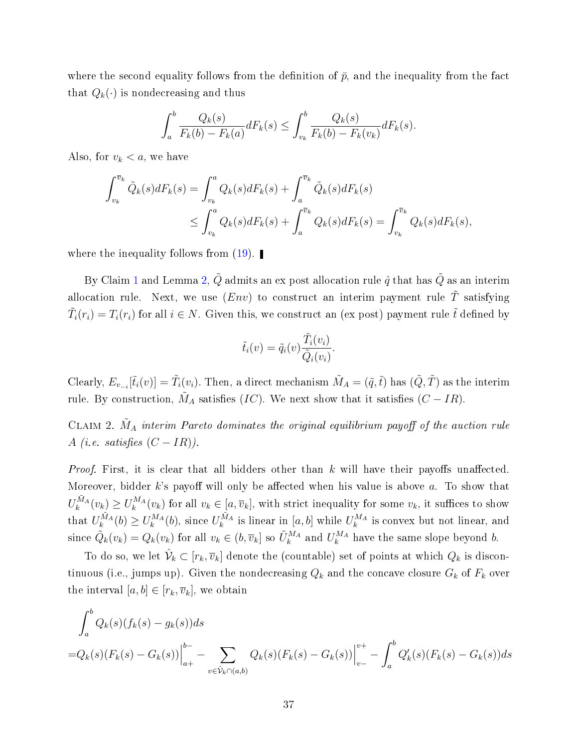where the second equality follows from the definition of  $\bar{p}$ , and the inequality from the fact that  $Q_k(\cdot)$  is nondecreasing and thus

$$
\int_{a}^{b} \frac{Q_{k}(s)}{F_{k}(b) - F_{k}(a)} dF_{k}(s) \leq \int_{v_{k}}^{b} \frac{Q_{k}(s)}{F_{k}(b) - F_{k}(v_{k})} dF_{k}(s).
$$

Also, for  $v_k < a$ , we have

$$
\int_{v_k}^{\overline{v}_k} \tilde{Q}_k(s) dF_k(s) = \int_{v_k}^a Q_k(s) dF_k(s) + \int_a^{\overline{v}_k} \tilde{Q}_k(s) dF_k(s)
$$
  

$$
\leq \int_{v_k}^a Q_k(s) dF_k(s) + \int_a^{\overline{v}_k} Q_k(s) dF_k(s) = \int_{v_k}^{\overline{v}_k} Q_k(s) dF_k(s),
$$

where the inequality follows from  $(19)$ .

By Claim [1](#page-35-3) and Lemma [2,](#page-35-4)  $\tilde{Q}$  admits an ex post allocation rule  $\hat{q}$  that has  $\tilde{Q}$  as an interim allocation rule. Next, we use  $(Env)$  to construct an interim payment rule  $\tilde{T}$  satisfying  $\tilde{T}_i(r_i) = T_i(r_i)$  for all  $i \in N$ . Given this, we construct an (ex post) payment rule  $\tilde{t}$  defined by

$$
\tilde{t}_i(v) = \tilde{q}_i(v) \frac{\tilde{T}_i(v_i)}{\tilde{Q}_i(v_i)}.
$$

Clearly,  $E_{v_{-i}}[\tilde{t}_i(v)] = \tilde{T}_i(v_i)$ . Then, a direct mechanism  $\tilde{M}_A = (\tilde{q}, \tilde{t})$  has  $(\tilde{Q}, \tilde{T})$  as the interim rule. By construction,  $\tilde{M}_A$  satisfies  $(IC)$ . We next show that it satisfies  $(C - IR)$ .

<span id="page-36-0"></span>CLAIM 2.  $\tilde{M}_A$  interim Pareto dominates the original equilibrium payoff of the auction rule A (i.e. satisfies  $(C - IR)$ ).

*Proof.* First, it is clear that all bidders other than k will have their payoffs unaffected. Moreover, bidder k's payoff will only be affected when his value is above  $a$ . To show that  $U_k^{\tilde{M}_A}(v_k) \geq U_k^{M_A}(v_k)$  for all  $v_k \in [a, \overline{v}_k]$ , with strict inequality for some  $v_k$ , it suffices to show that  $U_k^{\tilde{M}_A}(b) \geq U_k^{M_A}(b)$ , since  $U_k^{\tilde{M}_A}$  is linear in  $[a, b]$  while  $U_k^{M_A}$  is convex but not linear, and since  $\tilde{Q}_k(v_k) = Q_k(v_k)$  for all  $v_k \in (b, \overline{v}_k]$  so  $\tilde{U}_k^{M_A}$  and  $U_k^{M_A}$  have the same slope beyond b.

To do so, we let  $\hat{\mathcal{V}}_k \subset [r_k,\overline{v}_k]$  denote the (countable) set of points at which  $Q_k$  is discontinuous (i.e., jumps up). Given the nondecreasing  $Q_k$  and the concave closure  $G_k$  of  $F_k$  over the interval  $[a, b] \in [r_k, \overline{v}_k]$ , we obtain

$$
\int_{a}^{b} Q_{k}(s)(f_{k}(s) - g_{k}(s))ds
$$
\n
$$
=Q_{k}(s)(F_{k}(s) - G_{k}(s))\Big|_{a+}^{b-} - \sum_{v \in \hat{\mathcal{V}}_{k} \cap (a,b)} Q_{k}(s)(F_{k}(s) - G_{k}(s))\Big|_{v-}^{v+} - \int_{a}^{b} Q'_{k}(s)(F_{k}(s) - G_{k}(s))ds
$$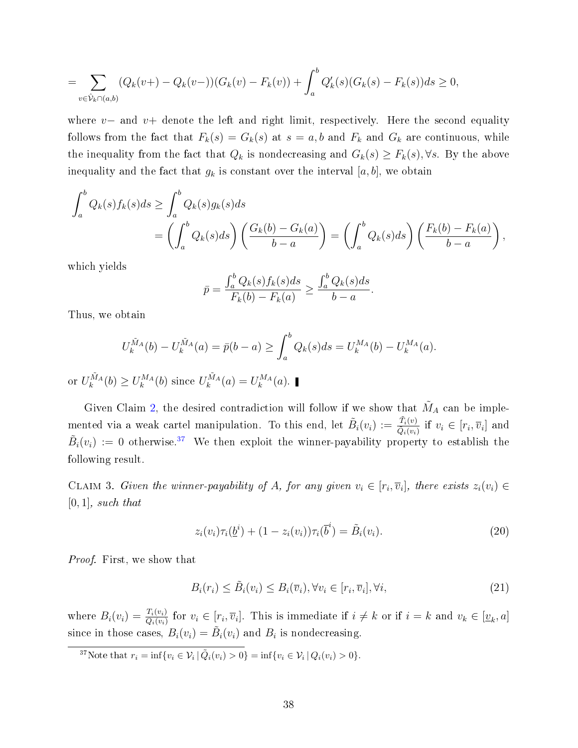$$
= \sum_{v \in \hat{\mathcal{V}}_k \cap (a,b)} (Q_k(v+)-Q_k(v-))(G_k(v)-F_k(v))+\int_a^b Q'_k(s)(G_k(s)-F_k(s))ds \ge 0,
$$

where v– and v+ denote the left and right limit, respectively. Here the second equality follows from the fact that  $F_k(s) = G_k(s)$  at  $s = a, b$  and  $F_k$  and  $G_k$  are continuous, while the inequality from the fact that  $Q_k$  is nondecreasing and  $G_k(s) \geq F_k(s)$ ,  $\forall s$ . By the above inequality and the fact that  $g_k$  is constant over the interval [a, b], we obtain

$$
\int_a^b Q_k(s) f_k(s) ds \ge \int_a^b Q_k(s) g_k(s) ds
$$
  
= 
$$
\left( \int_a^b Q_k(s) ds \right) \left( \frac{G_k(b) - G_k(a)}{b - a} \right) = \left( \int_a^b Q_k(s) ds \right) \left( \frac{F_k(b) - F_k(a)}{b - a} \right),
$$

which yields

$$
\bar{p} = \frac{\int_a^b Q_k(s) f_k(s) ds}{F_k(b) - F_k(a)} \ge \frac{\int_a^b Q_k(s) ds}{b - a}.
$$

Thus, we obtain

$$
U_k^{\tilde{M}_A}(b) - U_k^{\tilde{M}_A}(a) = \bar{p}(b-a) \ge \int_a^b Q_k(s)ds = U_k^{M_A}(b) - U_k^{M_A}(a).
$$

or  $U_k^{\tilde{M}_A}(b) \ge U_k^{M_A}(b)$  since  $U_k^{\tilde{M}_A}(a) = U_k^{M_A}(a)$ .

Given Claim [2,](#page-36-0) the desired contradiction will follow if we show that  $\tilde{M}_A$  can be implemented via a weak cartel manipulation. To this end, let  $\tilde{B}_i(v_i) := \frac{\tilde{T}_i(v)}{\tilde{O}_i(w_i)}$  $\frac{T_i(v)}{\tilde{Q}_i(v_i)}$  if  $v_i \in [r_i, \overline{v}_i]$  and  $\tilde{B}_i(v_i) := 0$  otherwise.<sup>[37](#page-37-1)</sup> We then exploit the winner-payability property to establish the following result.

CLAIM 3. Given the winner-payability of A, for any given  $v_i \in [r_i, \overline{v}_i]$ , there exists  $z_i(v_i) \in$  $[0, 1]$ , such that

<span id="page-37-2"></span><span id="page-37-0"></span>
$$
z_i(v_i)\tau_i(\underline{b}^i) + (1 - z_i(v_i))\tau_i(\overline{b}^i) = \tilde{B}_i(v_i).
$$
\n(20)

Proof. First, we show that

$$
B_i(r_i) \le \tilde{B}_i(v_i) \le B_i(\overline{v}_i), \forall v_i \in [r_i, \overline{v}_i], \forall i,
$$
\n
$$
(21)
$$

where  $B_i(v_i) = \frac{T_i(v_i)}{Q_i(v_i)}$  for  $v_i \in [r_i, \overline{v}_i]$ . This is immediate if  $i \neq k$  or if  $i = k$  and  $v_k \in [\underline{v}_k, a]$ since in those cases,  $B_i(v_i) = \tilde{B}_i(v_i)$  and  $B_i$  is nondecreasing.

<span id="page-37-1"></span><sup>37</sup>Note that  $r_i = \inf \{ v_i \in V_i \mid \tilde{Q}_i(v_i) > 0 \} = \inf \{ v_i \in V_i \mid Q_i(v_i) > 0 \}.$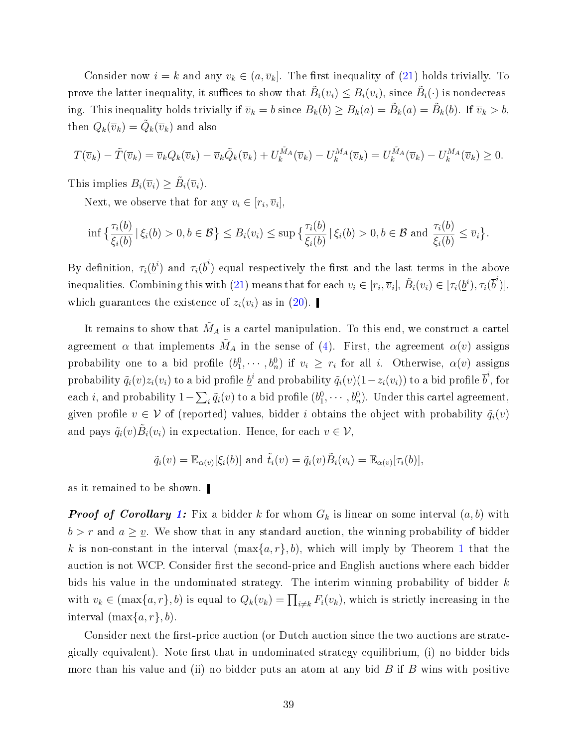Consider now  $i = k$  and any  $v_k \in (a, \overline{v}_k]$ . The first inequality of [\(21\)](#page-37-0) holds trivially. To prove the latter inequality, it suffices to show that  $\tilde{B}_i(\overline{v}_i)\leq B_i(\overline{v}_i)$ , since  $\tilde{B}_i(\cdot)$  is nondecreasing. This inequality holds trivially if  $\overline{v}_k = b$  since  $B_k(b) \ge B_k(a) = \tilde{B}_k(a) = \tilde{B}_k(b)$ . If  $\overline{v}_k > b$ , then  $Q_k(\overline{v}_k) = \tilde{Q}_k(\overline{v}_k)$  and also

$$
T(\overline{v}_k) - \tilde{T}(\overline{v}_k) = \overline{v}_k Q_k(\overline{v}_k) - \overline{v}_k \tilde{Q}_k(\overline{v}_k) + U_k^{\tilde{M}_A}(\overline{v}_k) - U_k^{M_A}(\overline{v}_k) = U_k^{\tilde{M}_A}(\overline{v}_k) - U_k^{M_A}(\overline{v}_k) \ge 0.
$$

This implies  $B_i(\overline{v}_i) \geq \tilde{B}_i(\overline{v}_i)$ .

Next, we observe that for any  $v_i \in [r_i, \overline{v}_i],$ 

$$
\inf\big\{\frac{\tau_i(b)}{\xi_i(b)}\,|\,\xi_i(b)>0,b\in\mathcal{B}\big\}\leq B_i(v_i)\leq \sup\big\{\frac{\tau_i(b)}{\xi_i(b)}\,|\,\xi_i(b)>0,b\in\mathcal{B}\text{ and }\frac{\tau_i(b)}{\xi_i(b)}\leq\overline{v}_i\big\}.
$$

By definition,  $\tau_i(\underline{b}^i)$  and  $\tau_i(\overline{b}^i)$  equal respectively the first and the last terms in the above inequalities. Combining this with [\(21\)](#page-37-0) means that for each  $v_i\in[r_i,\overline{v}_i],$   $\tilde{B}_i(v_i)\in[\tau_i(\underline{b}^i),\tau_i(\overline{b}^i)],$ which guarantees the existence of  $z_i(v_i)$  as in [\(20\)](#page-37-2).

It remains to show that  $\tilde{M}_A$  is a cartel manipulation. To this end, we construct a cartel agreement  $\alpha$  that implements  $\tilde{M}_A$  in the sense of [\(4\)](#page-14-1). First, the agreement  $\alpha(v)$  assigns probability one to a bid profile  $(b_1^0, \dots, b_n^0)$  if  $v_i \geq r_i$  for all i. Otherwise,  $\alpha(v)$  assigns probability  $\tilde q_i(v)z_i(v_i)$  to a bid profile  $\underline{b}^i$  and probability  $\tilde q_i(v)(1-z_i(v_i))$  to a bid profile  $\overline{b}^i$ , for each i, and probability  $1-\sum_i \tilde q_i(v)$  to a bid profile  $(b_1^0,\cdots,b_n^0)$ . Under this cartel agreement, given profile  $v \in V$  of (reported) values, bidder i obtains the object with probability  $\tilde{q}_i(v)$ and pays  $\tilde{q}_i(v)\tilde{B}_i(v_i)$  in expectation. Hence, for each  $v\in\mathcal{V},$ 

$$
\tilde{q}_i(v) = \mathbb{E}_{\alpha(v)}[\xi_i(b)]
$$
 and  $\tilde{t}_i(v) = \tilde{q}_i(v)\tilde{B}_i(v_i) = \mathbb{E}_{\alpha(v)}[\tau_i(b)],$ 

as it remained to be shown.

**Proof of Corollary [1:](#page-20-2)** Fix a bidder k for whom  $G_k$  is linear on some interval  $(a, b)$  with  $b > r$  and  $a \geq \underline{v}$ . We show that in any standard auction, the winning probability of bidder k is non-constant in the interval  $(\max\{a, r\}, b)$ , which will imply by Theorem [1](#page-17-0) that the auction is not WCP. Consider first the second-price and English auctions where each bidder bids his value in the undominated strategy. The interim winning probability of bidder  $k$ with  $v_k \in (\max\{a, r\}, b)$  is equal to  $Q_k(v_k) = \prod_{i \neq k} F_i(v_k)$ , which is strictly increasing in the interval  $(\max\{a, r\}, b)$ .

Consider next the first-price auction (or Dutch auction since the two auctions are strategically equivalent). Note first that in undominated strategy equilibrium, (i) no bidder bids more than his value and (ii) no bidder puts an atom at any bid  $B$  if  $B$  wins with positive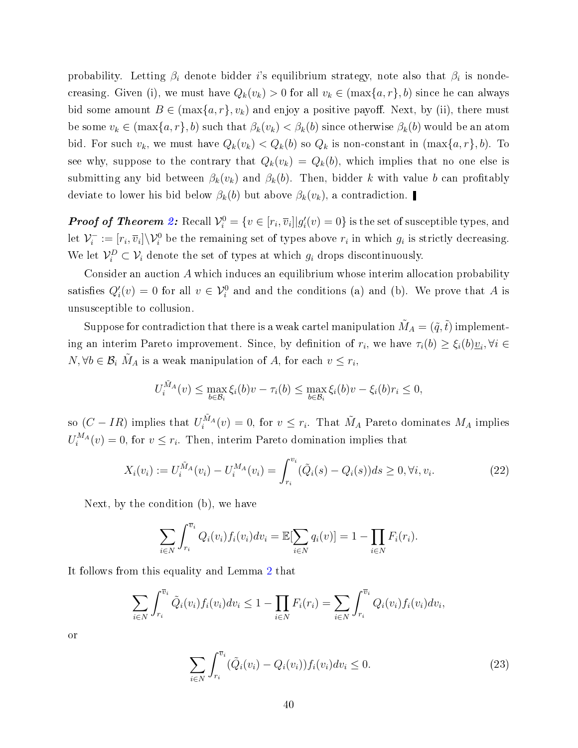probability. Letting  $\beta_i$  denote bidder  $i$ 's equilibrium strategy, note also that  $\beta_i$  is nondecreasing. Given (i), we must have  $Q_k(v_k) > 0$  for all  $v_k \in (\max\{a, r\}, b)$  since he can always bid some amount  $B \in (\max\{a, r\}, v_k)$  and enjoy a positive payoff. Next, by (ii), there must be some  $v_k \in (\max\{a, r\}, b)$  such that  $\beta_k(v_k) < \beta_k(b)$  since otherwise  $\beta_k(b)$  would be an atom bid. For such  $v_k$ , we must have  $Q_k(v_k) < Q_k(b)$  so  $Q_k$  is non-constant in  $(\max\{a, r\}, b)$ . To see why, suppose to the contrary that  $Q_k(v_k) = Q_k(b)$ , which implies that no one else is submitting any bid between  $\beta_k(v_k)$  and  $\beta_k(b)$ . Then, bidder k with value b can profitably deviate to lower his bid below  $\beta_k(b)$  but above  $\beta_k(v_k)$ , a contradiction.

**Proof of Theorem [2:](#page-20-0)** Recall  $\mathcal{V}_i^0 = \{v \in [r_i, \overline{v}_i] | g_i'(v) = 0\}$  is the set of susceptible types, and let  $\mathcal{V}_i^ \hat{v}_i^- := [r_i, \overline{v}_i] \setminus \mathcal{V}_i^0$  be the remaining set of types above  $r_i$  in which  $g_i$  is strictly decreasing. We let  $\mathcal{V}_i^D \subset \mathcal{V}_i$  denote the set of types at which  $g_i$  drops discontinuously.

Consider an auction A which induces an equilibrium whose interim allocation probability satisfies  $Q_i'(v) = 0$  for all  $v \in V_i^0$  and and the conditions (a) and (b). We prove that A is unsusceptible to collusion.

Suppose for contradiction that there is a weak cartel manipulation  $\tilde{M}_A = (\tilde{q}, \tilde{t})$  implementing an interim Pareto improvement. Since, by definition of  $r_i$ , we have  $\tau_i(b) \geq \xi_i(b)\underline{v}_i, \forall i \in$  $N, \forall b \in \mathcal{B}_i$   $\tilde{M}_A$  is a weak manipulation of A, for each  $v \leq r_i$ ,

$$
U_i^{\tilde{M}_A}(v) \leq \max_{b \in \mathcal{B}_i} \xi_i(b)v - \tau_i(b) \leq \max_{b \in \mathcal{B}_i} \xi_i(b)v - \xi_i(b)\tau_i \leq 0,
$$

so  $(C - IR)$  implies that  $U_i^{\tilde{M}_A}(v) = 0$ , for  $v \leq r_i$ . That  $\tilde{M}_A$  Pareto dominates  $M_A$  implies  $U_i^{M_A}(v) = 0$ , for  $v \leq r_i$ . Then, interim Pareto domination implies that

$$
X_i(v_i) := U_i^{\tilde{M}_A}(v_i) - U_i^{M_A}(v_i) = \int_{r_i}^{v_i} (\tilde{Q}_i(s) - Q_i(s))ds \ge 0, \forall i, v_i.
$$
 (22)

Next, by the condition (b), we have

$$
\sum_{i \in N} \int_{r_i}^{\bar{v}_i} Q_i(v_i) f_i(v_i) dv_i = \mathbb{E}[\sum_{i \in N} q_i(v)] = 1 - \prod_{i \in N} F_i(r_i).
$$

It follows from this equality and Lemma [2](#page-35-4) that

$$
\sum_{i \in N} \int_{r_i}^{\overline{v}_i} \tilde{Q}_i(v_i) f_i(v_i) dv_i \le 1 - \prod_{i \in N} F_i(r_i) = \sum_{i \in N} \int_{r_i}^{\overline{v}_i} Q_i(v_i) f_i(v_i) dv_i,
$$

or

<span id="page-39-0"></span>
$$
\sum_{i \in N} \int_{r_i}^{\bar{v}_i} (\tilde{Q}_i(v_i) - Q_i(v_i)) f_i(v_i) dv_i \le 0.
$$
\n(23)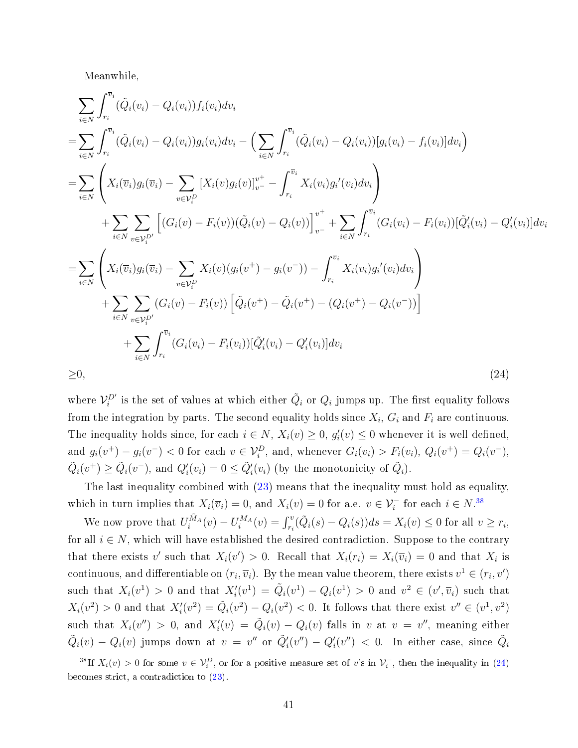Meanwhile,

$$
\sum_{i \in N} \int_{r_i}^{\overline{v}_i} (\tilde{Q}_i(v_i) - Q_i(v_i)) f_i(v_i) dv_i
$$
\n
$$
= \sum_{i \in N} \int_{r_i}^{\overline{v}_i} (\tilde{Q}_i(v_i) - Q_i(v_i)) g_i(v_i) dv_i - \left( \sum_{i \in N} \int_{r_i}^{\overline{v}_i} (\tilde{Q}_i(v_i) - Q_i(v_i)) [g_i(v_i) - f_i(v_i)] dv_i \right)
$$
\n
$$
= \sum_{i \in N} \left( X_i(\overline{v}_i) g_i(\overline{v}_i) - \sum_{v \in V_i^D} \left[ X_i(v) g_i(v) \right]_{v}^{v^+} - \int_{r_i}^{\overline{v}_i} X_i(v_i) g_i'(v_i) dv_i \right)
$$
\n
$$
+ \sum_{i \in N} \sum_{v \in V_i^D} \left[ (G_i(v) - F_i(v)) (\tilde{Q}_i(v) - Q_i(v)) \right]_{v^-}^{v^+} + \sum_{i \in N} \int_{r_i}^{\overline{v}_i} (G_i(v_i) - F_i(v_i)) [\tilde{Q}_i'(v_i) - Q_i'(v_i)] dv_i
$$
\n
$$
= \sum_{i \in N} \left( X_i(\overline{v}_i) g_i(\overline{v}_i) - \sum_{v \in V_i^D} X_i(v) (g_i(v^+) - g_i(v^-)) - \int_{r_i}^{\overline{v}_i} X_i(v_i) g_i'(v_i) dv_i \right)
$$
\n
$$
+ \sum_{i \in N} \sum_{v \in V_i^D} (G_i(v) - F_i(v)) \left[ \tilde{Q}_i(v^+) - \tilde{Q}_i(v^+) - (Q_i(v^+) - Q_i(v^-)) \right]
$$
\n
$$
+ \sum_{i \in N} \int_{r_i}^{\overline{v}_i} (G_i(v_i) - F_i(v_i)) [\tilde{Q}_i'(v_i) - Q_i'(v_i)] dv_i
$$
\n
$$
\geq 0, \qquad (24)
$$

<span id="page-40-1"></span>where  $\mathcal{V}^{D'}_i$  is the set of values at which either  $\tilde{Q}_i$  or  $Q_i$  jumps up. The first equality follows from the integration by parts. The second equality holds since  $X_i$ ,  $G_i$  and  $F_i$  are continuous. The inequality holds since, for each  $i \in N$ ,  $X_i(v) \geq 0$ ,  $g'_i(v) \leq 0$  whenever it is well defined, and  $g_i(v^+) - g_i(v^-) < 0$  for each  $v \in \mathcal{V}_i^D$ , and, whenever  $G_i(v_i) > F_i(v_i)$ ,  $Q_i(v^+) = Q_i(v^-)$ ,  $\tilde{Q}_i(v^+) \ge \tilde{Q}_i(v^-)$ , and  $Q_i'(v_i) = 0 \le \tilde{Q}_i'(v_i)$  (by the monotonicity of  $\tilde{Q}_i$ ).

The last inequality combined with [\(23\)](#page-39-0) means that the inequality must hold as equality, which in turn implies that  $X_i(\overline{v}_i) = 0$ , and  $X_i(v) = 0$  for a.e.  $v \in \mathcal{V}_i^-$  for each  $i \in N$ .<sup>[38](#page-40-0)</sup>

We now prove that  $U_i^{\tilde{M}_A}(v) - U_i^{M_A}(v) = \int_{r_i}^v (\tilde{Q}_i(s) - Q_i(s))ds = X_i(v) \leq 0$  for all  $v \geq r_i$ , for all  $i \in N$ , which will have established the desired contradiction. Suppose to the contrary that there exists v' such that  $X_i(v') > 0$ . Recall that  $X_i(r_i) = X_i(\overline{v}_i) = 0$  and that  $X_i$  is continuous, and differentiable on  $(r_i,\overline{v}_i)$ . By the mean value theorem, there exists  $v^1\in (r_i,v')$ such that  $X_i(v^1) > 0$  and that  $X'_i(v^1) = \tilde{Q}_i(v^1) - Q_i(v^1) > 0$  and  $v^2 \in (v', \overline{v}_i)$  such that  $X_i(v^2) > 0$  and that  $X_i'(v^2) = \tilde{Q}_i(v^2) - Q_i(v^2) < 0$ . It follows that there exist  $v'' \in (v^1, v^2)$ such that  $X_i(v'') > 0$ , and  $X'_i(v) = \tilde{Q}_i(v) - Q_i(v)$  falls in v at  $v = v''$ , meaning either  $\tilde{Q}_i(v) - Q_i(v)$  jumps down at  $v = v''$  or  $\tilde{Q}'_i(v'') - Q'_i(v'') < 0$ . In either case, since  $\tilde{Q}_i$ 

<span id="page-40-0"></span><sup>&</sup>lt;sup>38</sup>If  $X_i(v) > 0$  for some  $v \in V_i^D$ , or for a positive measure set of v's in  $V_i^-$ , then the inequality in [\(24\)](#page-40-1) becomes strict, a contradiction to [\(23\)](#page-39-0).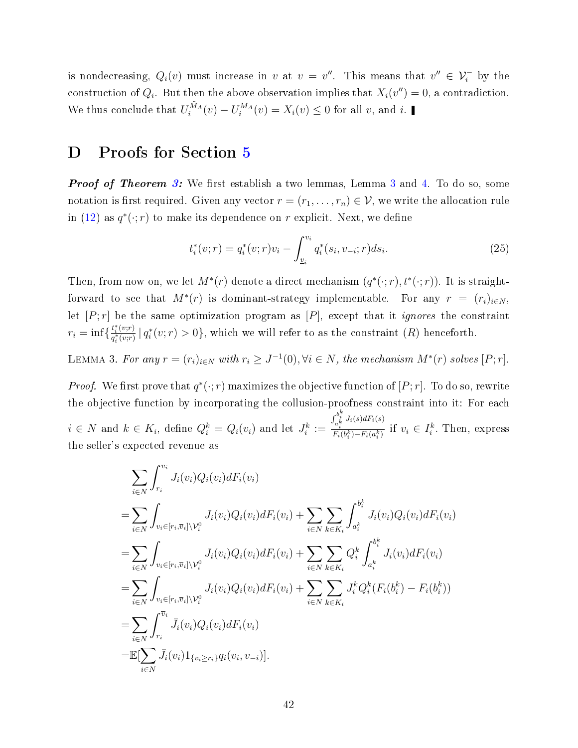is nondecreasing,  $Q_i(v)$  must increase in v at  $v = v''$ . This means that  $v'' \in V_i^-$  by the construction of  $Q_i$ . But then the above observation implies that  $X_i(v'') = 0$ , a contradiction. We thus conclude that  $U_i^{\tilde{M}_A}(v) - U_i^{M_A}(v) = X_i(v) \leq 0$  for all v, and i.

## <span id="page-41-0"></span>D Proofs for Section [5](#page-22-0)

**Proof of Theorem [3:](#page-23-0)** We first establish a two lemmas, Lemma [3](#page-41-1) and [4.](#page-42-1) To do so, some notation is first required. Given any vector  $r = (r_1, \ldots, r_n) \in \mathcal{V}$ , we write the allocation rule in [\(12\)](#page-24-2) as  $q^*(\cdot;r)$  to make its dependence on r explicit. Next, we define

<span id="page-41-2"></span>
$$
t_i^*(v; r) = q_i^*(v; r)v_i - \int_{\underline{v}_i}^{v_i} q_i^*(s_i, v_{-i}; r) ds_i.
$$
 (25)

Then, from now on, we let  $M^*(r)$  denote a direct mechanism  $(q^*(\cdot; r), t^*(\cdot; r))$ . It is straightforward to see that  $M^*(r)$  is dominant-strategy implementable. For any  $r = (r_i)_{i \in N}$ , let  $[P; r]$  be the same optimization program as  $[P]$ , except that it *ignores* the constraint  $r_i = \inf \{ \frac{t_i^*(v;r)}{a_i^*(v;r)} \}$  $\frac{t_i^*(v;r)}{q_i^*(v;r)}\,|\,q_i^*(v;r) > 0\},\$  which we will refer to as the constraint  $(R)$  henceforth.

<span id="page-41-1"></span>LEMMA 3. For any  $r = (r_i)_{i \in N}$  with  $r_i \geq J^{-1}(0)$ ,  $\forall i \in N$ , the mechanism  $M^*(r)$  solves  $[P; r]$ .

*Proof.* We first prove that  $q^*(\cdot;r)$  maximizes the objective function of  $[P;r]$ . To do so, rewrite the objective function by incorporating the collusion-proofness constraint into it: For each  $i \in N$  and  $k \in K_i$ , define  $Q_i^k = Q_i(v_i)$  and let  $J_i^k :=$  $\int_{a_i^k}^{b_i^k} J_i(s) dF_i(s)$  $\frac{a_i^{\kappa}}{F_i(b_i^k) - F_i(a_i^k)}$  if  $v_i \in I_i^k$ . Then, express the seller's expected revenue as

$$
\sum_{i \in N} \int_{r_i}^{\overline{v}_i} J_i(v_i) Q_i(v_i) dF_i(v_i)
$$
\n
$$
= \sum_{i \in N} \int_{v_i \in [r_i, \overline{v}_i] \setminus \mathcal{V}_i^0} J_i(v_i) Q_i(v_i) dF_i(v_i) + \sum_{i \in N} \sum_{k \in K_i} \int_{a_i^k}^{b_i^k} J_i(v_i) Q_i(v_i) dF_i(v_i)
$$
\n
$$
= \sum_{i \in N} \int_{v_i \in [r_i, \overline{v}_i] \setminus \mathcal{V}_i^0} J_i(v_i) Q_i(v_i) dF_i(v_i) + \sum_{i \in N} \sum_{k \in K_i} Q_i^k \int_{a_i^k}^{b_i^k} J_i(v_i) dF_i(v_i)
$$
\n
$$
= \sum_{i \in N} \int_{v_i \in [r_i, \overline{v}_i] \setminus \mathcal{V}_i^0} J_i(v_i) Q_i(v_i) dF_i(v_i) + \sum_{i \in N} \sum_{k \in K_i} J_i^k Q_i^k (F_i(b_i^k) - F_i(b_i^k))
$$
\n
$$
= \sum_{i \in N} \int_{r_i}^{\overline{v}_i} \overline{J}_i(v_i) Q_i(v_i) dF_i(v_i)
$$
\n
$$
= \mathbb{E}[\sum_{i \in N} \overline{J}_i(v_i) 1_{\{v_i \ge r_i\}} q_i(v_i, v_{-i})].
$$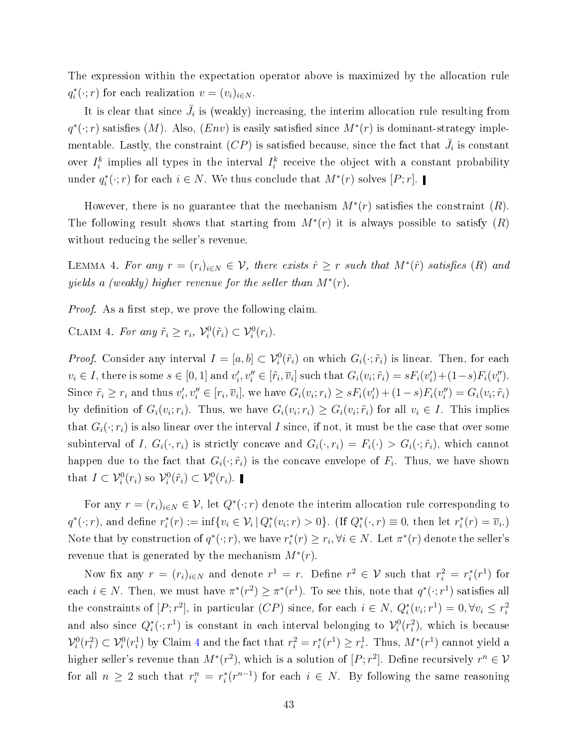The expression within the expectation operator above is maximized by the allocation rule  $q_i^*(\cdot; r)$  for each realization  $v = (v_i)_{i \in N}$ .

It is clear that since  $\bar{J}_i$  is (weakly) increasing, the interim allocation rule resulting from  $q^*(\cdot;r)$  satisfies  $(M)$ . Also,  $(Env)$  is easily satisfied since  $M^*(r)$  is dominant-strategy implementable. Lastly, the constraint  $(CP)$  is satisfied because, since the fact that  $\bar{J}_i$  is constant over  $I_i^k$  implies all types in the interval  $I_i^k$  receive the object with a constant probability under  $q_i^*(\cdot; r)$  for each  $i \in N$ . We thus conclude that  $M^*(r)$  solves  $[P; r]$ .

However, there is no guarantee that the mechanism  $M^*(r)$  satisfies the constraint  $(R)$ . The following result shows that starting from  $M^*(r)$  it is always possible to satisfy  $(R)$ without reducing the seller's revenue.

<span id="page-42-1"></span>LEMMA 4. For any  $r = (r_i)_{i \in N} \in V$ , there exists  $\hat{r} \geq r$  such that  $M^*(\hat{r})$  satisfies  $(R)$  and yields a (weakly) higher revenue for the seller than  $M^*(r)$ .

*Proof.* As a first step, we prove the following claim.

<span id="page-42-0"></span>CLAIM 4. For any  $\tilde{r}_i \geq r_i$ ,  $\mathcal{V}_i^0(\tilde{r}_i) \subset \mathcal{V}_i^0(r_i)$ .

*Proof.* Consider any interval  $I = [a, b] \subset \mathcal{V}_i^0(\tilde{r}_i)$  on which  $G_i(\cdot; \tilde{r}_i)$  is linear. Then, for each  $v_i \in I$ , there is some  $s \in [0,1]$  and  $v'_i, v''_i \in [\tilde{r}_i, \overline{v}_i]$  such that  $G_i(v_i; \tilde{r}_i) = sF_i(v'_i) + (1-s)F_i(v''_i)$ . Since  $\tilde{r}_i \geq r_i$  and thus  $v'_i, v''_i \in [r_i, \overline{v}_i]$ , we have  $G_i(v_i; r_i) \geq sF_i(v'_i) + (1 - s)F_i(v''_i) = G_i(v_i; \tilde{r}_i)$ by definition of  $G_i(v_i; r_i)$ . Thus, we have  $G_i(v_i; r_i) \ge G_i(v_i; \tilde{r}_i)$  for all  $v_i \in I$ . This implies that  $G_i(\cdot; r_i)$  is also linear over the interval I since, if not, it must be the case that over some subinterval of I,  $G_i(\cdot, r_i)$  is strictly concave and  $G_i(\cdot, r_i) = F_i(\cdot) > G_i(\cdot; \tilde{r}_i)$ , which cannot happen due to the fact that  $G_i(\cdot;\tilde{r}_i)$  is the concave envelope of  $F_i.$  Thus, we have shown that  $I \subset \mathcal{V}_i^0(r_i)$  so  $\mathcal{V}_i^0(\tilde{r}_i) \subset \mathcal{V}_i^0(r_i)$ .

For any  $r = (r_i)_{i \in N} \in V$ , let  $Q^*(\cdot; r)$  denote the interim allocation rule corresponding to  $q^*(\cdot; r)$ , and define  $r_i^*(r) := \inf\{v_i \in V_i | Q_i^*(v_i; r) > 0\}$ . (If  $Q_i^*(\cdot, r) \equiv 0$ , then let  $r_i^*(r) = \overline{v}_i$ .) Note that by construction of  $q^*(\cdot;r)$ , we have  $r_i^*(r) \ge r_i, \forall i \in N$ . Let  $\pi^*(r)$  denote the seller's revenue that is generated by the mechanism  $M^*(r)$ .

Now fix any  $r = (r_i)_{i \in N}$  and denote  $r^1 = r$ . Define  $r^2 \in V$  such that  $r_i^2 = r_i^*(r^1)$  for each  $i \in N$ . Then, we must have  $\pi^*(r^2) \geq \pi^*(r^1)$ . To see this, note that  $q^*(\cdot; r^1)$  satisfies all the constraints of  $[P; r^2]$ , in particular  $(CP)$  since, for each  $i \in N$ ,  $Q_i^*(v_i; r^1) = 0$ ,  $\forall v_i \leq r_i^2$ and also since  $Q_i^*(\cdot;r^1)$  is constant in each interval belonging to  $\mathcal{V}_i^0(r_i^2)$ , which is because  $\mathcal{V}_i^0(r_i^2) \subset \mathcal{V}_i^0(r_i^1)$  by Claim [4](#page-42-0) and the fact that  $r_i^2 = r_i^*(r^1) \ge r_i^1$ . Thus,  $M^*(r^1)$  cannot yield a higher seller's revenue than  $M^*(r^2)$ , which is a solution of  $[P; r^2]$ . Define recursively  $r^n \in \mathcal{V}$ for all  $n \geq 2$  such that  $r_i^n = r_i^*(r^{n-1})$  for each  $i \in N$ . By following the same reasoning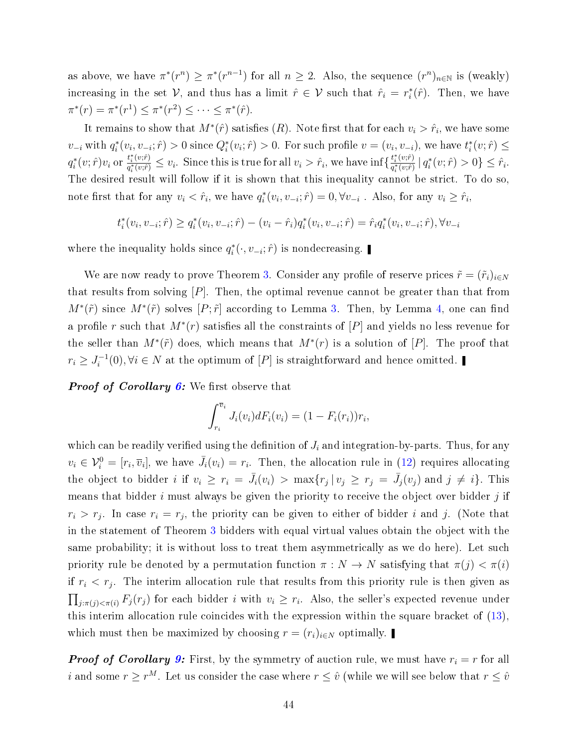as above, we have  $\pi^*(r^n) \ge \pi^*(r^{n-1})$  for all  $n \ge 2$ . Also, the sequence  $(r^n)_{n \in \mathbb{N}}$  is (weakly) increasing in the set  $V$ , and thus has a limit  $\hat{r} \in V$  such that  $\hat{r}_i = r_i^*(\hat{r})$ . Then, we have  $\pi^*(r) = \pi^*(r^1) \leq \pi^*(r^2) \leq \cdots \leq \pi^*(\hat{r}).$ 

It remains to show that  $M^*(\hat{r})$  satisfies  $(R)$ . Note first that for each  $v_i > \hat{r}_i$ , we have some  $v_{-i}$  with  $q_i^*(v_i, v_{-i}; \hat{r}) > 0$  since  $Q_i^*(v_i; \hat{r}) > 0$ . For such profile  $v = (v_i, v_{-i})$ , we have  $t_i^*(v; \hat{r}) \leq$  $q_i^*(v; \hat{r})v_i$  or  $\frac{t_i^*(v; \hat{r})}{q_i^*(v; \hat{r})}$  $\frac{t_i^*(v;\hat{r})}{q_i^*(v;\hat{r})} \leq v_i$ . Since this is true for all  $v_i > \hat{r}_i$ , we have  $\inf \{\frac{t_i^*(v;\hat{r})}{q_i^*(v;\hat{r})}\}$  $\frac{t_i^*(v;\hat{r})}{q_i^*(v;\hat{r})} | q_i^*(v;\hat{r}) > 0 \} \leq \hat{r}_i.$ The desired result will follow if it is shown that this inequality cannot be strict. To do so, note first that for any  $v_i < \hat{r}_i$ , we have  $q_i^*(v_i, v_{-i}; \hat{r}) = 0, \forall v_{-i}$ . Also, for any  $v_i \geq \hat{r}_i$ ,

$$
t_i^*(v_i, v_{-i}; \hat{r}) \geq q_i^*(v_i, v_{-i}; \hat{r}) - (v_i - \hat{r}_i)q_i^*(v_i, v_{-i}; \hat{r}) = \hat{r}_i q_i^*(v_i, v_{-i}; \hat{r}), \forall v_{-i}
$$

where the inequality holds since  $q_i^*(\cdot, v_{-i}; \hat{r})$  is nondecreasing.

We are now ready to prove Theorem [3.](#page-23-0) Consider any profile of reserve prices  $\tilde{r} = (\tilde{r}_i)_{i \in N}$ that results from solving  $[P]$ . Then, the optimal revenue cannot be greater than that from  $M^*(\tilde{r})$  since  $M^*(\tilde{r})$  solves  $[P; \tilde{r}]$  according to Lemma [3.](#page-41-1) Then, by Lemma [4,](#page-42-1) one can find a profile r such that  $M^*(r)$  satisfies all the constraints of  $[P]$  and yields no less revenue for the seller than  $M^*(\tilde{r})$  does, which means that  $M^*(r)$  is a solution of  $[P]$ . The proof that  $r_i \geq J_i^{-1}$  $i_i^{-1}(0), \forall i \in N$  at the optimum of  $[P]$  is straightforward and hence omitted.

**Proof of Corollary [6:](#page-24-1)** We first observe that

$$
\int_{r_i}^{\overline{v}_i} J_i(v_i) dF_i(v_i) = (1 - F_i(r_i))r_i,
$$

which can be readily verified using the definition of  $J_i$  and integration-by-parts. Thus, for any  $v_i \in \mathcal{V}_i^0 = [r_i, \overline{v}_i],$  we have  $\overline{J}_i(v_i) = r_i$ . Then, the allocation rule in [\(12\)](#page-24-2) requires allocating the object to bidder *i* if  $v_i \geq r_i = \bar{J}_i(v_i) > \max\{r_j | v_j \geq r_j = \bar{J}_j(v_j) \text{ and } j \neq i\}.$  This means that bidder  $i$  must always be given the priority to receive the object over bidder  $j$  if  $r_i > r_j$ . In case  $r_i = r_j$ , the priority can be given to either of bidder i and j. (Note that in the statement of Theorem [3](#page-23-0) bidders with equal virtual values obtain the object with the same probability; it is without loss to treat them asymmetrically as we do here). Let such priority rule be denoted by a permutation function  $\pi : N \to N$  satisfying that  $\pi(j) < \pi(i)$ if  $r_i < r_j$ . The interim allocation rule that results from this priority rule is then given as  $\prod_{j:\pi(j)<\pi(i)} F_j(r_j)$  for each bidder i with  $v_i \geq r_i$ . Also, the seller's expected revenue under this interim allocation rule coincides with the expression within the square bracket of [\(13\)](#page-24-3), which must then be maximized by choosing  $r = (r_i)_{i \in N}$  optimally.

**Proof of Corollary [9:](#page-28-3)** First, by the symmetry of auction rule, we must have  $r_i = r$  for all *i* and some  $r \geq r^M$ . Let us consider the case where  $r \leq \hat{v}$  (while we will see below that  $r \leq \hat{v}$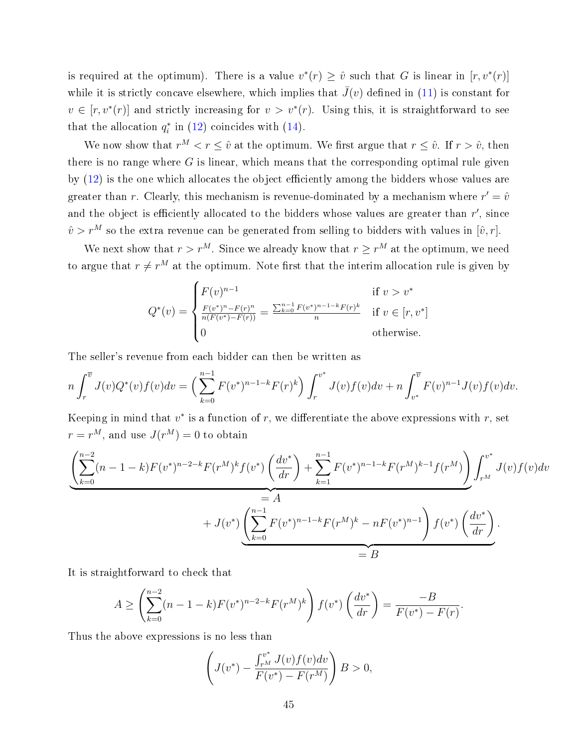is required at the optimum). There is a value  $v^*(r) \geq \hat{v}$  such that G is linear in  $[r, v^*(r)]$ while it is strictly concave elsewhere, which implies that  $\bar{J}(v)$  defined in [\(11\)](#page-23-3) is constant for  $v \in [r, v^*(r)]$  and strictly increasing for  $v > v^*(r)$ . Using this, it is straightforward to see that the allocation  $q_i^*$  in [\(12\)](#page-24-2) coincides with [\(14\)](#page-28-1).

We now show that  $r^M < r \leq \hat{v}$  at the optimum. We first argue that  $r \leq \hat{v}$ . If  $r > \hat{v}$ , then there is no range where  $G$  is linear, which means that the corresponding optimal rule given by  $(12)$  is the one which allocates the object efficiently among the bidders whose values are greater than r. Clearly, this mechanism is revenue-dominated by a mechanism where  $r' = \hat{v}$ and the object is efficiently allocated to the bidders whose values are greater than  $r'$ , since  $\hat{v} > r^M$  so the extra revenue can be generated from selling to bidders with values in  $[\hat{v}, r]$ .

We next show that  $r > r^M$ . Since we already know that  $r \geq r^M$  at the optimum, we need to argue that  $r \neq r^M$  at the optimum. Note first that the interim allocation rule is given by

$$
Q^*(v) = \begin{cases} F(v)^{n-1} & \text{if } v > v^* \\ \frac{F(v^*)^n - F(r)^n}{n(F(v^*) - F(r))} = \frac{\sum_{k=0}^{n-1} F(v^*)^{n-1-k} F(r)^k}{n} & \text{if } v \in [r, v^*] \\ 0 & \text{otherwise.} \end{cases}
$$

The seller's revenue from each bidder can then be written as

$$
n\int_r^{\overline{v}} J(v)Q^*(v)f(v)dv = \left(\sum_{k=0}^{n-1} F(v^*)^{n-1-k}F(r)^k\right)\int_r^{v^*} J(v)f(v)dv + n\int_{v^*}^{\overline{v}} F(v)^{n-1}J(v)f(v)dv.
$$

Keeping in mind that  $v^*$  is a function of r, we differentiate the above expressions with r, set  $r = r^M$ , and use  $J(r^M) = 0$  to obtain

$$
\underbrace{\left(\sum_{k=0}^{n-2} (n-1-k) F(v^*)^{n-2-k} F(r^M)^k f(v^*) \left(\frac{dv^*}{dr}\right) + \sum_{k=1}^{n-1} F(v^*)^{n-1-k} F(r^M)^{k-1} f(r^M)\right)}_{=A} \int_{r^M}^{v^*} J(v) f(v) dv
$$
  
+ 
$$
J(v^*) \underbrace{\left(\sum_{k=0}^{n-1} F(v^*)^{n-1-k} F(r^M)^k - n F(v^*)^{n-1}\right) f(v^*) \left(\frac{dv^*}{dr}\right)}_{=B}.
$$

It is straightforward to check that

$$
A \ge \left(\sum_{k=0}^{n-2} (n-1-k) F(v^*)^{n-2-k} F(r^M)^k\right) f(v^*) \left(\frac{dv^*}{dr}\right) = \frac{-B}{F(v^*) - F(r)}.
$$

Thus the above expressions is no less than

$$
\left( J(v^*) - \frac{\int_{r^M}^{v^*} J(v) f(v) dv}{F(v^*) - F(r^M)} \right) B > 0,
$$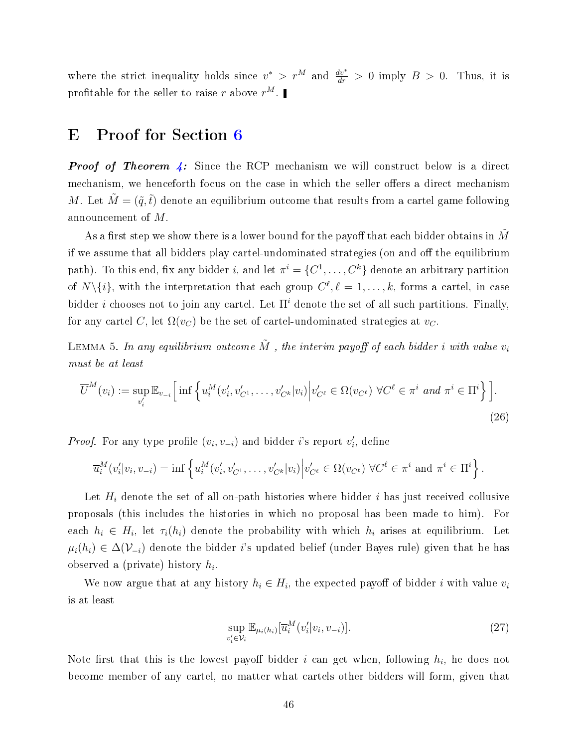where the strict inequality holds since  $v^* > r^M$  and  $\frac{dv^*}{dr} > 0$  imply  $B > 0$ . Thus, it is profitable for the seller to raise  $r$  above  $r^M$ .

### <span id="page-45-0"></span>E Proof for Section [6](#page-28-0)

**Proof of Theorem [4:](#page-30-0)** Since the RCP mechanism we will construct below is a direct mechanism, we henceforth focus on the case in which the seller offers a direct mechanism M. Let  $\tilde{M} = (\tilde{q}, \tilde{t})$  denote an equilibrium outcome that results from a cartel game following announcement of M.

As a first step we show there is a lower bound for the payoff that each bidder obtains in  $M$ if we assume that all bidders play cartel-undominated strategies (on and off the equilibrium path). To this end, fix any bidder i, and let  $\pi^i = \{C^1, \ldots, C^k\}$  denote an arbitrary partition of  $N\setminus\{i\}$ , with the interpretation that each group  $C^{\ell}, \ell = 1, \ldots, k$ , forms a cartel, in case bidder i chooses not to join any cartel. Let  $\Pi^i$  denote the set of all such partitions. Finally, for any cartel C, let  $\Omega(v_C)$  be the set of cartel-undominated strategies at  $v_C$ .

<span id="page-45-3"></span>LEMMA 5. In any equilibrium outcome  $\tilde{M}$ , the interim payoff of each bidder i with value  $v_i$ must be at least

$$
\overline{U}^M(v_i) := \sup_{v_i'} \mathbb{E}_{v_{-i}} \Big[ \inf \Big\{ u_i^M(v_i', v_{C^1}', \dots, v_{C^k}' | v_i) \Big| v_{C^\ell}' \in \Omega(v_{C^\ell}) \ \forall C^\ell \in \pi^i \ and \ \pi^i \in \Pi^i \Big\} \Big].
$$
\n(26)

*Proof.* For any type profile  $(v_i, v_{-i})$  and bidder *i*'s report  $v'_i$ , define

$$
\overline{u}_{i}^{M}(v'_{i}|v_{i},v_{-i}) = \inf \left\{ u_{i}^{M}(v'_{i},v'_{C^{1}},\ldots,v'_{C^{k}}|v_{i}) \middle| v'_{C^{\ell}} \in \Omega(v_{C^{\ell}}) \ \forall C^{\ell} \in \pi^{i} \text{ and } \pi^{i} \in \Pi^{i} \right\}.
$$

Let  $H_i$  denote the set of all on-path histories where bidder  $i$  has just received collusive proposals (this includes the histories in which no proposal has been made to him). For each  $h_i \in H_i$ , let  $\tau_i(h_i)$  denote the probability with which  $h_i$  arises at equilibrium. Let  $\mu_i(h_i) \in \Delta(\mathcal{V}_{-i})$  denote the bidder i's updated belief (under Bayes rule) given that he has observed a (private) history  $h_i$ .

We now argue that at any history  $h_i \in H_i$ , the expected payoff of bidder i with value  $v_i$ is at least

<span id="page-45-2"></span><span id="page-45-1"></span>
$$
\sup_{v_i' \in \mathcal{V}_i} \mathbb{E}_{\mu_i(h_i)}[\overline{u}_i^M(v_i'|v_i, v_{-i})].
$$
\n(27)

Note first that this is the lowest payoff bidder i can get when, following  $h_i$ , he does not become member of any cartel, no matter what cartels other bidders will form, given that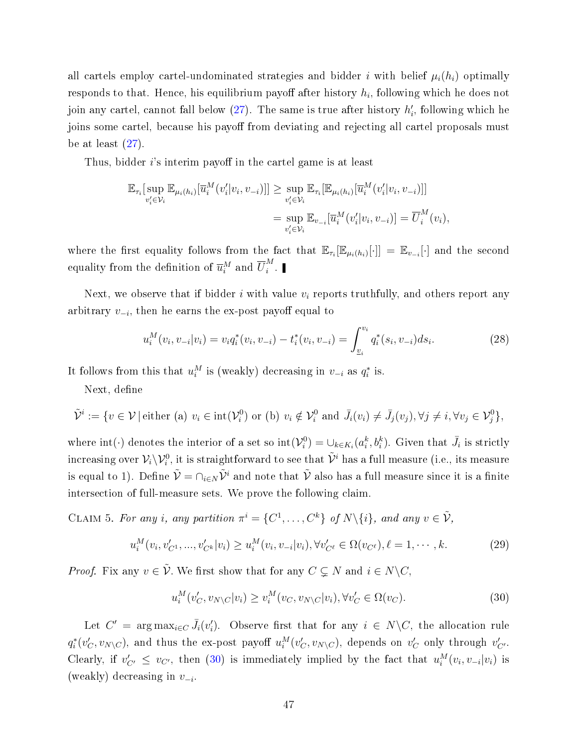all cartels employ cartel-undominated strategies and bidder i with belief  $\mu_i(h_i)$  optimally responds to that. Hence, his equilibrium payoff after history  $h_i$ , following which he does not join any cartel, cannot fall below  $(27)$ . The same is true after history  $h'_i$ , following which he joins some cartel, because his payoff from deviating and rejecting all cartel proposals must be at least  $(27)$ .

Thus, bidder  $i$ 's interim payoff in the cartel game is at least

$$
\mathbb{E}_{\tau_i}[\sup_{v'_i \in \mathcal{V}_i} \mathbb{E}_{\mu_i(h_i)}[\overline{u}_i^M(v'_i|v_i, v_{-i})]] \ge \sup_{v'_i \in \mathcal{V}_i} \mathbb{E}_{\tau_i}[\mathbb{E}_{\mu_i(h_i)}[\overline{u}_i^M(v'_i|v_i, v_{-i})]]
$$
  

$$
= \sup_{v'_i \in \mathcal{V}_i} \mathbb{E}_{v_{-i}}[\overline{u}_i^M(v'_i|v_i, v_{-i})] = \overline{U}_i^M(v_i),
$$

where the first equality follows from the fact that  $\mathbb{E}_{\tau_i}[\mathbb{E}_{\mu_i(h_i)}[\cdot]] = \mathbb{E}_{v_{-i}}[\cdot]$  and the second equality from the definition of  $\overline{u}_{i}^{M}$  and  $\overline{U}_{i}^{M}$  $\frac{i^{\prime\prime}}{i}$  .

Next, we observe that if bidder i with value  $v_i$  reports truthfully, and others report any arbitrary  $v_{-i}$ , then he earns the ex-post payoff equal to

<span id="page-46-1"></span>
$$
u_i^M(v_i, v_{-i}|v_i) = v_i q_i^*(v_i, v_{-i}) - t_i^*(v_i, v_{-i}) = \int_{v_i}^{v_i} q_i^*(s_i, v_{-i}) ds_i.
$$
 (28)

It follows from this that  $u_i^M$  is (weakly) decreasing in  $v_{-i}$  as  $q_i^*$  is.

Next, define

$$
\tilde{\mathcal{V}}^i := \{ v \in \mathcal{V} \mid \text{either (a) } v_i \in \text{int}(\mathcal{V}_i^0) \text{ or (b) } v_i \notin \mathcal{V}_i^0 \text{ and } \bar{J}_i(v_i) \neq \bar{J}_j(v_j), \forall j \neq i, \forall v_j \in \mathcal{V}_j^0 \},
$$

where  $\text{int}(\cdot)$  denotes the interior of a set so  $\text{int}(\mathcal{V}_i^0) = \cup_{k \in K_i} (a_i^k, b_i^k)$ . Given that  $\bar{J}_i$  is strictly increasing over  $\mathcal{V}_i\backslash\mathcal{V}^0_i$  , it is straightforward to see that  $\tilde{\mathcal{V}}^i$  has a full measure (i.e., its measure is equal to 1). Define  $\tilde{\mathcal{V}} = \cap_{i \in N} \tilde{\mathcal{V}}^i$  and note that  $\tilde{\mathcal{V}}$  also has a full measure since it is a finite intersection of full-measure sets. We prove the following claim.

CLAIM 5. For any i, any partition  $\pi^i = \{C^1, \ldots, C^k\}$  of  $N \setminus \{i\}$ , and any  $v \in \tilde{\mathcal{V}}$ ,

$$
u_i^M(v_i, v'_{C^1}, ..., v'_{C^k}|v_i) \ge u_i^M(v_i, v_{-i}|v_i), \forall v'_{C^{\ell}} \in \Omega(v_{C^{\ell}}), \ell = 1, \cdots, k. \tag{29}
$$

*Proof.* Fix any  $v \in \tilde{\mathcal{V}}$ . We first show that for any  $C \subseteq N$  and  $i \in N \backslash C$ ,

<span id="page-46-2"></span><span id="page-46-0"></span>
$$
u_i^M(v'_C, v_{N\setminus C}|v_i) \ge v_i^M(v_C, v_{N\setminus C}|v_i), \forall v'_C \in \Omega(v_C). \tag{30}
$$

Let  $C' = \arg \max_{i \in C} \bar{J}_i(v'_i)$ . Observe first that for any  $i \in N \backslash C$ , the allocation rule  $q_i^*(v_C',v_{N\setminus C}),$  and thus the ex-post payoff  $u_i^M(v_C',v_{N\setminus C}),$  depends on  $v_C'$  only through  $v_{C'}'.$ Clearly, if  $v'_{C'} \leq v_{C'}$ , then [\(30\)](#page-46-0) is immediately implied by the fact that  $u_i^M(v_i, v_{-i}|v_i)$  is (weakly) decreasing in  $v_{-i}$ .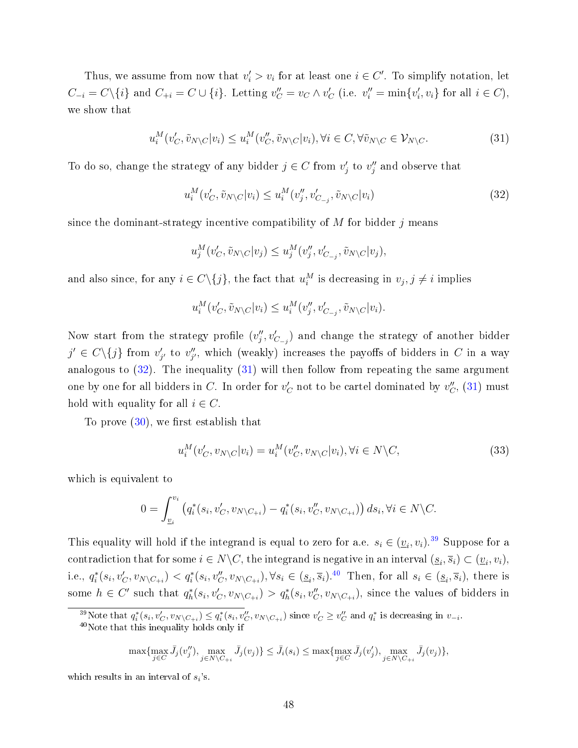Thus, we assume from now that  $v_i' > v_i$  for at least one  $i \in C'$ . To simplify notation, let  $C_{-i} = C \setminus \{i\}$  and  $C_{+i} = C \cup \{i\}$ . Letting  $v''_C = v_C \wedge v'_C$  (i.e.  $v''_i = \min\{v'_i, v_i\}$  for all  $i \in C$ ), we show that

$$
u_i^M(v'_C, \tilde{v}_{N\setminus C}|v_i) \le u_i^M(v''_C, \tilde{v}_{N\setminus C}|v_i), \forall i \in C, \forall \tilde{v}_{N\setminus C} \in \mathcal{V}_{N\setminus C}.
$$
\n(31)

To do so, change the strategy of any bidder  $j \in C$  from  $v'_j$  to  $v''_j$  and observe that

<span id="page-47-1"></span><span id="page-47-0"></span>
$$
u_i^M(v'_C, \tilde{v}_{N\setminus C}|v_i) \le u_i^M(v''_j, v'_{C_{-j}}, \tilde{v}_{N\setminus C}|v_i)
$$
\n(32)

since the dominant-strategy incentive compatibility of  $M$  for bidder  $j$  means

$$
u_j^M(v'_C, \tilde{v}_{N\setminus C}|v_j) \le u_j^M(v''_j, v'_{C_{-j}}, \tilde{v}_{N\setminus C}|v_j),
$$

and also since, for any  $i \in C \setminus \{j\}$ , the fact that  $u_i^M$  is decreasing in  $v_j, j \neq i$  implies

$$
u_i^M(v'_C, \tilde{v}_{N\setminus C}|v_i) \le u_i^M(v''_j, v'_{C_{-j}}, \tilde{v}_{N\setminus C}|v_i).
$$

Now start from the strategy profile  $(v''_j, v'_{C_{-j}})$  and change the strategy of another bidder  $j' \in C \setminus \{j\}$  from  $v'_{j'}$  to  $v''_{j'}$ , which (weakly) increases the payoffs of bidders in C in a way analogous to  $(32)$ . The inequality  $(31)$  will then follow from repeating the same argument one by one for all bidders in  $C.$  In order for  $v_C'$  not to be cartel dominated by  $v_C'', \, (31)$  $v_C'', \, (31)$  must hold with equality for all  $i \in C$ .

To prove  $(30)$ , we first establish that

<span id="page-47-4"></span>
$$
u_i^M(v'_C, v_{N\setminus C}|v_i) = u_i^M(v''_C, v_{N\setminus C}|v_i), \forall i \in N\setminus C,
$$
\n(33)

which is equivalent to

$$
0 = \int_{\underline{v}_i}^{v_i} \left( q_i^*(s_i, v'_C, v_{N \setminus C_{+i}}) - q_i^*(s_i, v''_C, v_{N \setminus C_{+i}}) \right) ds_i, \forall i \in N \setminus C.
$$

This equality will hold if the integrand is equal to zero for a.e.  $s_i \in (\underline{v}_i, v_i)$ .<sup>[39](#page-47-2)</sup> Suppose for a contradiction that for some  $i \in N \backslash C$ , the integrand is negative in an interval  $(\underline{s}_i, \overline{s}_i) \subset (\underline{v}_i, v_i)$ , i.e.,  $q_i^*(s_i, v'_C, v_{N\setminus C_{+i}}) < q_i^*(s_i, v''_C, v_{N\setminus C_{+i}}), \forall s_i \in (\underline{s}_i, \overline{s}_i)$ .<sup>[40](#page-47-3)</sup> Then, for all  $s_i \in (\underline{s}_i, \overline{s}_i)$ , there is some  $h \in C'$  such that  $q_h^*(s_i, v_C', v_{N \setminus C_{+i}}) > q_h^*(s_i, v_C'', v_{N \setminus C_{+i}})$ , since the values of bidders in

<span id="page-47-3"></span><span id="page-47-2"></span><sup>39</sup>Note that  $q_i^*(s_i, v_C', v_{N\setminus C_{+i}}) \leq q_i^*(s_i, v_C'', v_{N\setminus C_{+i}})$  since  $v_C' \geq v_C''$  and  $q_i^*$  is decreasing in  $v_{-i}$ .

<sup>40</sup>Note that this inequality holds only if

$$
\max\{\max_{j\in C}\overline{J}_j(v''_j),\max_{j\in N\backslash C_{+i}}\overline{J}_j(v_j)\}\leq \overline{J}_i(s_i)\leq \max\{\max_{j\in C}\overline{J}_j(v'_j),\max_{j\in N\backslash C_{+i}}\overline{J}_j(v_j)\},
$$

which results in an interval of  $s_i$ 's.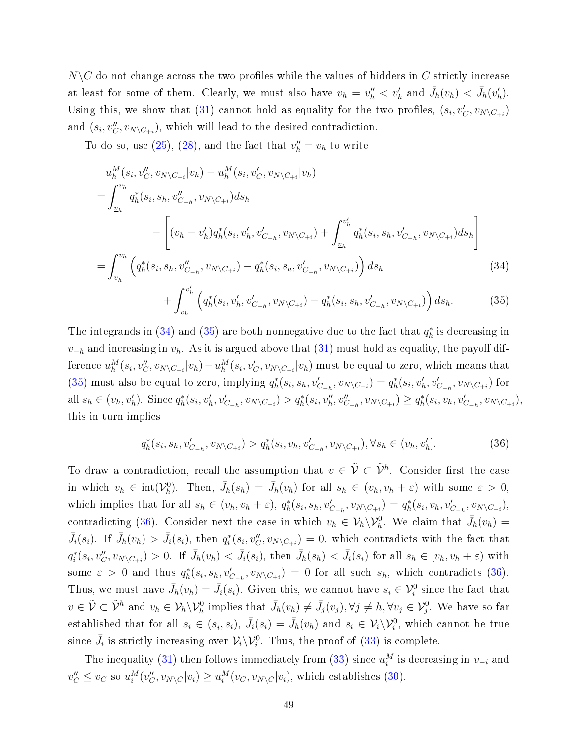$N\setminus C$  do not change across the two profiles while the values of bidders in C strictly increase at least for some of them. Clearly, we must also have  $v_h = v_h'' < v_h'$  and  $\bar{J}_h(v_h) < \bar{J}_h(v_h')$ . Using this, we show that [\(31\)](#page-47-1) cannot hold as equality for the two profiles,  $(s_i, v'_C, v_{N\setminus C_{+i}})$ and  $(s_i, v''_C, v_{N \setminus C_{+i}})$ , which will lead to the desired contradiction.

To do so, use [\(25\)](#page-41-2), [\(28\)](#page-46-1), and the fact that  $v''_h = v_h$  to write

$$
u_h^M(s_i, v_C'', v_{N \setminus C_{+i}} | v_h) - u_h^M(s_i, v_C', v_{N \setminus C_{+i}} | v_h)
$$
  
\n
$$
= \int_{v_h}^{v_h} q_h^*(s_i, s_h, v_{C_{-h}}''', v_{N \setminus C_{+i}}) ds_h
$$
  
\n
$$
- \left[ (v_h - v_h') q_h^*(s_i, v_h', v_{C_{-h}}'', v_{N \setminus C_{+i}}) + \int_{v_h}^{v_h'} q_h^*(s_i, s_h, v_{C_{-h}}'', v_{N \setminus C_{+i}}) ds_h \right]
$$
  
\n
$$
= \int_{v_h}^{v_h} \left( q_h^*(s_i, s_h, v_{C_{-h}}''', v_{N \setminus C_{+i}}) - q_h^*(s_i, s_h, v_{C_{-h}}'', v_{N \setminus C_{+i}}) \right) ds_h
$$
  
\n
$$
+ \int_{v_h}^{v_h'} \left( q_h^*(s_i, v_h', v_{C_{-h}}'', v_{N \setminus C_{+i}}) - q_h^*(s_i, s_h, v_{C_{-h}}'', v_{N \setminus C_{+i}}) \right) ds_h.
$$
 (35)

The integrands in [\(34\)](#page-48-0) and [\(35\)](#page-48-1) are both nonnegative due to the fact that  $q_h^*$  is decreasing in  $v_{-h}$  and increasing in  $v_h$ . As it is argued above that [\(31\)](#page-47-1) must hold as equality, the payoff difference  $u_h^M(s_i,v_C'',v_{N\setminus C_{+i}}|v_h)-u_h^M(s_i,v_C',v_{N\setminus C_{+i}}|v_h)$  must be equal to zero, which means that [\(35\)](#page-48-1) must also be equal to zero, implying  $q_h^*(s_i, s_h, v'_{C_{-h}}, v_{N\setminus C_{+i}}) = q_h^*(s_i, v'_h, v'_{C_{-h}}, v_{N\setminus C_{+i}})$  for all  $s_h \in (v_h, v'_h)$ . Since  $q_h^*(s_i, v'_h, v'_{C_{-h}}, v_{N \setminus C_{+i}}) > q_h^*(s_i, v''_h, v''_{C_{-h}}, v_{N \setminus C_{+i}}) \ge q_h^*(s_i, v_h, v'_{C_{-h}}, v_{N \setminus C_{+i}})$ this in turn implies

<span id="page-48-2"></span><span id="page-48-1"></span><span id="page-48-0"></span>
$$
q_h^*(s_i, s_h, v'_{C_{-h}}, v_{N \setminus C_{+i}}) > q_h^*(s_i, v_h, v'_{C_{-h}}, v_{N \setminus C_{+i}}), \forall s_h \in (v_h, v'_h].
$$
\n(36)

To draw a contradiction, recall the assumption that  $v \in \tilde{\mathcal{V}} \subset \tilde{\mathcal{V}}^h$ . Consider first the case in which  $v_h \in \text{int}(\mathcal{V}_h^0)$ . Then,  $\bar{J}_h(s_h) = \bar{J}_h(v_h)$  for all  $s_h \in (v_h, v_h + \varepsilon)$  with some  $\varepsilon > 0$ , which implies that for all  $s_h \in (v_h, v_h + \varepsilon), q_h^*(s_i, s_h, v'_{C_{-h}}, v_{N \setminus C_{+i}}) = q_h^*(s_i, v_h, v'_{C_{-h}}, v_{N \setminus C_{+i}})$ contradicting [\(36\)](#page-48-2). Consider next the case in which  $v_h \in V_h \backslash V_h^0$ . We claim that  $\bar{J}_h(v_h)$  =  $\bar{J}_i(s_i)$ . If  $\bar{J}_h(v_h) > \bar{J}_i(s_i)$ , then  $q_i^*(s_i, v''_C, v_{N \setminus C_{+i}}) = 0$ , which contradicts with the fact that  $q_i^*(s_i, v''_C, v_{N\setminus C_{+i}}) > 0$ . If  $\bar{J}_h(v_h) < \bar{J}_i(s_i)$ , then  $\bar{J}_h(s_h) < \bar{J}_i(s_i)$  for all  $s_h \in [v_h, v_h + \varepsilon)$  with some  $\varepsilon > 0$  and thus  $q_h^*(s_i, s_h, v'_{C_{-h}}, v_{N \setminus C_{+i}}) = 0$  for all such  $s_h$ , which contradicts [\(36\)](#page-48-2). Thus, we must have  $\bar{J}_h(v_h) = \bar{J}_i(s_i)$ . Given this, we cannot have  $s_i \in \mathcal{V}_i^0$  since the fact that  $v \in \tilde{\mathcal{V}} \subset \tilde{\mathcal{V}}^h$  and  $v_h \in \mathcal{V}_h \backslash \mathcal{V}_h^0$  implies that  $\bar{J}_h(v_h) \neq \bar{J}_j(v_j), \forall j \neq h, \forall v_j \in \mathcal{V}_j^0$ . We have so far established that for all  $s_i \in (\underline{s}_i, \overline{s}_i), \ \overline{J}_i(s_i) = \overline{J}_h(v_h)$  and  $s_i \in \mathcal{V}_i \setminus \mathcal{V}_i^0$ , which cannot be true since  $\bar{J}_i$  is strictly increasing over  $\mathcal{V}_i \backslash \mathcal{V}_i^0$ . Thus, the proof of [\(33\)](#page-47-4) is complete.

The inequality [\(31\)](#page-47-1) then follows immediately from [\(33\)](#page-47-4) since  $u_i^M$  is decreasing in  $v_{-i}$  and  $v''_C \le v_C$  so  $u_i^M(v''_C, v_{N\setminus C}|v_i) \ge u_i^M(v_C, v_{N\setminus C}|v_i)$ , which establishes [\(30\)](#page-46-0).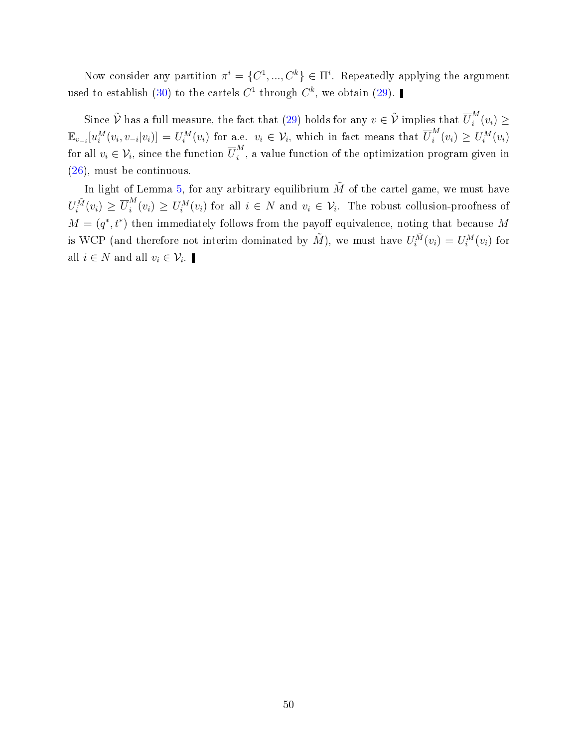Now consider any partition  $\pi^i = \{C^1, ..., C^k\} \in \Pi^i$ . Repeatedly applying the argument used to establish [\(30\)](#page-46-0) to the cartels  $C^1$  through  $C^k$ , we obtain [\(29\)](#page-46-2).

Since  $\tilde{\mathcal{V}}$  has a full measure, the fact that [\(29\)](#page-46-2) holds for any  $v \in \tilde{\mathcal{V}}$  implies that  $\overline{U}_i^M$  $\binom{m}{i}(v_i) \geq$  $\mathbb{E}_{v_{-i}}[u_i^M(v_i, v_{-i}|v_i)] = U_i^M(v_i)$  for a.e.  $v_i \in \mathcal{V}_i$ , which in fact means that  $\overline{U}_i^M$  $\sum_{i}^{M}(v_i) \geq U_i^{M}(v_i)$ for all  $v_i \in \mathcal{V}_i$ , since the function  $\overline{U}_i^M$  $i$ <sup>n</sup>, a value function of the optimization program given in [\(26\)](#page-45-2), must be continuous.

In light of Lemma [5,](#page-45-3) for any arbitrary equilibrium  $\tilde{M}$  of the cartel game, we must have  $U_i^{\tilde{M}}(v_i) \geq \overline{U}_i^M$  $U_i^M(v_i) \geq U_i^M(v_i)$  for all  $i \in N$  and  $v_i \in V_i$ . The robust collusion-proofness of  $M = (q^*, t^*)$  then immediately follows from the payoff equivalence, noting that because M is WCP (and therefore not interim dominated by  $\tilde{M}$ ), we must have  $U_i^{\tilde{M}}(v_i) = U_i^M(v_i)$  for all  $i \in N$  and all  $v_i \in \mathcal{V}_i$ .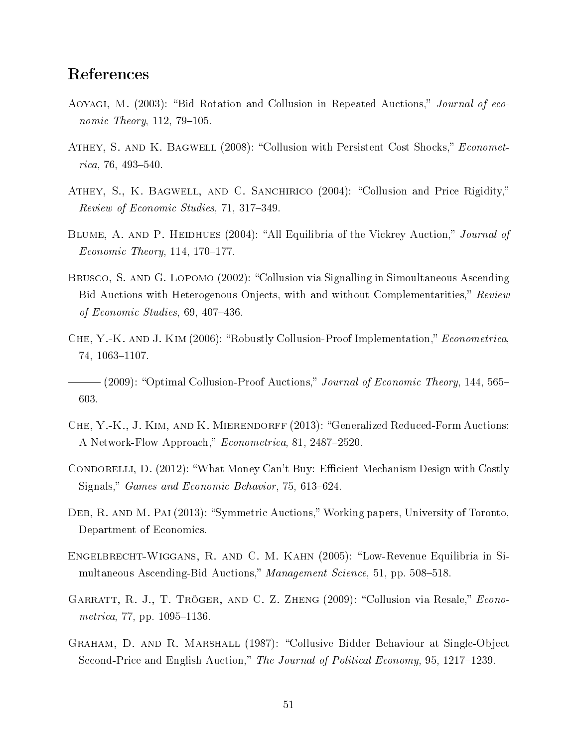## References

- <span id="page-50-2"></span>AOYAGI, M. (2003): "Bid Rotation and Collusion in Repeated Auctions," Journal of economic Theory,  $112$ ,  $79-105$ .
- <span id="page-50-8"></span>ATHEY, S. AND K. BAGWELL (2008): "Collusion with Persistent Cost Shocks," *Economet* $rica, 76, 493 - 540.$
- <span id="page-50-3"></span>ATHEY, S., K. BAGWELL, AND C. SANCHIRICO (2004): "Collusion and Price Rigidity," Review of Economic Studies, 71, 317–349.
- <span id="page-50-4"></span>BLUME, A. AND P. HEIDHUES (2004): "All Equilibria of the Vickrey Auction," Journal of  $Economic Theory, 114, 170-177.$
- <span id="page-50-6"></span>BRUSCO, S. AND G. LOPOMO (2002): "Collusion via Signalling in Simoultaneous Ascending Bid Auctions with Heterogenous Onjects, with and without Complementarities," Review of Economic Studies,  $69, 407-436$ .
- <span id="page-50-9"></span>CHE, Y.-K. AND J. KIM (2006): "Robustly Collusion-Proof Implementation," Econometrica, 74, 1063-1107.
- <span id="page-50-10"></span> $-(2009)$ : "Optimal Collusion-Proof Auctions," Journal of Economic Theory, 144, 565– 603.
- <span id="page-50-12"></span>Che, Y.-K., J. Kim, and K. Mierendorff (2013): Generalized Reduced-Form Auctions: A Network-Flow Approach," *Econometrica*, 81, 2487–2520.
- <span id="page-50-1"></span>CONDORELLI, D. (2012): "What Money Can't Buy: Efficient Mechanism Design with Costly Signals," Games and Economic Behavior, 75, 613-624.
- <span id="page-50-11"></span>DEB, R. AND M. PAI (2013): "Symmetric Auctions," Working papers, University of Toronto, Department of Economics.
- <span id="page-50-5"></span>ENGELBRECHT-WIGGANS, R. AND C. M. KAHN (2005): "Low-Revenue Equilibria in Simultaneous Ascending-Bid Auctions," Management Science, 51, pp.  $508-518$ .
- <span id="page-50-7"></span>GARRATT, R. J., T. TRÖGER, AND C. Z. ZHENG (2009): "Collusion via Resale," *Econo* $metrica, 77, pp. 1095-1136.$
- <span id="page-50-0"></span>Graham, D. and R. Marshall (1987): Collusive Bidder Behaviour at Single-Object Second-Price and English Auction," The Journal of Political Economy, 95, 1217–1239.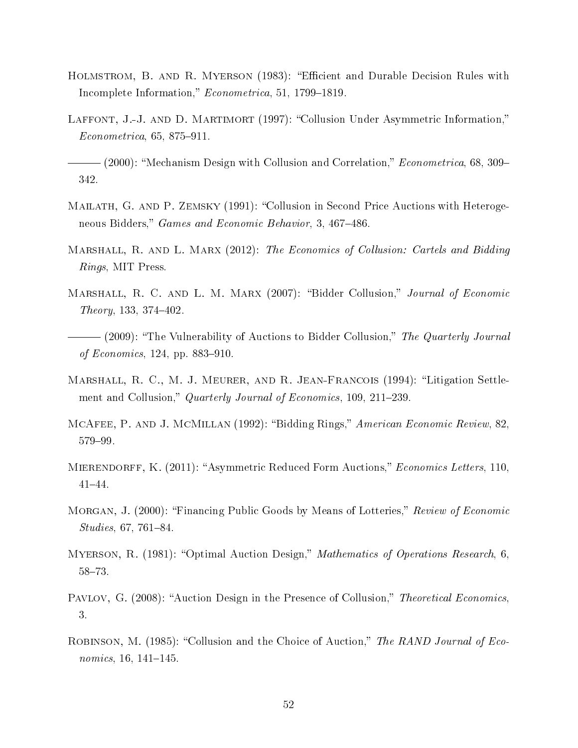- <span id="page-51-12"></span>HOLMSTROM, B. AND R. MYERSON (1983): "Efficient and Durable Decision Rules with Incomplete Information," Econometrica, 51, 1799-1819.
- <span id="page-51-3"></span>LAFFONT, J.-J. AND D. MARTIMORT (1997): "Collusion Under Asymmetric Information,"  $Econometrica, 65, 875-911.$

<span id="page-51-4"></span> $-$  (2000): "Mechanism Design with Collusion and Correlation," *Econometrica*, 68, 309– 342.

- <span id="page-51-6"></span>MAILATH, G. AND P. ZEMSKY (1991): "Collusion in Second Price Auctions with Heterogeneous Bidders," Games and Economic Behavior, 3, 467-486.
- <span id="page-51-2"></span>MARSHALL, R. AND L. MARX (2012): The Economics of Collusion: Cartels and Bidding Rings, MIT Press.
- <span id="page-51-7"></span>MARSHALL, R. C. AND L. M. MARX (2007): "Bidder Collusion," Journal of Economic  $Theory, 133, 374-402.$
- <span id="page-51-8"></span>- (2009): "The Vulnerability of Auctions to Bidder Collusion," The Quarterly Journal of Economics, 124, pp. 883–910.
- <span id="page-51-1"></span>MARSHALL, R. C., M. J. MEURER, AND R. JEAN-FRANCOIS (1994): "Litigation Settlement and Collusion," Quarterly Journal of Economics, 109, 211–239.
- <span id="page-51-0"></span>MCAFEE, P. AND J. MCMILLAN (1992): "Bidding Rings," American Economic Review, 82, 579-99.
- <span id="page-51-13"></span>MIERENDORFF, K. (2011): "Asymmetric Reduced Form Auctions," *Economics Letters*, 110,  $41 - 44.$
- <span id="page-51-11"></span>MORGAN, J. (2000): "Financing Public Goods by Means of Lotteries," Review of Economic  $Studies, 67, 761–84.$
- <span id="page-51-10"></span>MYERSON, R. (1981): "Optimal Auction Design," *Mathematics of Operations Research*, 6, 58-73.
- <span id="page-51-9"></span>PAVLOV, G. (2008): "Auction Design in the Presence of Collusion," Theoretical Economics, 3.
- <span id="page-51-5"></span>ROBINSON, M. (1985): "Collusion and the Choice of Auction," The RAND Journal of Economics,  $16, 141-145$ .